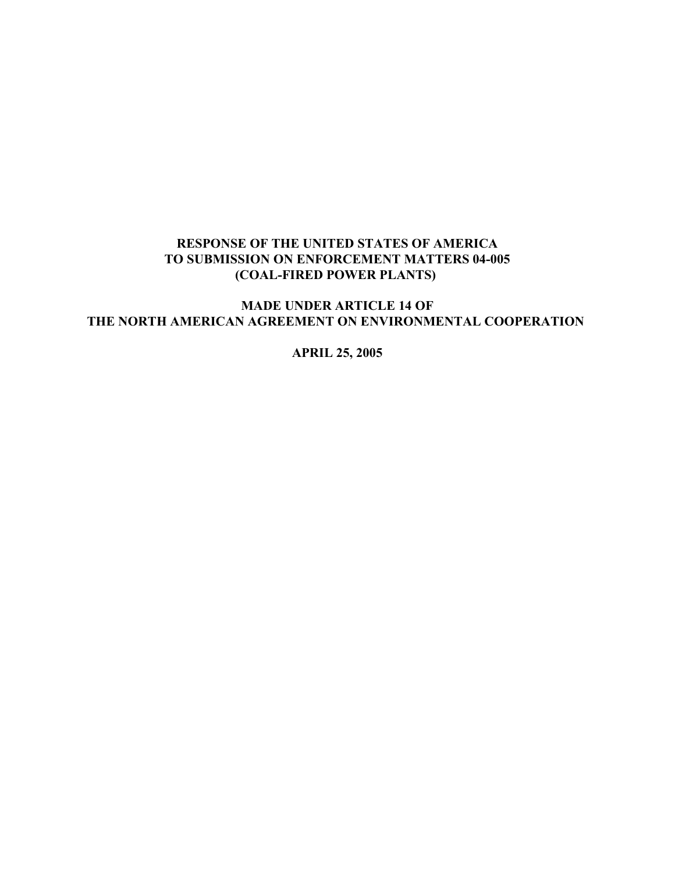## **RESPONSE OF THE UNITED STATES OF AMERICA TO SUBMISSION ON ENFORCEMENT MATTERS 04-005 (COAL-FIRED POWER PLANTS)**

**MADE UNDER ARTICLE 14 OF THE NORTH AMERICAN AGREEMENT ON ENVIRONMENTAL COOPERATION** 

**APRIL 25, 2005**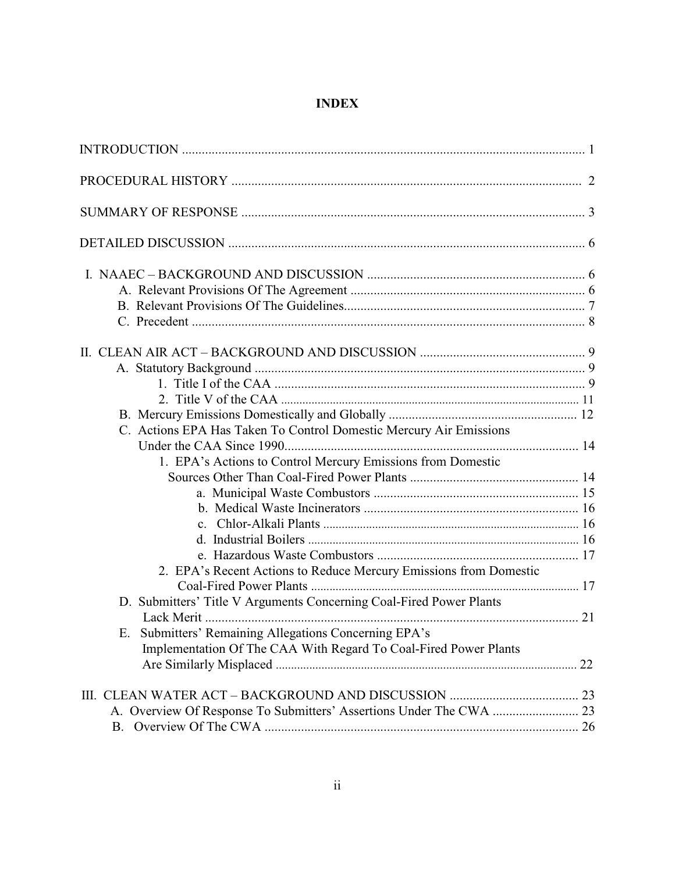# **INDEX**

| C. Actions EPA Has Taken To Control Domestic Mercury Air Emissions  |  |
|---------------------------------------------------------------------|--|
|                                                                     |  |
| 1. EPA's Actions to Control Mercury Emissions from Domestic         |  |
|                                                                     |  |
|                                                                     |  |
|                                                                     |  |
|                                                                     |  |
|                                                                     |  |
|                                                                     |  |
| 2. EPA's Recent Actions to Reduce Mercury Emissions from Domestic   |  |
|                                                                     |  |
| D. Submitters' Title V Arguments Concerning Coal-Fired Power Plants |  |
|                                                                     |  |
| E. Submitters' Remaining Allegations Concerning EPA's               |  |
| Implementation Of The CAA With Regard To Coal-Fired Power Plants    |  |
|                                                                     |  |
|                                                                     |  |
|                                                                     |  |
| <b>B.</b>                                                           |  |
|                                                                     |  |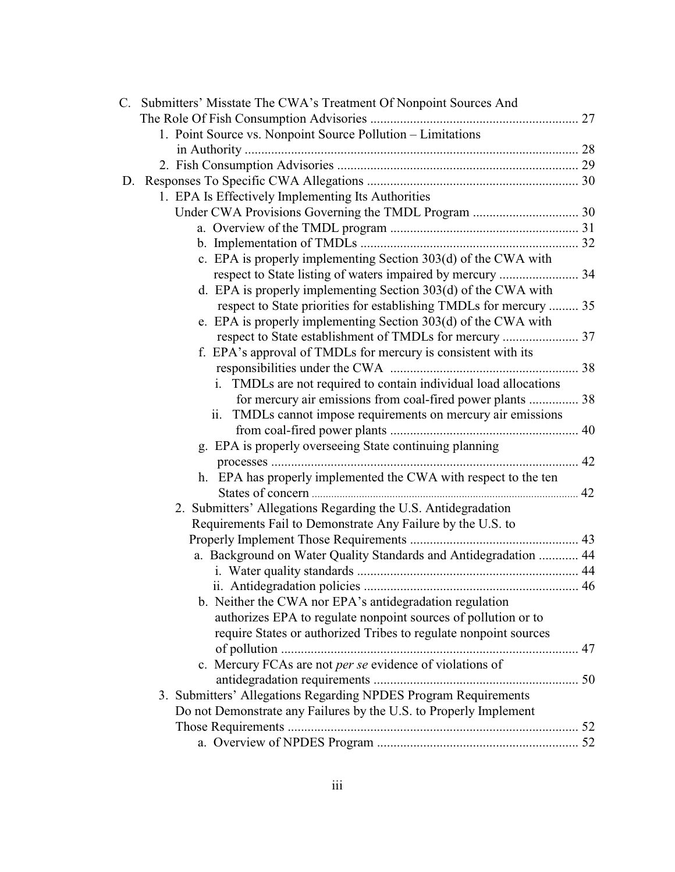| C. Submitters' Misstate The CWA's Treatment Of Nonpoint Sources And |  |
|---------------------------------------------------------------------|--|
|                                                                     |  |
| 1. Point Source vs. Nonpoint Source Pollution – Limitations         |  |
|                                                                     |  |
|                                                                     |  |
|                                                                     |  |
| 1. EPA Is Effectively Implementing Its Authorities                  |  |
|                                                                     |  |
|                                                                     |  |
|                                                                     |  |
| c. EPA is properly implementing Section 303(d) of the CWA with      |  |
|                                                                     |  |
| d. EPA is properly implementing Section 303(d) of the CWA with      |  |
| respect to State priorities for establishing TMDLs for mercury  35  |  |
| e. EPA is properly implementing Section 303(d) of the CWA with      |  |
|                                                                     |  |
| f. EPA's approval of TMDLs for mercury is consistent with its       |  |
|                                                                     |  |
| TMDLs are not required to contain individual load allocations       |  |
| for mercury air emissions from coal-fired power plants  38          |  |
| ii. TMDLs cannot impose requirements on mercury air emissions       |  |
|                                                                     |  |
| g. EPA is properly overseeing State continuing planning             |  |
|                                                                     |  |
| h. EPA has properly implemented the CWA with respect to the ten     |  |
|                                                                     |  |
| 2. Submitters' Allegations Regarding the U.S. Antidegradation       |  |
| Requirements Fail to Demonstrate Any Failure by the U.S. to         |  |
|                                                                     |  |
| a. Background on Water Quality Standards and Antidegradation  44    |  |
|                                                                     |  |
| b. Neither the CWA nor EPA's antidegradation regulation             |  |
| authorizes EPA to regulate nonpoint sources of pollution or to      |  |
| require States or authorized Tribes to regulate nonpoint sources    |  |
|                                                                     |  |
| c. Mercury FCAs are not per se evidence of violations of            |  |
|                                                                     |  |
| 3. Submitters' Allegations Regarding NPDES Program Requirements     |  |
| Do not Demonstrate any Failures by the U.S. to Properly Implement   |  |
|                                                                     |  |
|                                                                     |  |
|                                                                     |  |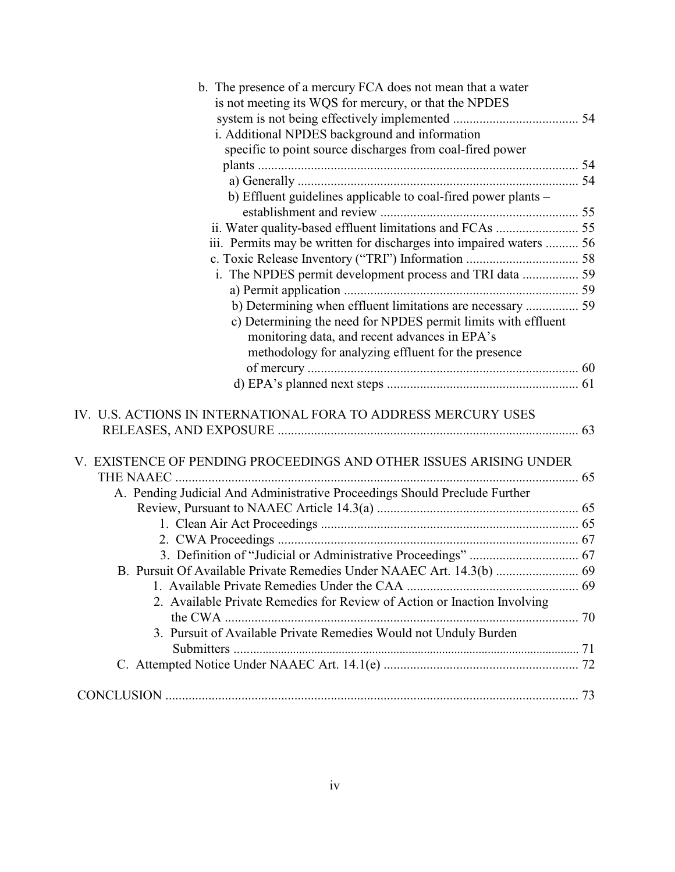| b. The presence of a mercury FCA does not mean that a water                |  |
|----------------------------------------------------------------------------|--|
| is not meeting its WQS for mercury, or that the NPDES                      |  |
|                                                                            |  |
| i. Additional NPDES background and information                             |  |
| specific to point source discharges from coal-fired power                  |  |
|                                                                            |  |
|                                                                            |  |
| b) Effluent guidelines applicable to coal-fired power plants -             |  |
|                                                                            |  |
| ii. Water quality-based effluent limitations and FCAs  55                  |  |
| iii. Permits may be written for discharges into impaired waters  56        |  |
|                                                                            |  |
|                                                                            |  |
|                                                                            |  |
| b) Determining when effluent limitations are necessary  59                 |  |
| c) Determining the need for NPDES permit limits with effluent              |  |
| monitoring data, and recent advances in EPA's                              |  |
| methodology for analyzing effluent for the presence                        |  |
|                                                                            |  |
|                                                                            |  |
|                                                                            |  |
| IV. U.S. ACTIONS IN INTERNATIONAL FORA TO ADDRESS MERCURY USES             |  |
|                                                                            |  |
|                                                                            |  |
| V. EXISTENCE OF PENDING PROCEEDINGS AND OTHER ISSUES ARISING UNDER         |  |
|                                                                            |  |
| A. Pending Judicial And Administrative Proceedings Should Preclude Further |  |
|                                                                            |  |
|                                                                            |  |
|                                                                            |  |
|                                                                            |  |
|                                                                            |  |
|                                                                            |  |
| 2. Available Private Remedies for Review of Action or Inaction Involving   |  |
|                                                                            |  |
| 3. Pursuit of Available Private Remedies Would not Unduly Burden           |  |
|                                                                            |  |
|                                                                            |  |
|                                                                            |  |
|                                                                            |  |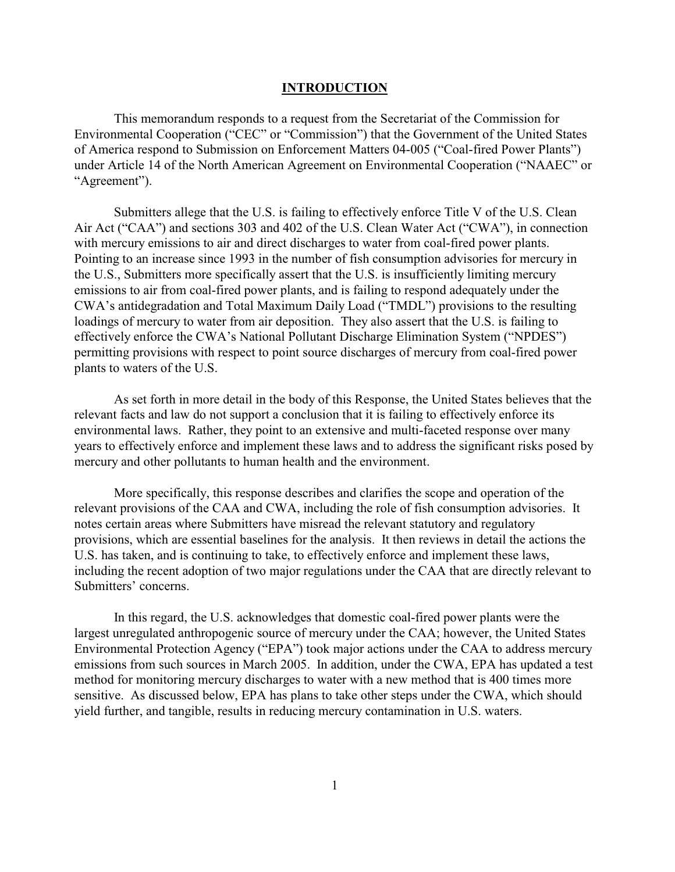#### **INTRODUCTION**

This memorandum responds to a request from the Secretariat of the Commission for Environmental Cooperation ("CEC" or "Commission") that the Government of the United States of America respond to Submission on Enforcement Matters 04-005 ("Coal-fired Power Plants") under Article 14 of the North American Agreement on Environmental Cooperation ("NAAEC" or "Agreement").

Submitters allege that the U.S. is failing to effectively enforce Title V of the U.S. Clean Air Act ("CAA") and sections 303 and 402 of the U.S. Clean Water Act ("CWA"), in connection with mercury emissions to air and direct discharges to water from coal-fired power plants. Pointing to an increase since 1993 in the number of fish consumption advisories for mercury in the U.S., Submitters more specifically assert that the U.S. is insufficiently limiting mercury emissions to air from coal-fired power plants, and is failing to respond adequately under the CWA's antidegradation and Total Maximum Daily Load ("TMDL") provisions to the resulting loadings of mercury to water from air deposition. They also assert that the U.S. is failing to effectively enforce the CWA's National Pollutant Discharge Elimination System ("NPDES") permitting provisions with respect to point source discharges of mercury from coal-fired power plants to waters of the U.S.

As set forth in more detail in the body of this Response, the United States believes that the relevant facts and law do not support a conclusion that it is failing to effectively enforce its environmental laws. Rather, they point to an extensive and multi-faceted response over many years to effectively enforce and implement these laws and to address the significant risks posed by mercury and other pollutants to human health and the environment.

More specifically, this response describes and clarifies the scope and operation of the relevant provisions of the CAA and CWA, including the role of fish consumption advisories. It notes certain areas where Submitters have misread the relevant statutory and regulatory provisions, which are essential baselines for the analysis. It then reviews in detail the actions the U.S. has taken, and is continuing to take, to effectively enforce and implement these laws, including the recent adoption of two major regulations under the CAA that are directly relevant to Submitters' concerns.

In this regard, the U.S. acknowledges that domestic coal-fired power plants were the largest unregulated anthropogenic source of mercury under the CAA; however, the United States Environmental Protection Agency ("EPA") took major actions under the CAA to address mercury emissions from such sources in March 2005. In addition, under the CWA, EPA has updated a test method for monitoring mercury discharges to water with a new method that is 400 times more sensitive. As discussed below, EPA has plans to take other steps under the CWA, which should yield further, and tangible, results in reducing mercury contamination in U.S. waters.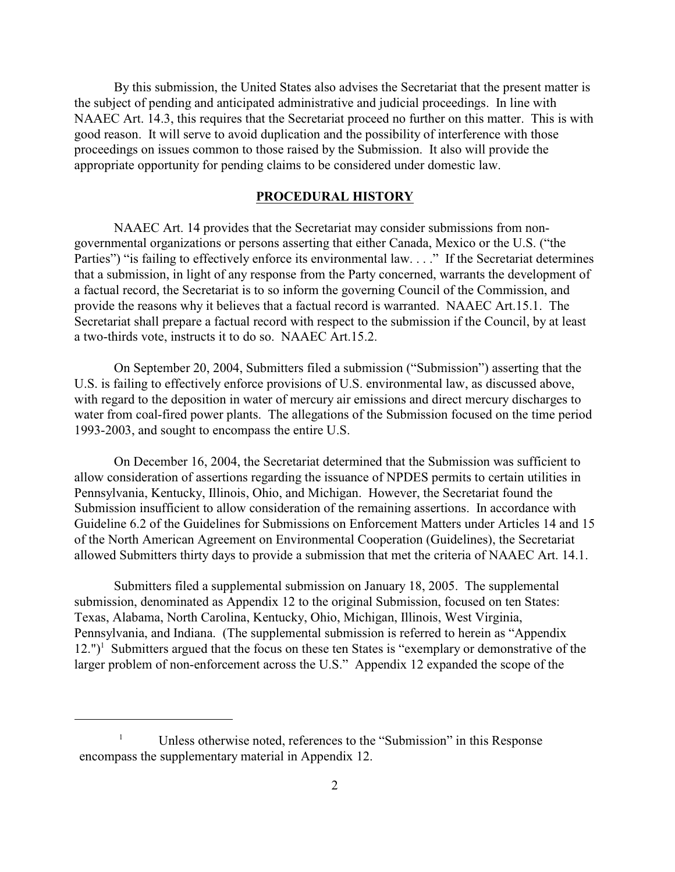By this submission, the United States also advises the Secretariat that the present matter is the subject of pending and anticipated administrative and judicial proceedings. In line with NAAEC Art. 14.3, this requires that the Secretariat proceed no further on this matter. This is with good reason. It will serve to avoid duplication and the possibility of interference with those proceedings on issues common to those raised by the Submission. It also will provide the appropriate opportunity for pending claims to be considered under domestic law.

#### **PROCEDURAL HISTORY**

NAAEC Art. 14 provides that the Secretariat may consider submissions from nongovernmental organizations or persons asserting that either Canada, Mexico or the U.S. ("the Parties") "is failing to effectively enforce its environmental law. . . ." If the Secretariat determines that a submission, in light of any response from the Party concerned, warrants the development of a factual record, the Secretariat is to so inform the governing Council of the Commission, and provide the reasons why it believes that a factual record is warranted. NAAEC Art.15.1. The Secretariat shall prepare a factual record with respect to the submission if the Council, by at least a two-thirds vote, instructs it to do so. NAAEC Art.15.2.

On September 20, 2004, Submitters filed a submission ("Submission") asserting that the U.S. is failing to effectively enforce provisions of U.S. environmental law, as discussed above, with regard to the deposition in water of mercury air emissions and direct mercury discharges to water from coal-fired power plants. The allegations of the Submission focused on the time period 1993-2003, and sought to encompass the entire U.S.

On December 16, 2004, the Secretariat determined that the Submission was sufficient to allow consideration of assertions regarding the issuance of NPDES permits to certain utilities in Pennsylvania, Kentucky, Illinois, Ohio, and Michigan. However, the Secretariat found the Submission insufficient to allow consideration of the remaining assertions. In accordance with Guideline 6.2 of the Guidelines for Submissions on Enforcement Matters under Articles 14 and 15 of the North American Agreement on Environmental Cooperation (Guidelines), the Secretariat allowed Submitters thirty days to provide a submission that met the criteria of NAAEC Art. 14.1.

Submitters filed a supplemental submission on January 18, 2005. The supplemental submission, denominated as Appendix 12 to the original Submission, focused on ten States: Texas, Alabama, North Carolina, Kentucky, Ohio, Michigan, Illinois, West Virginia, Pennsylvania, and Indiana. (The supplemental submission is referred to herein as "Appendix  $12."$ <sup>1</sup> Submitters argued that the focus on these ten States is "exemplary or demonstrative of the larger problem of non-enforcement across the U.S." Appendix 12 expanded the scope of the

 $\frac{1}{1}$  Unless otherwise noted, references to the "Submission" in this Response encompass the supplementary material in Appendix 12.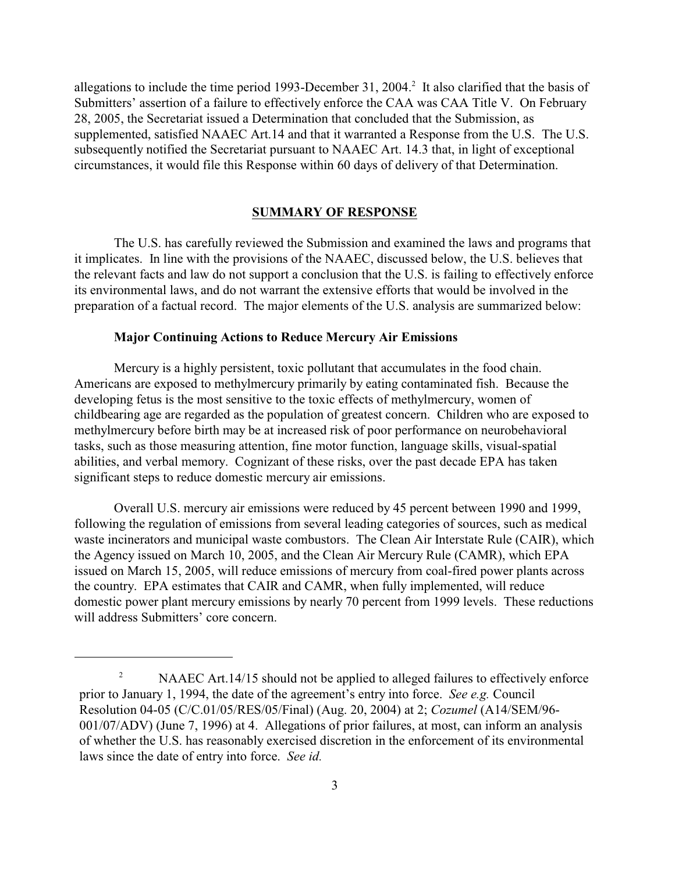allegations to include the time period 1993-December 31, 2004.<sup>2</sup> It also clarified that the basis of Submitters' assertion of a failure to effectively enforce the CAA was CAA Title V. On February 28, 2005, the Secretariat issued a Determination that concluded that the Submission, as supplemented, satisfied NAAEC Art.14 and that it warranted a Response from the U.S. The U.S. subsequently notified the Secretariat pursuant to NAAEC Art. 14.3 that, in light of exceptional circumstances, it would file this Response within 60 days of delivery of that Determination.

#### **SUMMARY OF RESPONSE**

The U.S. has carefully reviewed the Submission and examined the laws and programs that it implicates. In line with the provisions of the NAAEC, discussed below, the U.S. believes that the relevant facts and law do not support a conclusion that the U.S. is failing to effectively enforce its environmental laws, and do not warrant the extensive efforts that would be involved in the preparation of a factual record. The major elements of the U.S. analysis are summarized below:

### **Major Continuing Actions to Reduce Mercury Air Emissions**

Mercury is a highly persistent, toxic pollutant that accumulates in the food chain. Americans are exposed to methylmercury primarily by eating contaminated fish. Because the developing fetus is the most sensitive to the toxic effects of methylmercury, women of childbearing age are regarded as the population of greatest concern. Children who are exposed to methylmercury before birth may be at increased risk of poor performance on neurobehavioral tasks, such as those measuring attention, fine motor function, language skills, visual-spatial abilities, and verbal memory. Cognizant of these risks, over the past decade EPA has taken significant steps to reduce domestic mercury air emissions.

Overall U.S. mercury air emissions were reduced by 45 percent between 1990 and 1999, following the regulation of emissions from several leading categories of sources, such as medical waste incinerators and municipal waste combustors. The Clean Air Interstate Rule (CAIR), which the Agency issued on March 10, 2005, and the Clean Air Mercury Rule (CAMR), which EPA issued on March 15, 2005, will reduce emissions of mercury from coal-fired power plants across the country. EPA estimates that CAIR and CAMR, when fully implemented, will reduce domestic power plant mercury emissions by nearly 70 percent from 1999 levels. These reductions will address Submitters' core concern.

 $NAAEC Art.14/15$  should not be applied to alleged failures to effectively enforce prior to January 1, 1994, the date of the agreement's entry into force. *See e.g.* Council Resolution 04-05 (C/C.01/05/RES/05/Final) (Aug. 20, 2004) at 2; *Cozumel* (A14/SEM/96- 001/07/ADV) (June 7, 1996) at 4. Allegations of prior failures, at most, can inform an analysis of whether the U.S. has reasonably exercised discretion in the enforcement of its environmental laws since the date of entry into force. *See id.*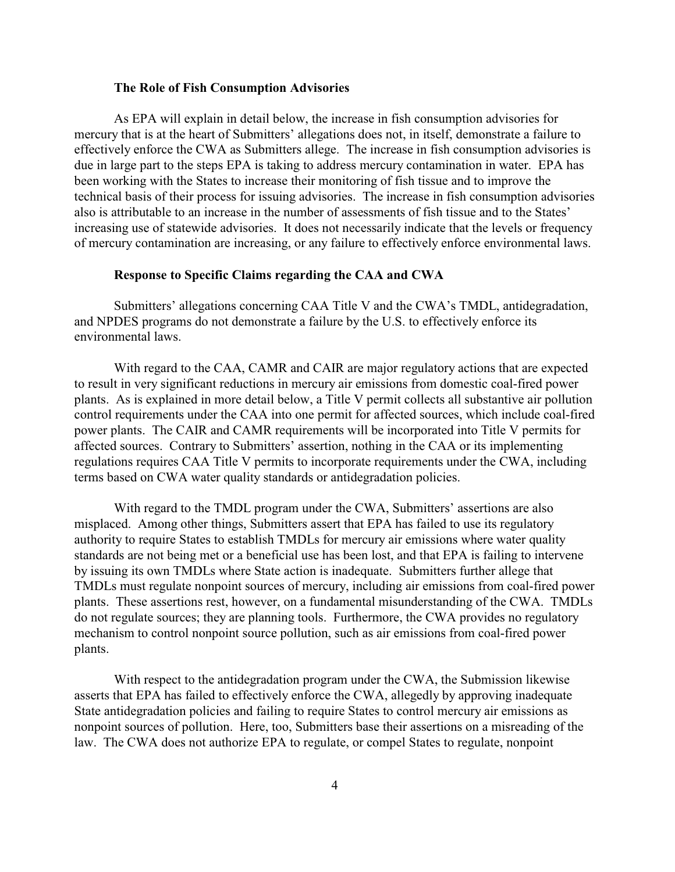### **The Role of Fish Consumption Advisories**

As EPA will explain in detail below, the increase in fish consumption advisories for mercury that is at the heart of Submitters' allegations does not, in itself, demonstrate a failure to effectively enforce the CWA as Submitters allege. The increase in fish consumption advisories is due in large part to the steps EPA is taking to address mercury contamination in water. EPA has been working with the States to increase their monitoring of fish tissue and to improve the technical basis of their process for issuing advisories. The increase in fish consumption advisories also is attributable to an increase in the number of assessments of fish tissue and to the States' increasing use of statewide advisories. It does not necessarily indicate that the levels or frequency of mercury contamination are increasing, or any failure to effectively enforce environmental laws.

### **Response to Specific Claims regarding the CAA and CWA**

Submitters' allegations concerning CAA Title V and the CWA's TMDL, antidegradation, and NPDES programs do not demonstrate a failure by the U.S. to effectively enforce its environmental laws.

With regard to the CAA, CAMR and CAIR are major regulatory actions that are expected to result in very significant reductions in mercury air emissions from domestic coal-fired power plants. As is explained in more detail below, a Title V permit collects all substantive air pollution control requirements under the CAA into one permit for affected sources, which include coal-fired power plants. The CAIR and CAMR requirements will be incorporated into Title V permits for affected sources. Contrary to Submitters' assertion, nothing in the CAA or its implementing regulations requires CAA Title V permits to incorporate requirements under the CWA, including terms based on CWA water quality standards or antidegradation policies.

With regard to the TMDL program under the CWA, Submitters' assertions are also misplaced. Among other things, Submitters assert that EPA has failed to use its regulatory authority to require States to establish TMDLs for mercury air emissions where water quality standards are not being met or a beneficial use has been lost, and that EPA is failing to intervene by issuing its own TMDLs where State action is inadequate. Submitters further allege that TMDLs must regulate nonpoint sources of mercury, including air emissions from coal-fired power plants. These assertions rest, however, on a fundamental misunderstanding of the CWA. TMDLs do not regulate sources; they are planning tools. Furthermore, the CWA provides no regulatory mechanism to control nonpoint source pollution, such as air emissions from coal-fired power plants.

With respect to the antidegradation program under the CWA, the Submission likewise asserts that EPA has failed to effectively enforce the CWA, allegedly by approving inadequate State antidegradation policies and failing to require States to control mercury air emissions as nonpoint sources of pollution. Here, too, Submitters base their assertions on a misreading of the law. The CWA does not authorize EPA to regulate, or compel States to regulate, nonpoint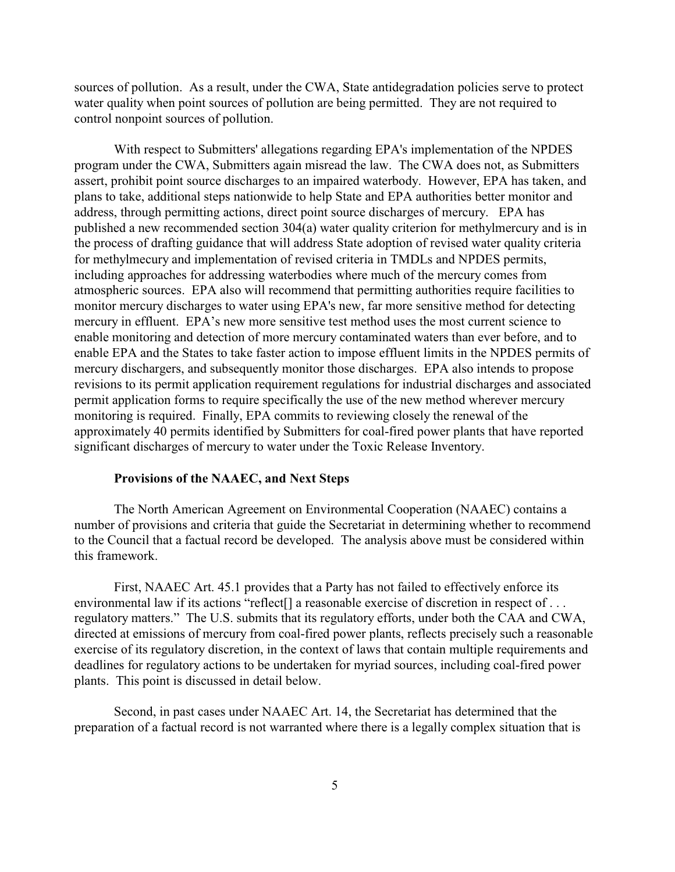sources of pollution. As a result, under the CWA, State antidegradation policies serve to protect water quality when point sources of pollution are being permitted. They are not required to control nonpoint sources of pollution.

With respect to Submitters' allegations regarding EPA's implementation of the NPDES program under the CWA, Submitters again misread the law. The CWA does not, as Submitters assert, prohibit point source discharges to an impaired waterbody. However, EPA has taken, and plans to take, additional steps nationwide to help State and EPA authorities better monitor and address, through permitting actions, direct point source discharges of mercury. EPA has published a new recommended section 304(a) water quality criterion for methylmercury and is in the process of drafting guidance that will address State adoption of revised water quality criteria for methylmecury and implementation of revised criteria in TMDLs and NPDES permits, including approaches for addressing waterbodies where much of the mercury comes from atmospheric sources. EPA also will recommend that permitting authorities require facilities to monitor mercury discharges to water using EPA's new, far more sensitive method for detecting mercury in effluent. EPA's new more sensitive test method uses the most current science to enable monitoring and detection of more mercury contaminated waters than ever before, and to enable EPA and the States to take faster action to impose effluent limits in the NPDES permits of mercury dischargers, and subsequently monitor those discharges. EPA also intends to propose revisions to its permit application requirement regulations for industrial discharges and associated permit application forms to require specifically the use of the new method wherever mercury monitoring is required. Finally, EPA commits to reviewing closely the renewal of the approximately 40 permits identified by Submitters for coal-fired power plants that have reported significant discharges of mercury to water under the Toxic Release Inventory.

### **Provisions of the NAAEC, and Next Steps**

The North American Agreement on Environmental Cooperation (NAAEC) contains a number of provisions and criteria that guide the Secretariat in determining whether to recommend to the Council that a factual record be developed. The analysis above must be considered within this framework.

First, NAAEC Art. 45.1 provides that a Party has not failed to effectively enforce its environmental law if its actions "reflect<sup>[]</sup> a reasonable exercise of discretion in respect of ... regulatory matters." The U.S. submits that its regulatory efforts, under both the CAA and CWA, directed at emissions of mercury from coal-fired power plants, reflects precisely such a reasonable exercise of its regulatory discretion, in the context of laws that contain multiple requirements and deadlines for regulatory actions to be undertaken for myriad sources, including coal-fired power plants. This point is discussed in detail below.

Second, in past cases under NAAEC Art. 14, the Secretariat has determined that the preparation of a factual record is not warranted where there is a legally complex situation that is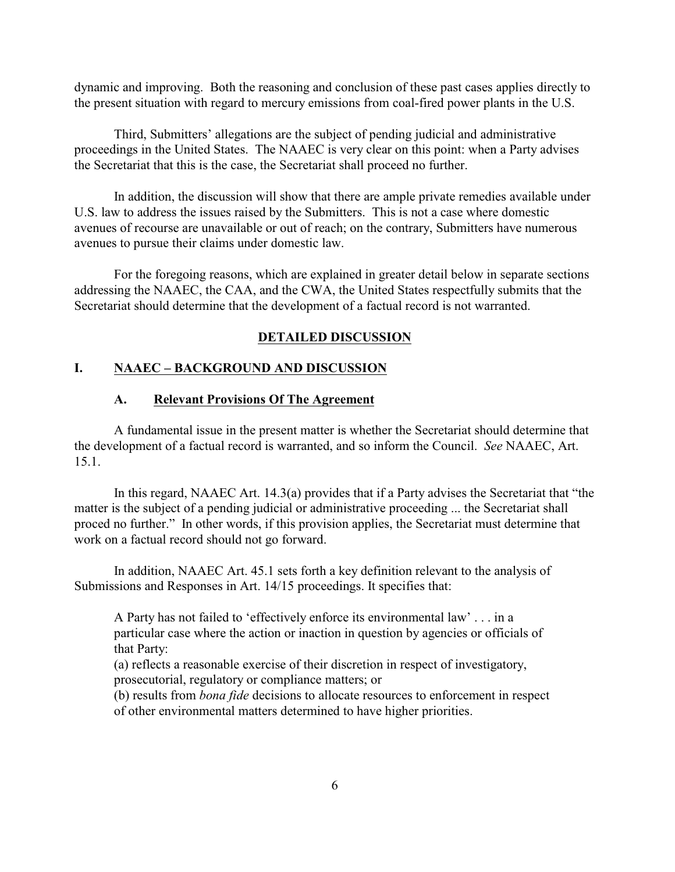dynamic and improving. Both the reasoning and conclusion of these past cases applies directly to the present situation with regard to mercury emissions from coal-fired power plants in the U.S.

Third, Submitters' allegations are the subject of pending judicial and administrative proceedings in the United States. The NAAEC is very clear on this point: when a Party advises the Secretariat that this is the case, the Secretariat shall proceed no further.

In addition, the discussion will show that there are ample private remedies available under U.S. law to address the issues raised by the Submitters. This is not a case where domestic avenues of recourse are unavailable or out of reach; on the contrary, Submitters have numerous avenues to pursue their claims under domestic law.

For the foregoing reasons, which are explained in greater detail below in separate sections addressing the NAAEC, the CAA, and the CWA, the United States respectfully submits that the Secretariat should determine that the development of a factual record is not warranted.

### **DETAILED DISCUSSION**

### **I. NAAEC – BACKGROUND AND DISCUSSION**

## **A. Relevant Provisions Of The Agreement**

A fundamental issue in the present matter is whether the Secretariat should determine that the development of a factual record is warranted, and so inform the Council. *See* NAAEC, Art. 15.1.

In this regard, NAAEC Art. 14.3(a) provides that if a Party advises the Secretariat that "the matter is the subject of a pending judicial or administrative proceeding ... the Secretariat shall proced no further." In other words, if this provision applies, the Secretariat must determine that work on a factual record should not go forward.

In addition, NAAEC Art. 45.1 sets forth a key definition relevant to the analysis of Submissions and Responses in Art. 14/15 proceedings. It specifies that:

A Party has not failed to 'effectively enforce its environmental law' . . . in a particular case where the action or inaction in question by agencies or officials of that Party:

(a) reflects a reasonable exercise of their discretion in respect of investigatory, prosecutorial, regulatory or compliance matters; or

(b) results from *bona fide* decisions to allocate resources to enforcement in respect of other environmental matters determined to have higher priorities.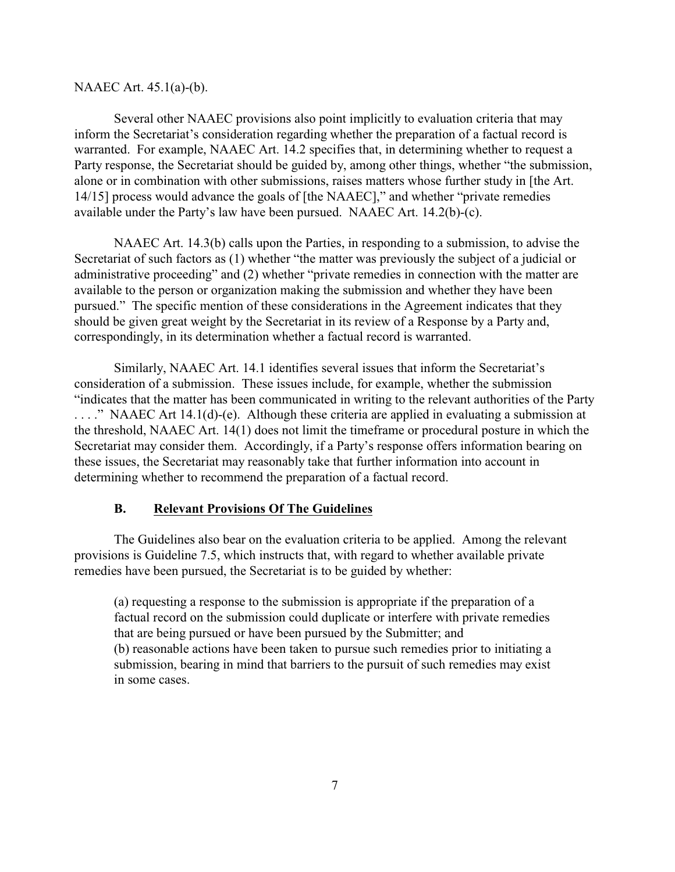#### NAAEC Art. 45.1(a)-(b).

Several other NAAEC provisions also point implicitly to evaluation criteria that may inform the Secretariat's consideration regarding whether the preparation of a factual record is warranted. For example, NAAEC Art. 14.2 specifies that, in determining whether to request a Party response, the Secretariat should be guided by, among other things, whether "the submission, alone or in combination with other submissions, raises matters whose further study in [the Art. 14/15] process would advance the goals of [the NAAEC]," and whether "private remedies available under the Party's law have been pursued. NAAEC Art. 14.2(b)-(c).

NAAEC Art. 14.3(b) calls upon the Parties, in responding to a submission, to advise the Secretariat of such factors as (1) whether "the matter was previously the subject of a judicial or administrative proceeding" and (2) whether "private remedies in connection with the matter are available to the person or organization making the submission and whether they have been pursued." The specific mention of these considerations in the Agreement indicates that they should be given great weight by the Secretariat in its review of a Response by a Party and, correspondingly, in its determination whether a factual record is warranted.

Similarly, NAAEC Art. 14.1 identifies several issues that inform the Secretariat's consideration of a submission. These issues include, for example, whether the submission "indicates that the matter has been communicated in writing to the relevant authorities of the Party . . . ." NAAEC Art 14.1(d)-(e). Although these criteria are applied in evaluating a submission at the threshold, NAAEC Art. 14(1) does not limit the timeframe or procedural posture in which the Secretariat may consider them. Accordingly, if a Party's response offers information bearing on these issues, the Secretariat may reasonably take that further information into account in determining whether to recommend the preparation of a factual record.

### **B. Relevant Provisions Of The Guidelines**

The Guidelines also bear on the evaluation criteria to be applied. Among the relevant provisions is Guideline 7.5, which instructs that, with regard to whether available private remedies have been pursued, the Secretariat is to be guided by whether:

(a) requesting a response to the submission is appropriate if the preparation of a factual record on the submission could duplicate or interfere with private remedies that are being pursued or have been pursued by the Submitter; and (b) reasonable actions have been taken to pursue such remedies prior to initiating a submission, bearing in mind that barriers to the pursuit of such remedies may exist in some cases.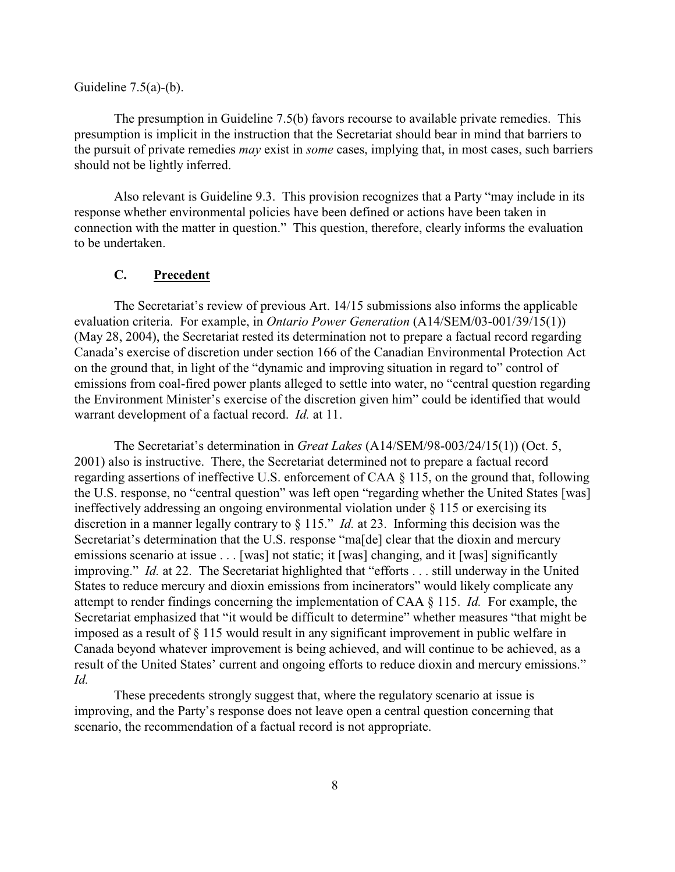### Guideline  $7.5(a)-(b)$ .

The presumption in Guideline 7.5(b) favors recourse to available private remedies. This presumption is implicit in the instruction that the Secretariat should bear in mind that barriers to the pursuit of private remedies *may* exist in *some* cases, implying that, in most cases, such barriers should not be lightly inferred.

Also relevant is Guideline 9.3. This provision recognizes that a Party "may include in its response whether environmental policies have been defined or actions have been taken in connection with the matter in question." This question, therefore, clearly informs the evaluation to be undertaken.

### **C. Precedent**

The Secretariat's review of previous Art. 14/15 submissions also informs the applicable evaluation criteria. For example, in *Ontario Power Generation* (A14/SEM/03-001/39/15(1)) (May 28, 2004), the Secretariat rested its determination not to prepare a factual record regarding Canada's exercise of discretion under section 166 of the Canadian Environmental Protection Act on the ground that, in light of the "dynamic and improving situation in regard to" control of emissions from coal-fired power plants alleged to settle into water, no "central question regarding the Environment Minister's exercise of the discretion given him" could be identified that would warrant development of a factual record. *Id.* at 11.

The Secretariat's determination in *Great Lakes* (A14/SEM/98-003/24/15(1)) (Oct. 5, 2001) also is instructive. There, the Secretariat determined not to prepare a factual record regarding assertions of ineffective U.S. enforcement of CAA § 115, on the ground that, following the U.S. response, no "central question" was left open "regarding whether the United States [was] ineffectively addressing an ongoing environmental violation under § 115 or exercising its discretion in a manner legally contrary to § 115." *Id.* at 23. Informing this decision was the Secretariat's determination that the U.S. response "ma[de] clear that the dioxin and mercury emissions scenario at issue . . . [was] not static; it [was] changing, and it [was] significantly improving." *Id.* at 22. The Secretariat highlighted that "efforts . . . still underway in the United States to reduce mercury and dioxin emissions from incinerators" would likely complicate any attempt to render findings concerning the implementation of CAA § 115. *Id.* For example, the Secretariat emphasized that "it would be difficult to determine" whether measures "that might be imposed as a result of § 115 would result in any significant improvement in public welfare in Canada beyond whatever improvement is being achieved, and will continue to be achieved, as a result of the United States' current and ongoing efforts to reduce dioxin and mercury emissions." *Id.*

These precedents strongly suggest that, where the regulatory scenario at issue is improving, and the Party's response does not leave open a central question concerning that scenario, the recommendation of a factual record is not appropriate.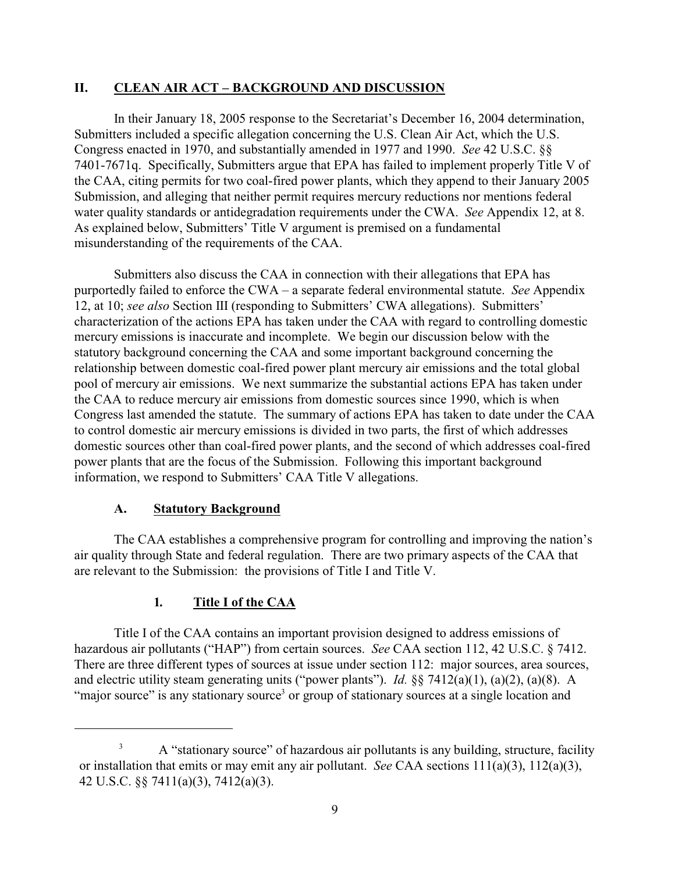## **II. CLEAN AIR ACT – BACKGROUND AND DISCUSSION**

In their January 18, 2005 response to the Secretariat's December 16, 2004 determination, Submitters included a specific allegation concerning the U.S. Clean Air Act, which the U.S. Congress enacted in 1970, and substantially amended in 1977 and 1990. *See* 42 U.S.C. §§ 7401-7671q. Specifically, Submitters argue that EPA has failed to implement properly Title V of the CAA, citing permits for two coal-fired power plants, which they append to their January 2005 Submission, and alleging that neither permit requires mercury reductions nor mentions federal water quality standards or antidegradation requirements under the CWA. *See* Appendix 12, at 8. As explained below, Submitters' Title V argument is premised on a fundamental misunderstanding of the requirements of the CAA.

Submitters also discuss the CAA in connection with their allegations that EPA has purportedly failed to enforce the CWA – a separate federal environmental statute. *See* Appendix 12, at 10; *see also* Section III (responding to Submitters' CWA allegations). Submitters' characterization of the actions EPA has taken under the CAA with regard to controlling domestic mercury emissions is inaccurate and incomplete. We begin our discussion below with the statutory background concerning the CAA and some important background concerning the relationship between domestic coal-fired power plant mercury air emissions and the total global pool of mercury air emissions. We next summarize the substantial actions EPA has taken under the CAA to reduce mercury air emissions from domestic sources since 1990, which is when Congress last amended the statute. The summary of actions EPA has taken to date under the CAA to control domestic air mercury emissions is divided in two parts, the first of which addresses domestic sources other than coal-fired power plants, and the second of which addresses coal-fired power plants that are the focus of the Submission. Following this important background information, we respond to Submitters' CAA Title V allegations.

## **A. Statutory Background**

The CAA establishes a comprehensive program for controlling and improving the nation's air quality through State and federal regulation. There are two primary aspects of the CAA that are relevant to the Submission: the provisions of Title I and Title V.

## **1***.* **Title I of the CAA**

Title I of the CAA contains an important provision designed to address emissions of hazardous air pollutants ("HAP") from certain sources. *See* CAA section 112, 42 U.S.C. § 7412. There are three different types of sources at issue under section 112: major sources, area sources, and electric utility steam generating units ("power plants"). *Id.* §§ 7412(a)(1), (a)(2), (a)(8). A "major source" is any stationary source<sup>3</sup> or group of stationary sources at a single location and

<sup>&</sup>lt;sup>3</sup> A "stationary source" of hazardous air pollutants is any building, structure, facility or installation that emits or may emit any air pollutant. *See* CAA sections 111(a)(3), 112(a)(3), 42 U.S.C. §§ 7411(a)(3), 7412(a)(3).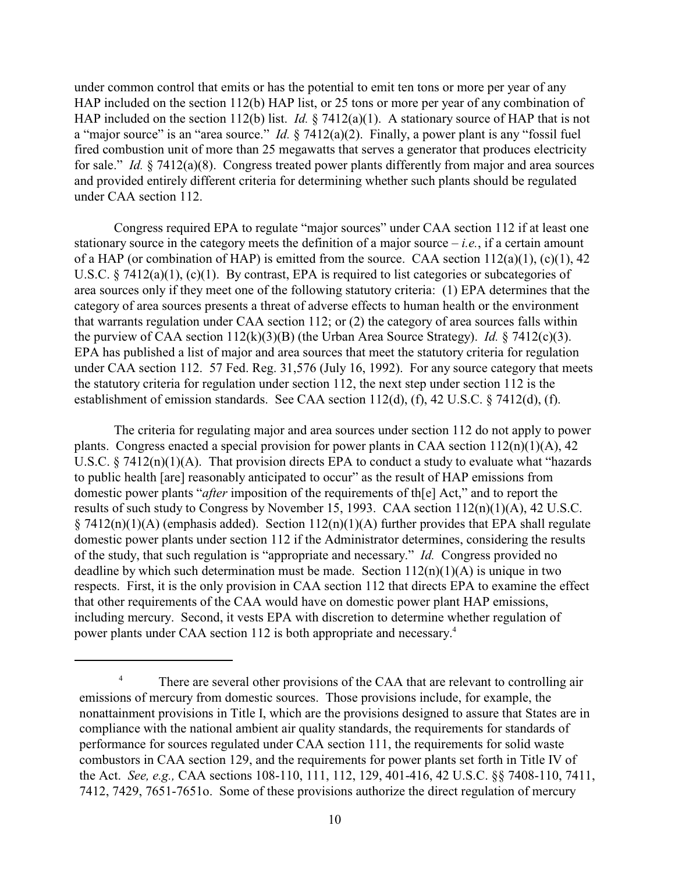under common control that emits or has the potential to emit ten tons or more per year of any HAP included on the section 112(b) HAP list, or 25 tons or more per year of any combination of HAP included on the section 112(b) list. *Id.* § 7412(a)(1). A stationary source of HAP that is not a "major source" is an "area source." *Id.* § 7412(a)(2). Finally, a power plant is any "fossil fuel fired combustion unit of more than 25 megawatts that serves a generator that produces electricity for sale." *Id.* § 7412(a)(8). Congress treated power plants differently from major and area sources and provided entirely different criteria for determining whether such plants should be regulated under CAA section 112.

Congress required EPA to regulate "major sources" under CAA section 112 if at least one stationary source in the category meets the definition of a major source  $-i.e.,$  if a certain amount of a HAP (or combination of HAP) is emitted from the source. CAA section  $112(a)(1)$ , (c)(1), 42 U.S.C. § 7412(a)(1), (c)(1). By contrast, EPA is required to list categories or subcategories of area sources only if they meet one of the following statutory criteria: (1) EPA determines that the category of area sources presents a threat of adverse effects to human health or the environment that warrants regulation under CAA section 112; or (2) the category of area sources falls within the purview of CAA section 112(k)(3)(B) (the Urban Area Source Strategy). *Id.* § 7412(c)(3). EPA has published a list of major and area sources that meet the statutory criteria for regulation under CAA section 112. 57 Fed. Reg. 31,576 (July 16, 1992). For any source category that meets the statutory criteria for regulation under section 112, the next step under section 112 is the establishment of emission standards. See CAA section 112(d), (f), 42 U.S.C. § 7412(d), (f).

The criteria for regulating major and area sources under section 112 do not apply to power plants. Congress enacted a special provision for power plants in CAA section  $112(n)(1)(A)$ , 42 U.S.C.  $\S$  7412(n)(1)(A). That provision directs EPA to conduct a study to evaluate what "hazards" to public health [are] reasonably anticipated to occur" as the result of HAP emissions from domestic power plants "*after* imposition of the requirements of th[e] Act," and to report the results of such study to Congress by November 15, 1993. CAA section 112(n)(1)(A), 42 U.S.C.  $§ 7412(n)(1)(A)$  (emphasis added). Section  $112(n)(1)(A)$  further provides that EPA shall regulate domestic power plants under section 112 if the Administrator determines, considering the results of the study, that such regulation is "appropriate and necessary." *Id.* Congress provided no deadline by which such determination must be made. Section  $112(n)(1)(A)$  is unique in two respects. First, it is the only provision in CAA section 112 that directs EPA to examine the effect that other requirements of the CAA would have on domestic power plant HAP emissions, including mercury. Second, it vests EPA with discretion to determine whether regulation of power plants under CAA section 112 is both appropriate and necessary.<sup>4</sup>

<sup>&</sup>lt;sup>4</sup> There are several other provisions of the CAA that are relevant to controlling air emissions of mercury from domestic sources. Those provisions include, for example, the nonattainment provisions in Title I, which are the provisions designed to assure that States are in compliance with the national ambient air quality standards, the requirements for standards of performance for sources regulated under CAA section 111, the requirements for solid waste combustors in CAA section 129, and the requirements for power plants set forth in Title IV of the Act. *See, e.g.,* CAA sections 108-110, 111, 112, 129, 401-416, 42 U.S.C. §§ 7408-110, 7411, 7412, 7429, 7651-7651o. Some of these provisions authorize the direct regulation of mercury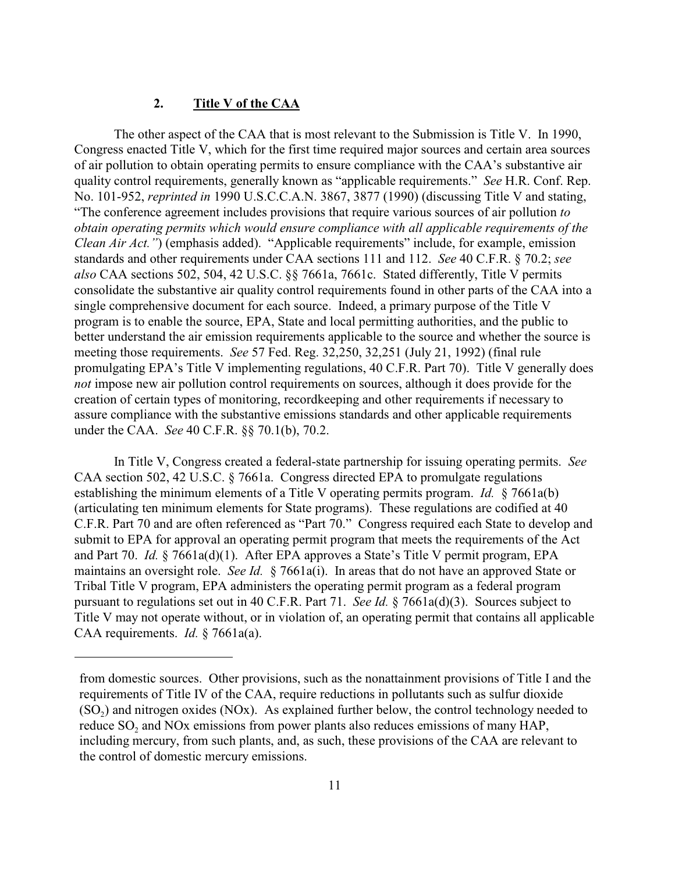### **2. Title V of the CAA**

The other aspect of the CAA that is most relevant to the Submission is Title V. In 1990, Congress enacted Title V, which for the first time required major sources and certain area sources of air pollution to obtain operating permits to ensure compliance with the CAA's substantive air quality control requirements, generally known as "applicable requirements." *See* H.R. Conf. Rep. No. 101-952, *reprinted in* 1990 U.S.C.C.A.N. 3867, 3877 (1990) (discussing Title V and stating, "The conference agreement includes provisions that require various sources of air pollution *to obtain operating permits which would ensure compliance with all applicable requirements of the Clean Air Act.*") (emphasis added). "Applicable requirements" include, for example, emission standards and other requirements under CAA sections 111 and 112. *See* 40 C.F.R. § 70.2; *see also* CAA sections 502, 504, 42 U.S.C. §§ 7661a, 7661c. Stated differently, Title V permits consolidate the substantive air quality control requirements found in other parts of the CAA into a single comprehensive document for each source. Indeed, a primary purpose of the Title V program is to enable the source, EPA, State and local permitting authorities, and the public to better understand the air emission requirements applicable to the source and whether the source is meeting those requirements. *See* 57 Fed. Reg. 32,250, 32,251 (July 21, 1992) (final rule promulgating EPA's Title V implementing regulations, 40 C.F.R. Part 70). Title V generally does *not* impose new air pollution control requirements on sources, although it does provide for the creation of certain types of monitoring, recordkeeping and other requirements if necessary to assure compliance with the substantive emissions standards and other applicable requirements under the CAA. *See* 40 C.F.R. §§ 70.1(b), 70.2.

In Title V, Congress created a federal-state partnership for issuing operating permits. *See* CAA section 502, 42 U.S.C. § 7661a. Congress directed EPA to promulgate regulations establishing the minimum elements of a Title V operating permits program. *Id.* § 7661a(b) (articulating ten minimum elements for State programs). These regulations are codified at 40 C.F.R. Part 70 and are often referenced as "Part 70." Congress required each State to develop and submit to EPA for approval an operating permit program that meets the requirements of the Act and Part 70. *Id.* § 7661a(d)(1). After EPA approves a State's Title V permit program, EPA maintains an oversight role. *See Id.* § 7661a(i). In areas that do not have an approved State or Tribal Title V program, EPA administers the operating permit program as a federal program pursuant to regulations set out in 40 C.F.R. Part 71. *See Id.* § 7661a(d)(3). Sources subject to Title V may not operate without, or in violation of, an operating permit that contains all applicable CAA requirements. *Id.* § 7661a(a).

from domestic sources. Other provisions, such as the nonattainment provisions of Title I and the requirements of Title IV of the CAA, require reductions in pollutants such as sulfur dioxide  $(SO<sub>2</sub>)$  and nitrogen oxides (NOx). As explained further below, the control technology needed to reduce  $SO_2$  and NOx emissions from power plants also reduces emissions of many HAP, including mercury, from such plants, and, as such, these provisions of the CAA are relevant to the control of domestic mercury emissions.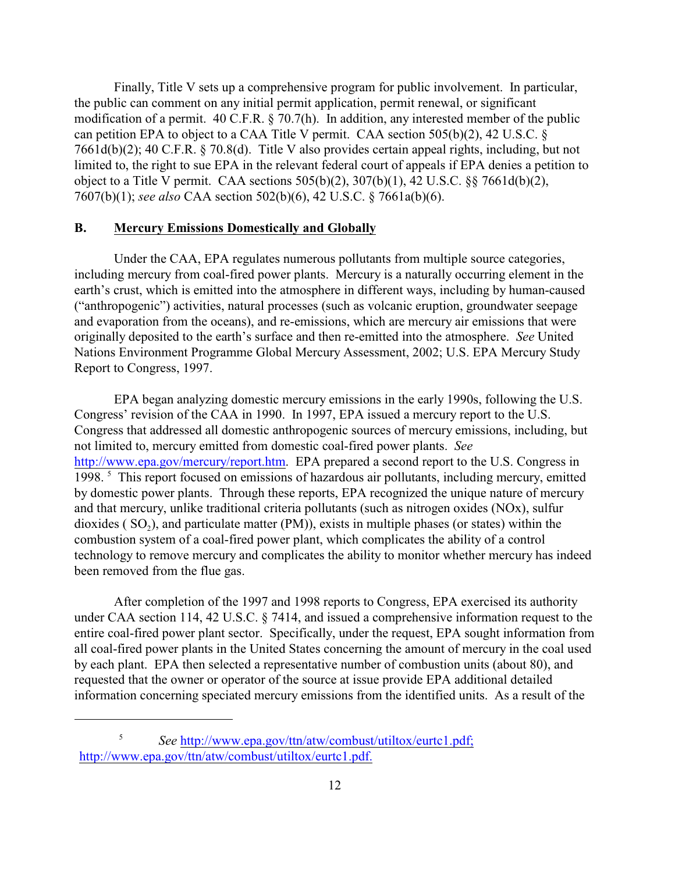Finally, Title V sets up a comprehensive program for public involvement. In particular, the public can comment on any initial permit application, permit renewal, or significant modification of a permit. 40 C.F.R. § 70.7(h). In addition, any interested member of the public can petition EPA to object to a CAA Title V permit. CAA section 505(b)(2), 42 U.S.C. § 7661d(b)(2); 40 C.F.R. § 70.8(d). Title V also provides certain appeal rights, including, but not limited to, the right to sue EPA in the relevant federal court of appeals if EPA denies a petition to object to a Title V permit. CAA sections 505(b)(2), 307(b)(1), 42 U.S.C. §§ 7661d(b)(2), 7607(b)(1); *see also* CAA section 502(b)(6), 42 U.S.C. § 7661a(b)(6).

#### **B. Mercury Emissions Domestically and Globally**

Under the CAA, EPA regulates numerous pollutants from multiple source categories, including mercury from coal-fired power plants. Mercury is a naturally occurring element in the earth's crust, which is emitted into the atmosphere in different ways, including by human-caused ("anthropogenic") activities, natural processes (such as volcanic eruption, groundwater seepage and evaporation from the oceans), and re-emissions, which are mercury air emissions that were originally deposited to the earth's surface and then re-emitted into the atmosphere. *See* United Nations Environment Programme Global Mercury Assessment, 2002; U.S. EPA Mercury Study Report to Congress, 1997.

EPA began analyzing domestic mercury emissions in the early 1990s, following the U.S. Congress' revision of the CAA in 1990. In 1997, EPA issued a mercury report to the U.S. Congress that addressed all domestic anthropogenic sources of mercury emissions, including, but not limited to, mercury emitted from domestic coal-fired power plants. *See* <http://www.epa.gov/mercury/report.htm>. EPA prepared a second report to the U.S. Congress in 1998.<sup>5</sup> This report focused on emissions of hazardous air pollutants, including mercury, emitted by domestic power plants. Through these reports, EPA recognized the unique nature of mercury and that mercury, unlike traditional criteria pollutants (such as nitrogen oxides (NOx), sulfur dioxides ( $SO_2$ ), and particulate matter (PM)), exists in multiple phases (or states) within the combustion system of a coal-fired power plant, which complicates the ability of a control technology to remove mercury and complicates the ability to monitor whether mercury has indeed been removed from the flue gas.

After completion of the 1997 and 1998 reports to Congress, EPA exercised its authority under CAA section 114, 42 U.S.C. § 7414, and issued a comprehensive information request to the entire coal-fired power plant sector. Specifically, under the request, EPA sought information from all coal-fired power plants in the United States concerning the amount of mercury in the coal used by each plant. EPA then selected a representative number of combustion units (about 80), and requested that the owner or operator of the source at issue provide EPA additional detailed information concerning speciated mercury emissions from the identified units. As a result of the

<sup>&</sup>lt;sup>5</sup> See <u>http://www.epa.gov/ttn/atw/combust/utiltox/eurtc1.pdf</u>; <http://www.epa.gov/ttn/atw/combust/utiltox/eurtc1.pdf.>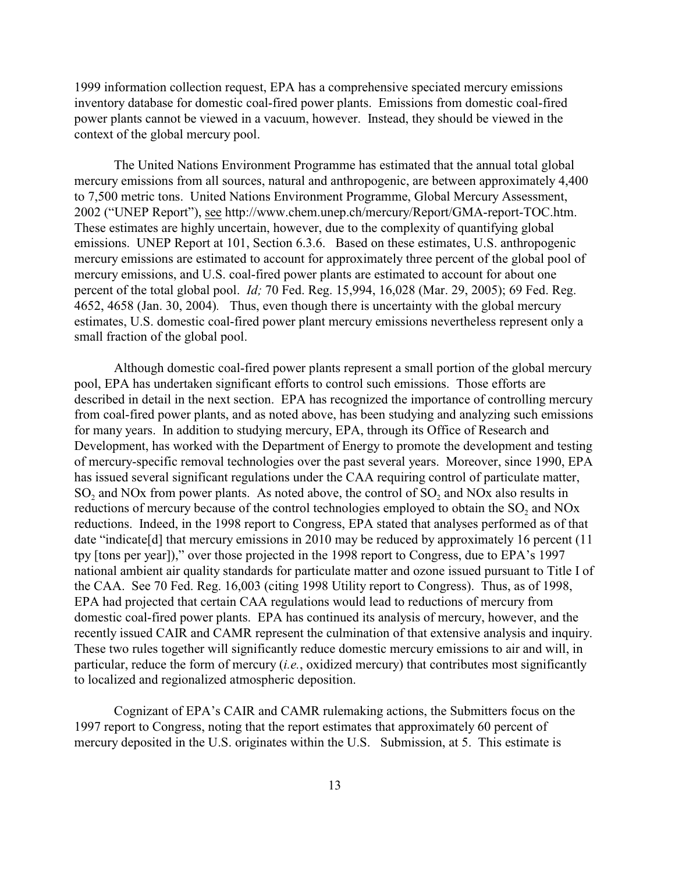1999 information collection request, EPA has a comprehensive speciated mercury emissions inventory database for domestic coal-fired power plants. Emissions from domestic coal-fired power plants cannot be viewed in a vacuum, however. Instead, they should be viewed in the context of the global mercury pool.

The United Nations Environment Programme has estimated that the annual total global mercury emissions from all sources, natural and anthropogenic, are between approximately 4,400 to 7,500 metric tons. United Nations Environment Programme, Global Mercury Assessment, 2002 ("UNEP Report"), see http://www.chem.unep.ch/mercury/Report/GMA-report-TOC.htm. These estimates are highly uncertain, however, due to the complexity of quantifying global emissions. UNEP Report at 101, Section 6.3.6. Based on these estimates, U.S. anthropogenic mercury emissions are estimated to account for approximately three percent of the global pool of mercury emissions, and U.S. coal-fired power plants are estimated to account for about one percent of the total global pool. *Id;* 70 Fed. Reg. 15,994, 16,028 (Mar. 29, 2005); 69 Fed. Reg. 4652, 4658 (Jan. 30, 2004)*.* Thus, even though there is uncertainty with the global mercury estimates, U.S. domestic coal-fired power plant mercury emissions nevertheless represent only a small fraction of the global pool.

Although domestic coal-fired power plants represent a small portion of the global mercury pool, EPA has undertaken significant efforts to control such emissions. Those efforts are described in detail in the next section. EPA has recognized the importance of controlling mercury from coal-fired power plants, and as noted above, has been studying and analyzing such emissions for many years. In addition to studying mercury, EPA, through its Office of Research and Development, has worked with the Department of Energy to promote the development and testing of mercury-specific removal technologies over the past several years. Moreover, since 1990, EPA has issued several significant regulations under the CAA requiring control of particulate matter, SO<sub>2</sub> and NOx from power plants. As noted above, the control of SO<sub>2</sub> and NO<sub>x</sub> also results in reductions of mercury because of the control technologies employed to obtain the  $SO_2$  and NOx reductions. Indeed, in the 1998 report to Congress, EPA stated that analyses performed as of that date "indicate<sup>[d]</sup> that mercury emissions in 2010 may be reduced by approximately 16 percent (11) tpy [tons per year])," over those projected in the 1998 report to Congress, due to EPA's 1997 national ambient air quality standards for particulate matter and ozone issued pursuant to Title I of the CAA. See 70 Fed. Reg. 16,003 (citing 1998 Utility report to Congress). Thus, as of 1998, EPA had projected that certain CAA regulations would lead to reductions of mercury from domestic coal-fired power plants. EPA has continued its analysis of mercury, however, and the recently issued CAIR and CAMR represent the culmination of that extensive analysis and inquiry. These two rules together will significantly reduce domestic mercury emissions to air and will, in particular, reduce the form of mercury (*i.e.*, oxidized mercury) that contributes most significantly to localized and regionalized atmospheric deposition.

Cognizant of EPA's CAIR and CAMR rulemaking actions, the Submitters focus on the 1997 report to Congress, noting that the report estimates that approximately 60 percent of mercury deposited in the U.S. originates within the U.S. Submission, at 5. This estimate is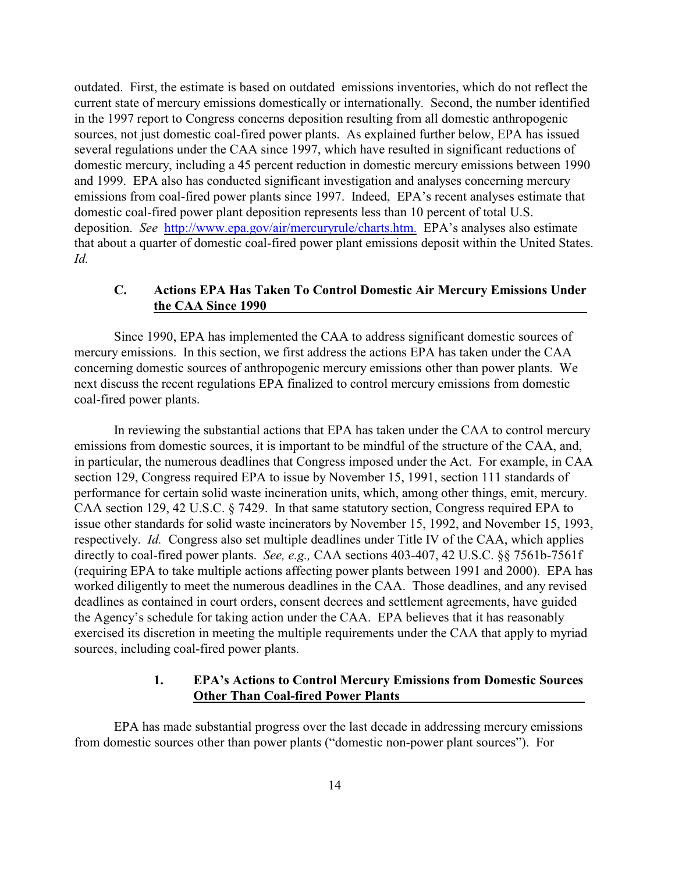outdated. First, the estimate is based on outdated emissions inventories, which do not reflect the current state of mercury emissions domestically or internationally. Second, the number identified in the 1997 report to Congress concerns deposition resulting from all domestic anthropogenic sources, not just domestic coal-fired power plants. As explained further below, EPA has issued several regulations under the CAA since 1997, which have resulted in significant reductions of domestic mercury, including a 45 percent reduction in domestic mercury emissions between 1990 and 1999. EPA also has conducted significant investigation and analyses concerning mercury emissions from coal-fired power plants since 1997. Indeed, EPA's recent analyses estimate that domestic coal-fired power plant deposition represents less than 10 percent of total U.S. deposition. *See* <http://www.epa.gov/air/mercuryrule/charts.htm.> EPA's analyses also estimate that about a quarter of domestic coal-fired power plant emissions deposit within the United States. *Id.* 

## **C. Actions EPA Has Taken To Control Domestic Air Mercury Emissions Under the CAA Since 1990**

Since 1990, EPA has implemented the CAA to address significant domestic sources of mercury emissions. In this section, we first address the actions EPA has taken under the CAA concerning domestic sources of anthropogenic mercury emissions other than power plants. We next discuss the recent regulations EPA finalized to control mercury emissions from domestic coal-fired power plants.

In reviewing the substantial actions that EPA has taken under the CAA to control mercury emissions from domestic sources, it is important to be mindful of the structure of the CAA, and, in particular, the numerous deadlines that Congress imposed under the Act. For example, in CAA section 129, Congress required EPA to issue by November 15, 1991, section 111 standards of performance for certain solid waste incineration units, which, among other things, emit, mercury. CAA section 129, 42 U.S.C. § 7429. In that same statutory section, Congress required EPA to issue other standards for solid waste incinerators by November 15, 1992, and November 15, 1993, respectively. *Id.* Congress also set multiple deadlines under Title IV of the CAA, which applies directly to coal-fired power plants. *See, e.g.,* CAA sections 403-407, 42 U.S.C. §§ 7561b-7561f (requiring EPA to take multiple actions affecting power plants between 1991 and 2000). EPA has worked diligently to meet the numerous deadlines in the CAA. Those deadlines, and any revised deadlines as contained in court orders, consent decrees and settlement agreements, have guided the Agency's schedule for taking action under the CAA. EPA believes that it has reasonably exercised its discretion in meeting the multiple requirements under the CAA that apply to myriad sources, including coal-fired power plants.

### **1. EPA's Actions to Control Mercury Emissions from Domestic Sources Other Than Coal-fired Power Plants**

EPA has made substantial progress over the last decade in addressing mercury emissions from domestic sources other than power plants ("domestic non-power plant sources"). For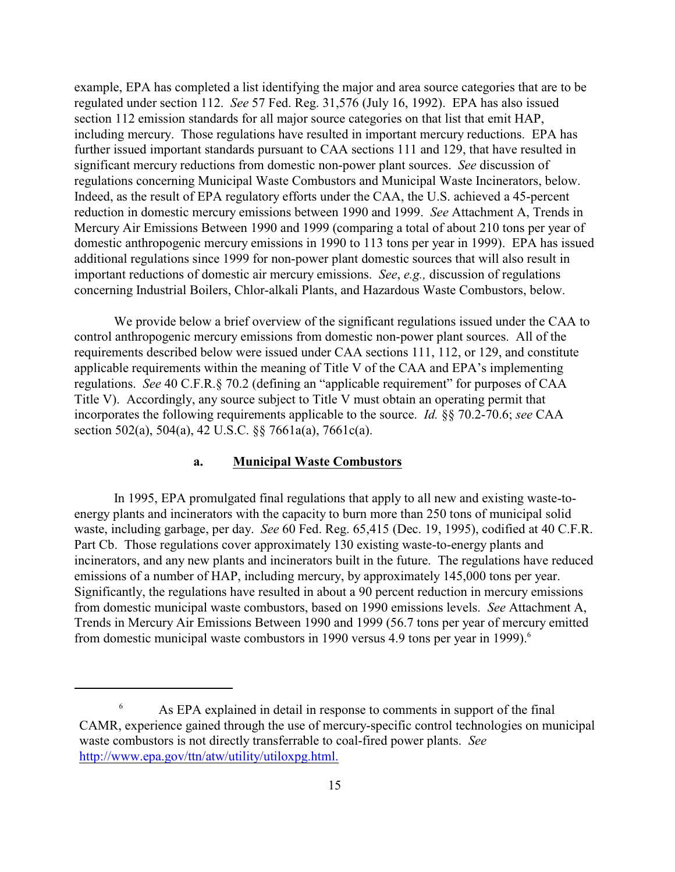example, EPA has completed a list identifying the major and area source categories that are to be regulated under section 112. *See* 57 Fed. Reg. 31,576 (July 16, 1992). EPA has also issued section 112 emission standards for all major source categories on that list that emit HAP, including mercury. Those regulations have resulted in important mercury reductions. EPA has further issued important standards pursuant to CAA sections 111 and 129, that have resulted in significant mercury reductions from domestic non-power plant sources. *See* discussion of regulations concerning Municipal Waste Combustors and Municipal Waste Incinerators, below. Indeed, as the result of EPA regulatory efforts under the CAA, the U.S. achieved a 45-percent reduction in domestic mercury emissions between 1990 and 1999. *See* Attachment A, Trends in Mercury Air Emissions Between 1990 and 1999 (comparing a total of about 210 tons per year of domestic anthropogenic mercury emissions in 1990 to 113 tons per year in 1999). EPA has issued additional regulations since 1999 for non-power plant domestic sources that will also result in important reductions of domestic air mercury emissions. *See*, *e.g.,* discussion of regulations concerning Industrial Boilers, Chlor-alkali Plants, and Hazardous Waste Combustors, below.

We provide below a brief overview of the significant regulations issued under the CAA to control anthropogenic mercury emissions from domestic non-power plant sources. All of the requirements described below were issued under CAA sections 111, 112, or 129, and constitute applicable requirements within the meaning of Title V of the CAA and EPA's implementing regulations. *See* 40 C.F.R.§ 70.2 (defining an "applicable requirement" for purposes of CAA Title V). Accordingly, any source subject to Title V must obtain an operating permit that incorporates the following requirements applicable to the source. *Id.* §§ 70.2-70.6; *see* CAA section 502(a), 504(a), 42 U.S.C. §§ 7661a(a), 7661c(a).

#### **a. Municipal Waste Combustors**

In 1995, EPA promulgated final regulations that apply to all new and existing waste-toenergy plants and incinerators with the capacity to burn more than 250 tons of municipal solid waste, including garbage, per day. *See* 60 Fed. Reg. 65,415 (Dec. 19, 1995), codified at 40 C.F.R. Part Cb. Those regulations cover approximately 130 existing waste-to-energy plants and incinerators, and any new plants and incinerators built in the future. The regulations have reduced emissions of a number of HAP, including mercury, by approximately 145,000 tons per year. Significantly, the regulations have resulted in about a 90 percent reduction in mercury emissions from domestic municipal waste combustors, based on 1990 emissions levels. *See* Attachment A, Trends in Mercury Air Emissions Between 1990 and 1999 (56.7 tons per year of mercury emitted from domestic municipal waste combustors in 1990 versus 4.9 tons per year in 1999).<sup>6</sup>

<sup>&</sup>lt;sup>6</sup> As EPA explained in detail in response to comments in support of the final CAMR, experience gained through the use of mercury-specific control technologies on municipal waste combustors is not directly transferrable to coal-fired power plants. *See* <http://www.epa.gov/ttn/atw/utility/utiloxpg.html.>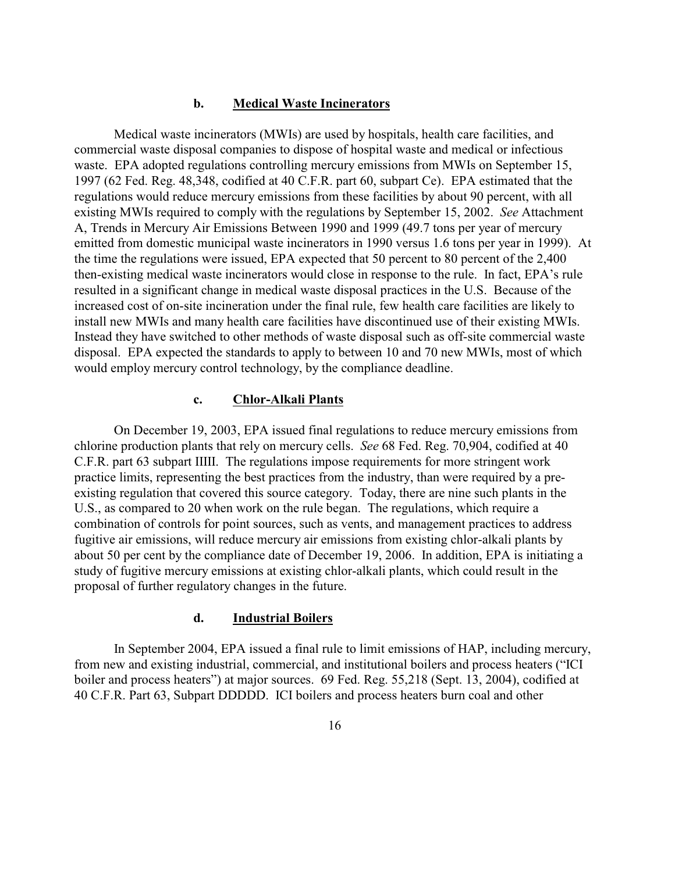### **b. Medical Waste Incinerators**

Medical waste incinerators (MWIs) are used by hospitals, health care facilities, and commercial waste disposal companies to dispose of hospital waste and medical or infectious waste. EPA adopted regulations controlling mercury emissions from MWIs on September 15, 1997 (62 Fed. Reg. 48,348, codified at 40 C.F.R. part 60, subpart Ce). EPA estimated that the regulations would reduce mercury emissions from these facilities by about 90 percent, with all existing MWIs required to comply with the regulations by September 15, 2002. *See* Attachment A, Trends in Mercury Air Emissions Between 1990 and 1999 (49.7 tons per year of mercury emitted from domestic municipal waste incinerators in 1990 versus 1.6 tons per year in 1999). At the time the regulations were issued, EPA expected that 50 percent to 80 percent of the 2,400 then-existing medical waste incinerators would close in response to the rule. In fact, EPA's rule resulted in a significant change in medical waste disposal practices in the U.S. Because of the increased cost of on-site incineration under the final rule, few health care facilities are likely to install new MWIs and many health care facilities have discontinued use of their existing MWIs. Instead they have switched to other methods of waste disposal such as off-site commercial waste disposal. EPA expected the standards to apply to between 10 and 70 new MWIs, most of which would employ mercury control technology, by the compliance deadline.

### **c. Chlor-Alkali Plants**

On December 19, 2003, EPA issued final regulations to reduce mercury emissions from chlorine production plants that rely on mercury cells. *See* 68 Fed. Reg. 70,904, codified at 40 C.F.R. part 63 subpart IIIII. The regulations impose requirements for more stringent work practice limits, representing the best practices from the industry, than were required by a preexisting regulation that covered this source category. Today, there are nine such plants in the U.S., as compared to 20 when work on the rule began. The regulations, which require a combination of controls for point sources, such as vents, and management practices to address fugitive air emissions, will reduce mercury air emissions from existing chlor-alkali plants by about 50 per cent by the compliance date of December 19, 2006. In addition, EPA is initiating a study of fugitive mercury emissions at existing chlor-alkali plants, which could result in the proposal of further regulatory changes in the future.

### **d. Industrial Boilers**

In September 2004, EPA issued a final rule to limit emissions of HAP, including mercury, from new and existing industrial, commercial, and institutional boilers and process heaters ("ICI boiler and process heaters") at major sources. 69 Fed. Reg. 55,218 (Sept. 13, 2004), codified at 40 C.F.R. Part 63, Subpart DDDDD. ICI boilers and process heaters burn coal and other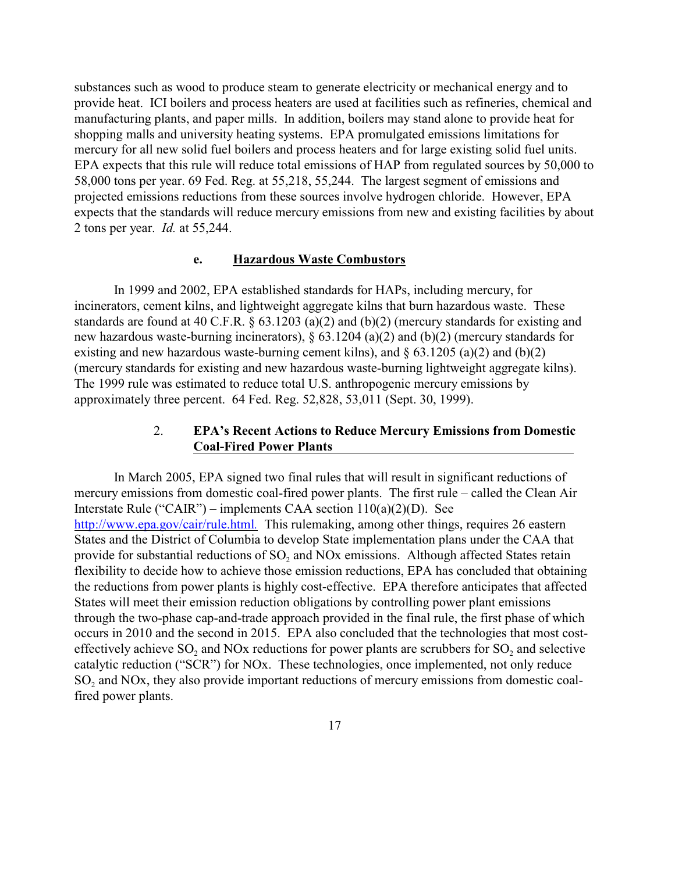substances such as wood to produce steam to generate electricity or mechanical energy and to provide heat. ICI boilers and process heaters are used at facilities such as refineries, chemical and manufacturing plants, and paper mills. In addition, boilers may stand alone to provide heat for shopping malls and university heating systems. EPA promulgated emissions limitations for mercury for all new solid fuel boilers and process heaters and for large existing solid fuel units. EPA expects that this rule will reduce total emissions of HAP from regulated sources by 50,000 to 58,000 tons per year. 69 Fed. Reg. at 55,218, 55,244. The largest segment of emissions and projected emissions reductions from these sources involve hydrogen chloride. However, EPA expects that the standards will reduce mercury emissions from new and existing facilities by about 2 tons per year. *Id.* at 55,244.

#### **e. Hazardous Waste Combustors**

In 1999 and 2002, EPA established standards for HAPs, including mercury, for incinerators, cement kilns, and lightweight aggregate kilns that burn hazardous waste. These standards are found at 40 C.F.R. § 63.1203 (a)(2) and (b)(2) (mercury standards for existing and new hazardous waste-burning incinerators), § 63.1204 (a)(2) and (b)(2) (mercury standards for existing and new hazardous waste-burning cement kilns), and  $\S$  63.1205 (a)(2) and (b)(2) (mercury standards for existing and new hazardous waste-burning lightweight aggregate kilns). The 1999 rule was estimated to reduce total U.S. anthropogenic mercury emissions by approximately three percent. 64 Fed. Reg. 52,828, 53,011 (Sept. 30, 1999).

## 2. **EPA's Recent Actions to Reduce Mercury Emissions from Domestic Coal-Fired Power Plants**

In March 2005, EPA signed two final rules that will result in significant reductions of mercury emissions from domestic coal-fired power plants. The first rule – called the Clean Air Interstate Rule ("CAIR") – implements CAA section  $110(a)(2)(D)$ . See [http://www.epa.gov/cair/rule.html](http://www.epa.gov/cair/rule.html;)*.* This rulemaking, among other things, requires 26 eastern States and the District of Columbia to develop State implementation plans under the CAA that provide for substantial reductions of  $SO_2$  and NOx emissions. Although affected States retain flexibility to decide how to achieve those emission reductions, EPA has concluded that obtaining the reductions from power plants is highly cost-effective. EPA therefore anticipates that affected States will meet their emission reduction obligations by controlling power plant emissions through the two-phase cap-and-trade approach provided in the final rule, the first phase of which occurs in 2010 and the second in 2015. EPA also concluded that the technologies that most costeffectively achieve  $SO_2$  and NOx reductions for power plants are scrubbers for  $SO_2$  and selective catalytic reduction ("SCR") for NOx. These technologies, once implemented, not only reduce  $SO<sub>2</sub>$  and NOx, they also provide important reductions of mercury emissions from domestic coalfired power plants.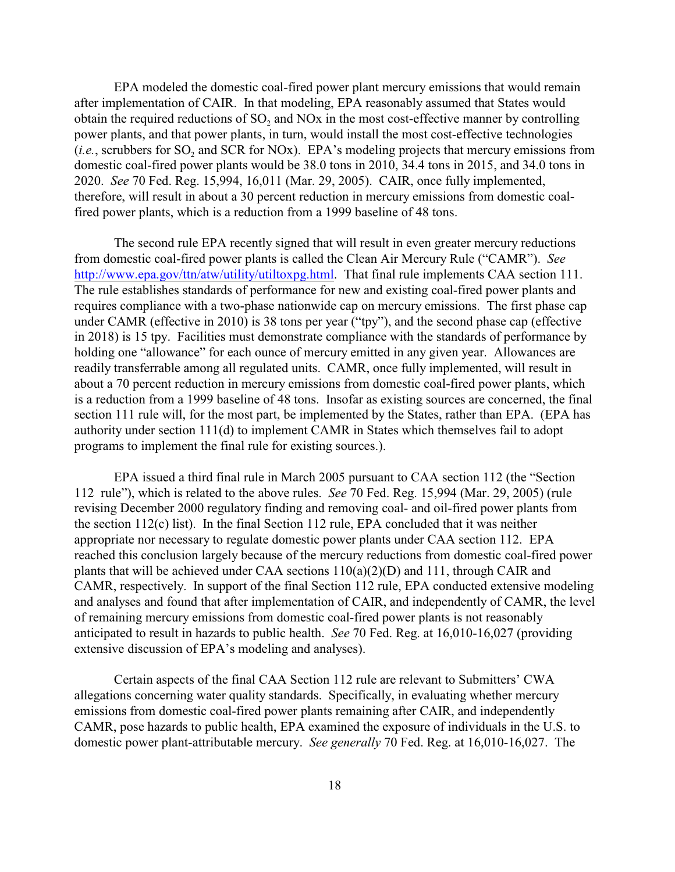EPA modeled the domestic coal-fired power plant mercury emissions that would remain after implementation of CAIR. In that modeling, EPA reasonably assumed that States would obtain the required reductions of  $SO_2$  and NOx in the most cost-effective manner by controlling power plants, and that power plants, in turn, would install the most cost-effective technologies  $(i.e.,$  scrubbers for  $SO_2$  and SCR for NOx). EPA's modeling projects that mercury emissions from domestic coal-fired power plants would be 38.0 tons in 2010, 34.4 tons in 2015, and 34.0 tons in 2020. *See* 70 Fed. Reg. 15,994, 16,011 (Mar. 29, 2005). CAIR, once fully implemented, therefore, will result in about a 30 percent reduction in mercury emissions from domestic coalfired power plants, which is a reduction from a 1999 baseline of 48 tons.

The second rule EPA recently signed that will result in even greater mercury reductions from domestic coal-fired power plants is called the Clean Air Mercury Rule ("CAMR"). *See* <http://www.epa.gov/ttn/atw/utility/utiltoxpg.html>. That final rule implements CAA section 111. The rule establishes standards of performance for new and existing coal-fired power plants and requires compliance with a two-phase nationwide cap on mercury emissions. The first phase cap under CAMR (effective in 2010) is 38 tons per year ("tpy"), and the second phase cap (effective in 2018) is 15 tpy. Facilities must demonstrate compliance with the standards of performance by holding one "allowance" for each ounce of mercury emitted in any given year. Allowances are readily transferrable among all regulated units. CAMR, once fully implemented, will result in about a 70 percent reduction in mercury emissions from domestic coal-fired power plants, which is a reduction from a 1999 baseline of 48 tons. Insofar as existing sources are concerned, the final section 111 rule will, for the most part, be implemented by the States, rather than EPA. (EPA has authority under section 111(d) to implement CAMR in States which themselves fail to adopt programs to implement the final rule for existing sources.).

EPA issued a third final rule in March 2005 pursuant to CAA section 112 (the "Section 112 rule"), which is related to the above rules. *See* 70 Fed. Reg. 15,994 (Mar. 29, 2005) (rule revising December 2000 regulatory finding and removing coal- and oil-fired power plants from the section 112(c) list). In the final Section 112 rule, EPA concluded that it was neither appropriate nor necessary to regulate domestic power plants under CAA section 112. EPA reached this conclusion largely because of the mercury reductions from domestic coal-fired power plants that will be achieved under CAA sections 110(a)(2)(D) and 111, through CAIR and CAMR, respectively. In support of the final Section 112 rule, EPA conducted extensive modeling and analyses and found that after implementation of CAIR, and independently of CAMR, the level of remaining mercury emissions from domestic coal-fired power plants is not reasonably anticipated to result in hazards to public health. *See* 70 Fed. Reg. at 16,010-16,027 (providing extensive discussion of EPA's modeling and analyses).

Certain aspects of the final CAA Section 112 rule are relevant to Submitters' CWA allegations concerning water quality standards. Specifically, in evaluating whether mercury emissions from domestic coal-fired power plants remaining after CAIR, and independently CAMR, pose hazards to public health, EPA examined the exposure of individuals in the U.S. to domestic power plant-attributable mercury. *See generally* 70 Fed. Reg. at 16,010-16,027. The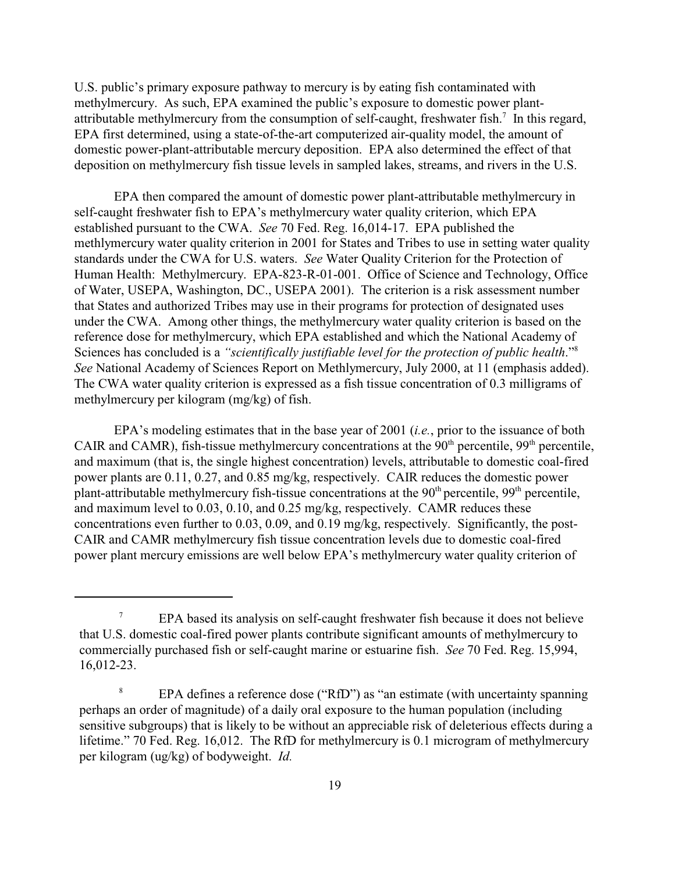U.S. public's primary exposure pathway to mercury is by eating fish contaminated with methylmercury. As such, EPA examined the public's exposure to domestic power plantattributable methylmercury from the consumption of self-caught, freshwater fish.<sup>7</sup> In this regard, EPA first determined, using a state-of-the-art computerized air-quality model, the amount of domestic power-plant-attributable mercury deposition. EPA also determined the effect of that deposition on methylmercury fish tissue levels in sampled lakes, streams, and rivers in the U.S.

EPA then compared the amount of domestic power plant-attributable methylmercury in self-caught freshwater fish to EPA's methylmercury water quality criterion, which EPA established pursuant to the CWA. *See* 70 Fed. Reg. 16,014-17. EPA published the methlymercury water quality criterion in 2001 for States and Tribes to use in setting water quality standards under the CWA for U.S. waters. *See* Water Quality Criterion for the Protection of Human Health: Methylmercury. EPA-823-R-01-001. Office of Science and Technology, Office of Water, USEPA, Washington, DC., USEPA 2001). The criterion is a risk assessment number that States and authorized Tribes may use in their programs for protection of designated uses under the CWA. Among other things, the methylmercury water quality criterion is based on the reference dose for methylmercury, which EPA established and which the National Academy of Sciences has concluded is a *"scientifically justifiable level for the protection of public health*."<sup>8</sup> *See* National Academy of Sciences Report on Methlymercury, July 2000, at 11 (emphasis added). The CWA water quality criterion is expressed as a fish tissue concentration of 0.3 milligrams of methylmercury per kilogram (mg/kg) of fish.

EPA's modeling estimates that in the base year of 2001 (*i.e.*, prior to the issuance of both CAIR and CAMR), fish-tissue methylmercury concentrations at the  $90<sup>th</sup>$  percentile,  $99<sup>th</sup>$  percentile, and maximum (that is, the single highest concentration) levels, attributable to domestic coal-fired power plants are 0.11, 0.27, and 0.85 mg/kg, respectively. CAIR reduces the domestic power plant-attributable methylmercury fish-tissue concentrations at the  $90<sup>th</sup>$  percentile,  $99<sup>th</sup>$  percentile, and maximum level to 0.03, 0.10, and 0.25 mg/kg, respectively. CAMR reduces these concentrations even further to 0.03, 0.09, and 0.19 mg/kg, respectively. Significantly, the post-CAIR and CAMR methylmercury fish tissue concentration levels due to domestic coal-fired power plant mercury emissions are well below EPA's methylmercury water quality criterion of

<sup>&</sup>lt;sup>7</sup> EPA based its analysis on self-caught freshwater fish because it does not believe that U.S. domestic coal-fired power plants contribute significant amounts of methylmercury to commercially purchased fish or self-caught marine or estuarine fish. *See* 70 Fed. Reg. 15,994, 16,012-23.

<sup>&</sup>lt;sup>8</sup> EPA defines a reference dose ("RfD") as "an estimate (with uncertainty spanning perhaps an order of magnitude) of a daily oral exposure to the human population (including sensitive subgroups) that is likely to be without an appreciable risk of deleterious effects during a lifetime." 70 Fed. Reg. 16,012. The RfD for methylmercury is 0.1 microgram of methylmercury per kilogram (ug/kg) of bodyweight. *Id.*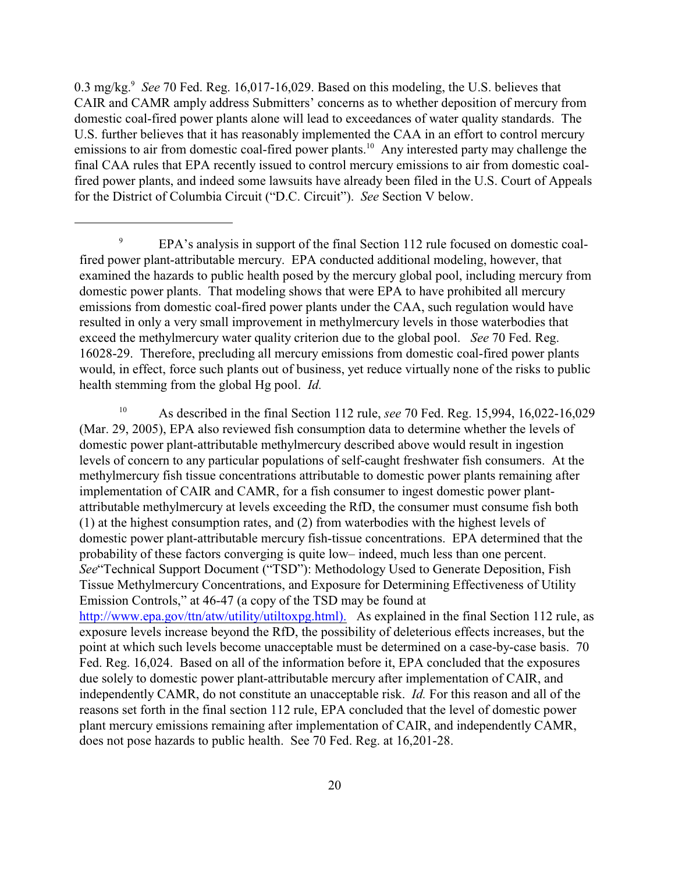0.3 mg/kg.<sup>9</sup> See 70 Fed. Reg. 16,017-16,029. Based on this modeling, the U.S. believes that CAIR and CAMR amply address Submitters' concerns as to whether deposition of mercury from domestic coal-fired power plants alone will lead to exceedances of water quality standards. The U.S. further believes that it has reasonably implemented the CAA in an effort to control mercury emissions to air from domestic coal-fired power plants.<sup>10</sup> Any interested party may challenge the final CAA rules that EPA recently issued to control mercury emissions to air from domestic coalfired power plants, and indeed some lawsuits have already been filed in the U.S. Court of Appeals for the District of Columbia Circuit ("D.C. Circuit"). *See* Section V below.

<sup>10</sup> As described in the final Section 112 rule, *see* 70 Fed. Reg. 15,994, 16,022-16,029 (Mar. 29, 2005), EPA also reviewed fish consumption data to determine whether the levels of domestic power plant-attributable methylmercury described above would result in ingestion levels of concern to any particular populations of self-caught freshwater fish consumers. At the methylmercury fish tissue concentrations attributable to domestic power plants remaining after implementation of CAIR and CAMR, for a fish consumer to ingest domestic power plantattributable methylmercury at levels exceeding the RfD, the consumer must consume fish both (1) at the highest consumption rates, and (2) from waterbodies with the highest levels of domestic power plant-attributable mercury fish-tissue concentrations. EPA determined that the probability of these factors converging is quite low– indeed, much less than one percent. *See*"Technical Support Document ("TSD"): Methodology Used to Generate Deposition, Fish Tissue Methylmercury Concentrations, and Exposure for Determining Effectiveness of Utility Emission Controls," at 46-47 (a copy of the TSD may be found at http://www.epa.gov/ttn/atw/utility/utiltoxpg.html). As explained in the final Section 112 rule, as exposure levels increase beyond the RfD, the possibility of deleterious effects increases, but the point at which such levels become unacceptable must be determined on a case-by-case basis. 70 Fed. Reg. 16,024. Based on all of the information before it, EPA concluded that the exposures due solely to domestic power plant-attributable mercury after implementation of CAIR, and independently CAMR, do not constitute an unacceptable risk. *Id.* For this reason and all of the reasons set forth in the final section 112 rule, EPA concluded that the level of domestic power plant mercury emissions remaining after implementation of CAIR, and independently CAMR, does not pose hazards to public health. See 70 Fed. Reg. at 16,201-28.

<sup>&</sup>lt;sup>9</sup> EPA's analysis in support of the final Section 112 rule focused on domestic coalfired power plant-attributable mercury. EPA conducted additional modeling, however, that examined the hazards to public health posed by the mercury global pool, including mercury from domestic power plants. That modeling shows that were EPA to have prohibited all mercury emissions from domestic coal-fired power plants under the CAA, such regulation would have resulted in only a very small improvement in methylmercury levels in those waterbodies that exceed the methylmercury water quality criterion due to the global pool. *See* 70 Fed. Reg. 16028-29. Therefore, precluding all mercury emissions from domestic coal-fired power plants would, in effect, force such plants out of business, yet reduce virtually none of the risks to public health stemming from the global Hg pool. *Id.*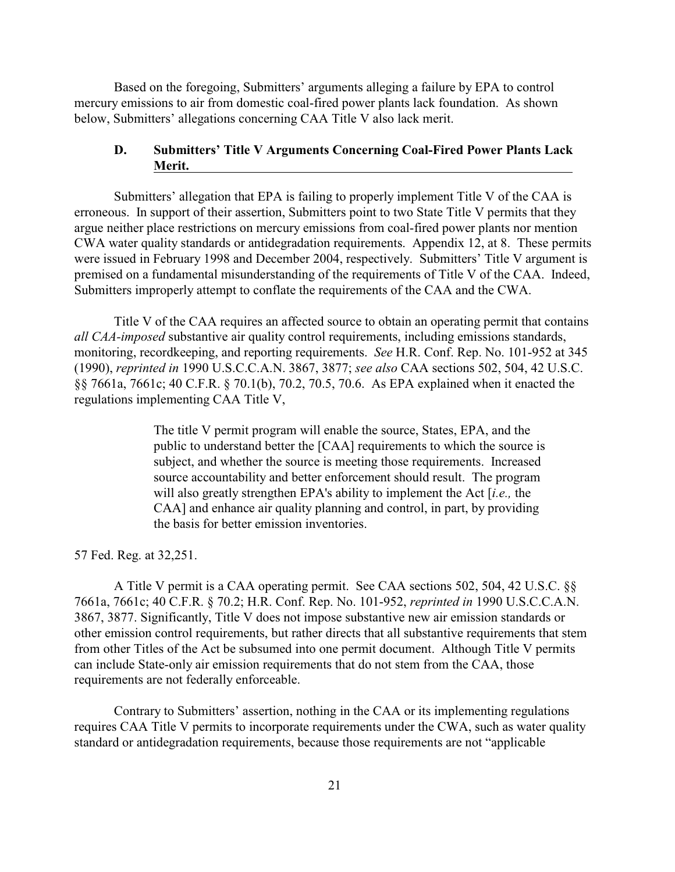Based on the foregoing, Submitters' arguments alleging a failure by EPA to control mercury emissions to air from domestic coal-fired power plants lack foundation. As shown below, Submitters' allegations concerning CAA Title V also lack merit.

### **D. Submitters' Title V Arguments Concerning Coal-Fired Power Plants Lack Merit.**

Submitters' allegation that EPA is failing to properly implement Title V of the CAA is erroneous. In support of their assertion, Submitters point to two State Title V permits that they argue neither place restrictions on mercury emissions from coal-fired power plants nor mention CWA water quality standards or antidegradation requirements. Appendix 12, at 8. These permits were issued in February 1998 and December 2004, respectively. Submitters' Title V argument is premised on a fundamental misunderstanding of the requirements of Title V of the CAA. Indeed, Submitters improperly attempt to conflate the requirements of the CAA and the CWA.

Title V of the CAA requires an affected source to obtain an operating permit that contains *all CAA-imposed* substantive air quality control requirements, including emissions standards, monitoring, recordkeeping, and reporting requirements. *See* H.R. Conf. Rep. No. 101-952 at 345 (1990), *reprinted in* 1990 U.S.C.C.A.N. 3867, 3877; *see also* CAA sections 502, 504, 42 U.S.C. §§ 7661a, 7661c; 40 C.F.R. § 70.1(b), 70.2, 70.5, 70.6. As EPA explained when it enacted the regulations implementing CAA Title V,

> The title V permit program will enable the source, States, EPA, and the public to understand better the [CAA] requirements to which the source is subject, and whether the source is meeting those requirements. Increased source accountability and better enforcement should result. The program will also greatly strengthen EPA's ability to implement the Act [*i.e.,* the CAA] and enhance air quality planning and control, in part, by providing the basis for better emission inventories.

57 Fed. Reg. at 32,251.

A Title V permit is a CAA operating permit. See CAA sections 502, 504, 42 U.S.C. §§ 7661a, 7661c; 40 C.F.R. § 70.2; H.R. Conf. Rep. No. 101-952, *reprinted in* 1990 U.S.C.C.A.N. 3867, 3877. Significantly, Title V does not impose substantive new air emission standards or other emission control requirements, but rather directs that all substantive requirements that stem from other Titles of the Act be subsumed into one permit document. Although Title V permits can include State-only air emission requirements that do not stem from the CAA, those requirements are not federally enforceable.

Contrary to Submitters' assertion, nothing in the CAA or its implementing regulations requires CAA Title V permits to incorporate requirements under the CWA, such as water quality standard or antidegradation requirements, because those requirements are not "applicable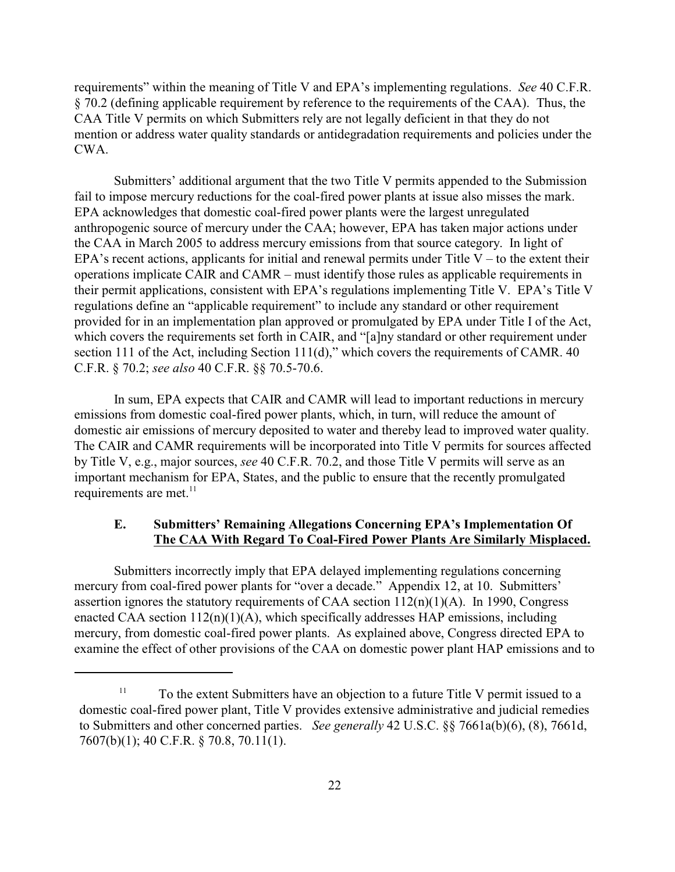requirements" within the meaning of Title V and EPA's implementing regulations. *See* 40 C.F.R. § 70.2 (defining applicable requirement by reference to the requirements of the CAA). Thus, the CAA Title V permits on which Submitters rely are not legally deficient in that they do not mention or address water quality standards or antidegradation requirements and policies under the CWA.

Submitters' additional argument that the two Title V permits appended to the Submission fail to impose mercury reductions for the coal-fired power plants at issue also misses the mark. EPA acknowledges that domestic coal-fired power plants were the largest unregulated anthropogenic source of mercury under the CAA; however, EPA has taken major actions under the CAA in March 2005 to address mercury emissions from that source category. In light of EPA's recent actions, applicants for initial and renewal permits under Title  $V -$  to the extent their operations implicate CAIR and CAMR – must identify those rules as applicable requirements in their permit applications, consistent with EPA's regulations implementing Title V. EPA's Title V regulations define an "applicable requirement" to include any standard or other requirement provided for in an implementation plan approved or promulgated by EPA under Title I of the Act, which covers the requirements set forth in CAIR, and "[a]ny standard or other requirement under section 111 of the Act, including Section 111(d)," which covers the requirements of CAMR. 40 C.F.R. § 70.2; *see also* 40 C.F.R. §§ 70.5-70.6.

In sum, EPA expects that CAIR and CAMR will lead to important reductions in mercury emissions from domestic coal-fired power plants, which, in turn, will reduce the amount of domestic air emissions of mercury deposited to water and thereby lead to improved water quality. The CAIR and CAMR requirements will be incorporated into Title V permits for sources affected by Title V, e.g., major sources, *see* 40 C.F.R. 70.2, and those Title V permits will serve as an important mechanism for EPA, States, and the public to ensure that the recently promulgated requirements are met. $^{11}$ 

## **E. Submitters' Remaining Allegations Concerning EPA's Implementation Of The CAA With Regard To Coal-Fired Power Plants Are Similarly Misplaced.**

Submitters incorrectly imply that EPA delayed implementing regulations concerning mercury from coal-fired power plants for "over a decade." Appendix 12, at 10. Submitters' assertion ignores the statutory requirements of CAA section  $112(n)(1)(A)$ . In 1990, Congress enacted CAA section  $112(n)(1)(A)$ , which specifically addresses HAP emissions, including mercury, from domestic coal-fired power plants. As explained above, Congress directed EPA to examine the effect of other provisions of the CAA on domestic power plant HAP emissions and to

 $11$  To the extent Submitters have an objection to a future Title V permit issued to a domestic coal-fired power plant, Title V provides extensive administrative and judicial remedies to Submitters and other concerned parties. *See generally* 42 U.S.C. §§ 7661a(b)(6), (8), 7661d, 7607(b)(1); 40 C.F.R. § 70.8, 70.11(1).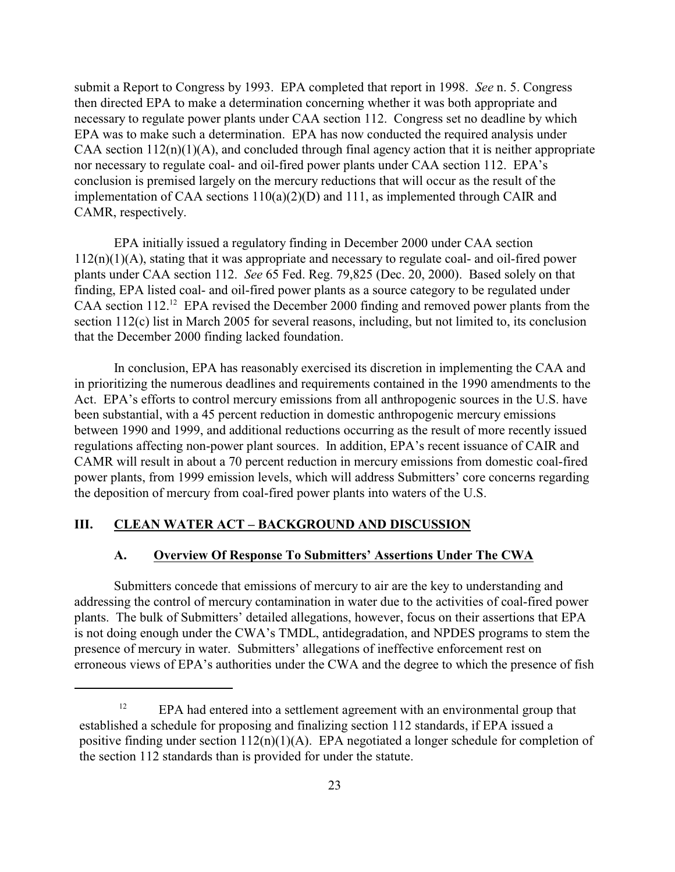submit a Report to Congress by 1993. EPA completed that report in 1998. *See* n. 5. Congress then directed EPA to make a determination concerning whether it was both appropriate and necessary to regulate power plants under CAA section 112. Congress set no deadline by which EPA was to make such a determination. EPA has now conducted the required analysis under CAA section  $112(n)(1)(A)$ , and concluded through final agency action that it is neither appropriate nor necessary to regulate coal- and oil-fired power plants under CAA section 112. EPA's conclusion is premised largely on the mercury reductions that will occur as the result of the implementation of CAA sections 110(a)(2)(D) and 111, as implemented through CAIR and CAMR, respectively.

EPA initially issued a regulatory finding in December 2000 under CAA section 112(n)(1)(A), stating that it was appropriate and necessary to regulate coal- and oil-fired power plants under CAA section 112. *See* 65 Fed. Reg. 79,825 (Dec. 20, 2000). Based solely on that finding, EPA listed coal- and oil-fired power plants as a source category to be regulated under CAA section  $112<sup>12</sup>$  EPA revised the December 2000 finding and removed power plants from the section 112(c) list in March 2005 for several reasons, including, but not limited to, its conclusion that the December 2000 finding lacked foundation.

In conclusion, EPA has reasonably exercised its discretion in implementing the CAA and in prioritizing the numerous deadlines and requirements contained in the 1990 amendments to the Act. EPA's efforts to control mercury emissions from all anthropogenic sources in the U.S. have been substantial, with a 45 percent reduction in domestic anthropogenic mercury emissions between 1990 and 1999, and additional reductions occurring as the result of more recently issued regulations affecting non-power plant sources. In addition, EPA's recent issuance of CAIR and CAMR will result in about a 70 percent reduction in mercury emissions from domestic coal-fired power plants, from 1999 emission levels, which will address Submitters' core concerns regarding the deposition of mercury from coal-fired power plants into waters of the U.S.

### **III. CLEAN WATER ACT – BACKGROUND AND DISCUSSION**

#### **A. Overview Of Response To Submitters' Assertions Under The CWA**

Submitters concede that emissions of mercury to air are the key to understanding and addressing the control of mercury contamination in water due to the activities of coal-fired power plants. The bulk of Submitters' detailed allegations, however, focus on their assertions that EPA is not doing enough under the CWA's TMDL, antidegradation, and NPDES programs to stem the presence of mercury in water. Submitters' allegations of ineffective enforcement rest on erroneous views of EPA's authorities under the CWA and the degree to which the presence of fish

 $EPA$  had entered into a settlement agreement with an environmental group that established a schedule for proposing and finalizing section 112 standards, if EPA issued a positive finding under section  $112(n)(1)(A)$ . EPA negotiated a longer schedule for completion of the section 112 standards than is provided for under the statute.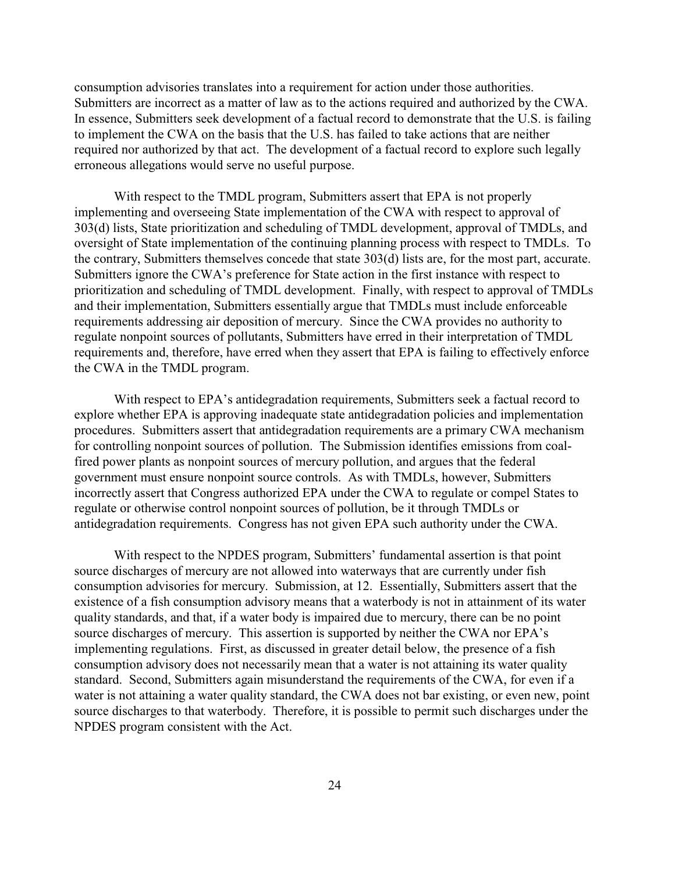consumption advisories translates into a requirement for action under those authorities. Submitters are incorrect as a matter of law as to the actions required and authorized by the CWA. In essence, Submitters seek development of a factual record to demonstrate that the U.S. is failing to implement the CWA on the basis that the U.S. has failed to take actions that are neither required nor authorized by that act. The development of a factual record to explore such legally erroneous allegations would serve no useful purpose.

With respect to the TMDL program, Submitters assert that EPA is not properly implementing and overseeing State implementation of the CWA with respect to approval of 303(d) lists, State prioritization and scheduling of TMDL development, approval of TMDLs, and oversight of State implementation of the continuing planning process with respect to TMDLs. To the contrary, Submitters themselves concede that state 303(d) lists are, for the most part, accurate. Submitters ignore the CWA's preference for State action in the first instance with respect to prioritization and scheduling of TMDL development. Finally, with respect to approval of TMDLs and their implementation, Submitters essentially argue that TMDLs must include enforceable requirements addressing air deposition of mercury. Since the CWA provides no authority to regulate nonpoint sources of pollutants, Submitters have erred in their interpretation of TMDL requirements and, therefore, have erred when they assert that EPA is failing to effectively enforce the CWA in the TMDL program.

With respect to EPA's antidegradation requirements, Submitters seek a factual record to explore whether EPA is approving inadequate state antidegradation policies and implementation procedures. Submitters assert that antidegradation requirements are a primary CWA mechanism for controlling nonpoint sources of pollution. The Submission identifies emissions from coalfired power plants as nonpoint sources of mercury pollution, and argues that the federal government must ensure nonpoint source controls. As with TMDLs, however, Submitters incorrectly assert that Congress authorized EPA under the CWA to regulate or compel States to regulate or otherwise control nonpoint sources of pollution, be it through TMDLs or antidegradation requirements. Congress has not given EPA such authority under the CWA.

With respect to the NPDES program, Submitters' fundamental assertion is that point source discharges of mercury are not allowed into waterways that are currently under fish consumption advisories for mercury. Submission, at 12. Essentially, Submitters assert that the existence of a fish consumption advisory means that a waterbody is not in attainment of its water quality standards, and that, if a water body is impaired due to mercury, there can be no point source discharges of mercury. This assertion is supported by neither the CWA nor EPA's implementing regulations. First, as discussed in greater detail below, the presence of a fish consumption advisory does not necessarily mean that a water is not attaining its water quality standard. Second, Submitters again misunderstand the requirements of the CWA, for even if a water is not attaining a water quality standard, the CWA does not bar existing, or even new, point source discharges to that waterbody. Therefore, it is possible to permit such discharges under the NPDES program consistent with the Act.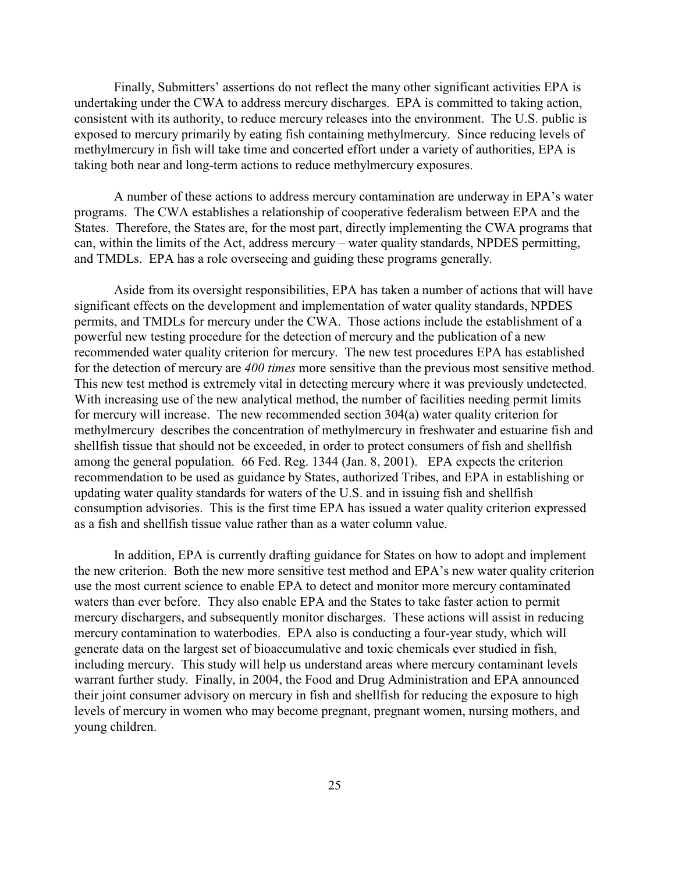Finally, Submitters' assertions do not reflect the many other significant activities EPA is undertaking under the CWA to address mercury discharges. EPA is committed to taking action, consistent with its authority, to reduce mercury releases into the environment. The U.S. public is exposed to mercury primarily by eating fish containing methylmercury. Since reducing levels of methylmercury in fish will take time and concerted effort under a variety of authorities, EPA is taking both near and long-term actions to reduce methylmercury exposures.

A number of these actions to address mercury contamination are underway in EPA's water programs. The CWA establishes a relationship of cooperative federalism between EPA and the States. Therefore, the States are, for the most part, directly implementing the CWA programs that can, within the limits of the Act, address mercury – water quality standards, NPDES permitting, and TMDLs. EPA has a role overseeing and guiding these programs generally.

Aside from its oversight responsibilities, EPA has taken a number of actions that will have significant effects on the development and implementation of water quality standards, NPDES permits, and TMDLs for mercury under the CWA. Those actions include the establishment of a powerful new testing procedure for the detection of mercury and the publication of a new recommended water quality criterion for mercury. The new test procedures EPA has established for the detection of mercury are *400 times* more sensitive than the previous most sensitive method. This new test method is extremely vital in detecting mercury where it was previously undetected. With increasing use of the new analytical method, the number of facilities needing permit limits for mercury will increase. The new recommended section 304(a) water quality criterion for methylmercury describes the concentration of methylmercury in freshwater and estuarine fish and shellfish tissue that should not be exceeded, in order to protect consumers of fish and shellfish among the general population. 66 Fed. Reg. 1344 (Jan. 8, 2001). EPA expects the criterion recommendation to be used as guidance by States, authorized Tribes, and EPA in establishing or updating water quality standards for waters of the U.S. and in issuing fish and shellfish consumption advisories. This is the first time EPA has issued a water quality criterion expressed as a fish and shellfish tissue value rather than as a water column value.

In addition, EPA is currently drafting guidance for States on how to adopt and implement the new criterion. Both the new more sensitive test method and EPA's new water quality criterion use the most current science to enable EPA to detect and monitor more mercury contaminated waters than ever before. They also enable EPA and the States to take faster action to permit mercury dischargers, and subsequently monitor discharges. These actions will assist in reducing mercury contamination to waterbodies. EPA also is conducting a four-year study, which will generate data on the largest set of bioaccumulative and toxic chemicals ever studied in fish, including mercury. This study will help us understand areas where mercury contaminant levels warrant further study. Finally, in 2004, the Food and Drug Administration and EPA announced their joint consumer advisory on mercury in fish and shellfish for reducing the exposure to high levels of mercury in women who may become pregnant, pregnant women, nursing mothers, and young children.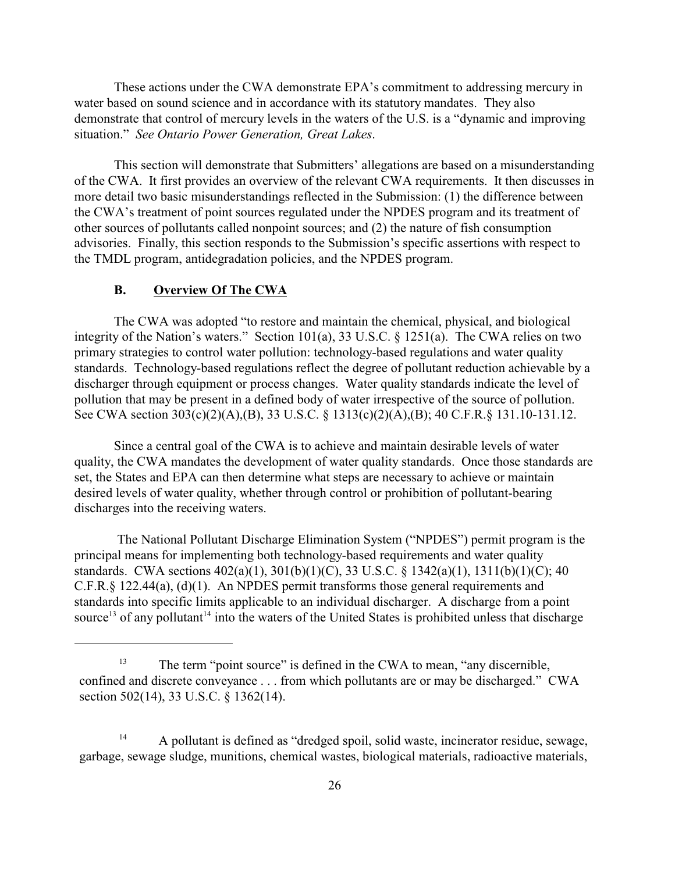These actions under the CWA demonstrate EPA's commitment to addressing mercury in water based on sound science and in accordance with its statutory mandates. They also demonstrate that control of mercury levels in the waters of the U.S. is a "dynamic and improving situation." *See Ontario Power Generation, Great Lakes*.

This section will demonstrate that Submitters' allegations are based on a misunderstanding of the CWA. It first provides an overview of the relevant CWA requirements. It then discusses in more detail two basic misunderstandings reflected in the Submission: (1) the difference between the CWA's treatment of point sources regulated under the NPDES program and its treatment of other sources of pollutants called nonpoint sources; and (2) the nature of fish consumption advisories. Finally, this section responds to the Submission's specific assertions with respect to the TMDL program, antidegradation policies, and the NPDES program.

## **B. Overview Of The CWA**

The CWA was adopted "to restore and maintain the chemical, physical, and biological integrity of the Nation's waters." Section 101(a), 33 U.S.C. § 1251(a). The CWA relies on two primary strategies to control water pollution: technology-based regulations and water quality standards. Technology-based regulations reflect the degree of pollutant reduction achievable by a discharger through equipment or process changes. Water quality standards indicate the level of pollution that may be present in a defined body of water irrespective of the source of pollution. See CWA section 303(c)(2)(A),(B), 33 U.S.C. § 1313(c)(2)(A),(B); 40 C.F.R.§ 131.10-131.12.

Since a central goal of the CWA is to achieve and maintain desirable levels of water quality, the CWA mandates the development of water quality standards. Once those standards are set, the States and EPA can then determine what steps are necessary to achieve or maintain desired levels of water quality, whether through control or prohibition of pollutant-bearing discharges into the receiving waters.

 The National Pollutant Discharge Elimination System ("NPDES") permit program is the principal means for implementing both technology-based requirements and water quality standards. CWA sections 402(a)(1), 301(b)(1)(C), 33 U.S.C. § 1342(a)(1), 1311(b)(1)(C); 40 C.F.R.§ 122.44(a), (d)(1). An NPDES permit transforms those general requirements and standards into specific limits applicable to an individual discharger. A discharge from a point source<sup>13</sup> of any pollutant<sup>14</sup> into the waters of the United States is prohibited unless that discharge

<sup>&</sup>lt;sup>13</sup> The term "point source" is defined in the CWA to mean, "any discernible, confined and discrete conveyance . . . from which pollutants are or may be discharged." CWA section 502(14), 33 U.S.C. § 1362(14).

 $A$  pollutant is defined as "dredged spoil, solid waste, incinerator residue, sewage, garbage, sewage sludge, munitions, chemical wastes, biological materials, radioactive materials,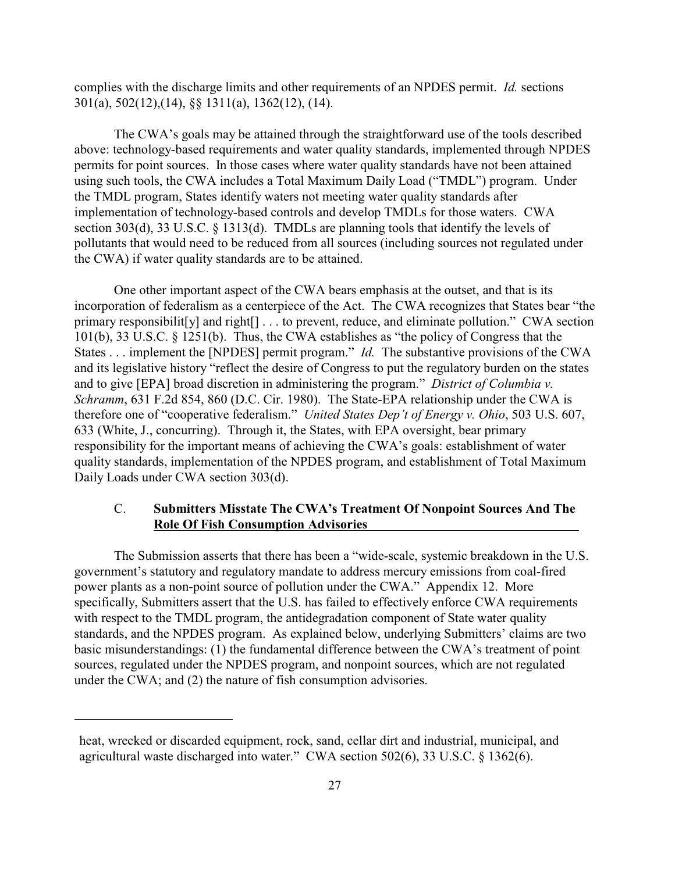complies with the discharge limits and other requirements of an NPDES permit. *Id.* sections 301(a), 502(12),(14), §§ 1311(a), 1362(12), (14).

The CWA's goals may be attained through the straightforward use of the tools described above: technology-based requirements and water quality standards, implemented through NPDES permits for point sources. In those cases where water quality standards have not been attained using such tools, the CWA includes a Total Maximum Daily Load ("TMDL") program. Under the TMDL program, States identify waters not meeting water quality standards after implementation of technology-based controls and develop TMDLs for those waters. CWA section 303(d), 33 U.S.C. § 1313(d). TMDLs are planning tools that identify the levels of pollutants that would need to be reduced from all sources (including sources not regulated under the CWA) if water quality standards are to be attained.

One other important aspect of the CWA bears emphasis at the outset, and that is its incorporation of federalism as a centerpiece of the Act. The CWA recognizes that States bear "the primary responsibilit[y] and right[] . . . to prevent, reduce, and eliminate pollution." CWA section 101(b), 33 U.S.C. § 1251(b). Thus, the CWA establishes as "the policy of Congress that the States . . . implement the [NPDES] permit program." *Id.* The substantive provisions of the CWA and its legislative history "reflect the desire of Congress to put the regulatory burden on the states and to give [EPA] broad discretion in administering the program." *District of Columbia v. Schramm*, 631 F.2d 854, 860 (D.C. Cir. 1980). The State-EPA relationship under the CWA is therefore one of "cooperative federalism." *United States Dep't of Energy v. Ohio*, 503 U.S. 607, 633 (White, J., concurring). Through it, the States, with EPA oversight, bear primary responsibility for the important means of achieving the CWA's goals: establishment of water quality standards, implementation of the NPDES program, and establishment of Total Maximum Daily Loads under CWA section 303(d).

## C. **Submitters Misstate The CWA's Treatment Of Nonpoint Sources And The Role Of Fish Consumption Advisories**

The Submission asserts that there has been a "wide-scale, systemic breakdown in the U.S. government's statutory and regulatory mandate to address mercury emissions from coal-fired power plants as a non-point source of pollution under the CWA." Appendix 12. More specifically, Submitters assert that the U.S. has failed to effectively enforce CWA requirements with respect to the TMDL program, the antidegradation component of State water quality standards, and the NPDES program. As explained below, underlying Submitters' claims are two basic misunderstandings: (1) the fundamental difference between the CWA's treatment of point sources, regulated under the NPDES program, and nonpoint sources, which are not regulated under the CWA; and (2) the nature of fish consumption advisories.

heat, wrecked or discarded equipment, rock, sand, cellar dirt and industrial, municipal, and agricultural waste discharged into water." CWA section 502(6), 33 U.S.C. § 1362(6).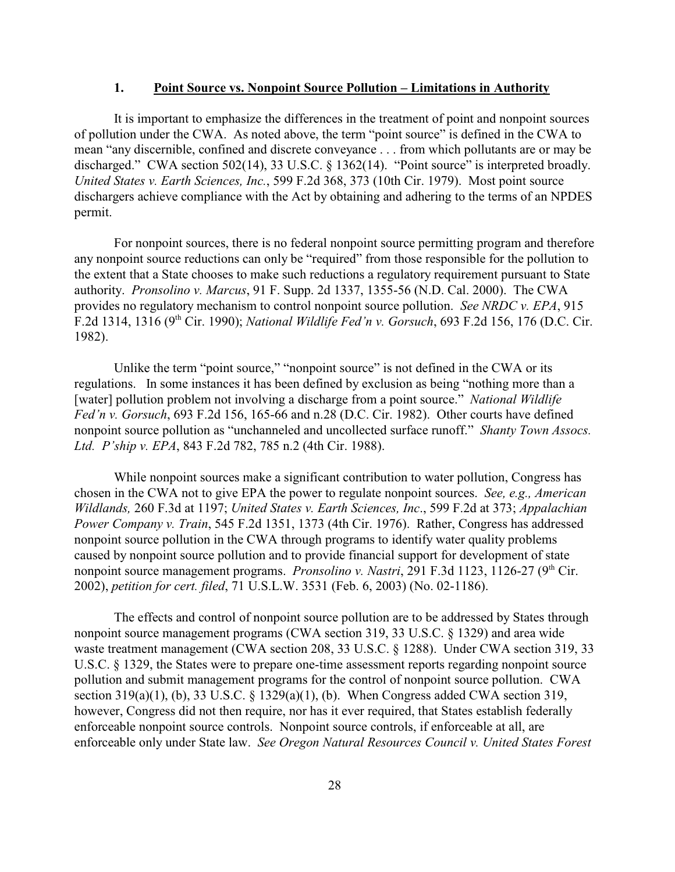### **1. Point Source vs. Nonpoint Source Pollution – Limitations in Authority**

It is important to emphasize the differences in the treatment of point and nonpoint sources of pollution under the CWA. As noted above, the term "point source" is defined in the CWA to mean "any discernible, confined and discrete conveyance . . . from which pollutants are or may be discharged." CWA section 502(14), 33 U.S.C. § 1362(14). "Point source" is interpreted broadly. *United States v. Earth Sciences, Inc.*, 599 F.2d 368, 373 (10th Cir. 1979). Most point source dischargers achieve compliance with the Act by obtaining and adhering to the terms of an NPDES permit.

For nonpoint sources, there is no federal nonpoint source permitting program and therefore any nonpoint source reductions can only be "required" from those responsible for the pollution to the extent that a State chooses to make such reductions a regulatory requirement pursuant to State authority. *Pronsolino v. Marcus*, 91 F. Supp. 2d 1337, 1355-56 (N.D. Cal. 2000). The CWA provides no regulatory mechanism to control nonpoint source pollution. *See NRDC v. EPA*, 915 F.2d 1314, 1316 (9<sup>th</sup> Cir. 1990); *National Wildlife Fed'n v. Gorsuch*, 693 F.2d 156, 176 (D.C. Cir. 1982).

Unlike the term "point source," "nonpoint source" is not defined in the CWA or its regulations. In some instances it has been defined by exclusion as being "nothing more than a [water] pollution problem not involving a discharge from a point source." *National Wildlife Fed'n v. Gorsuch*, 693 F.2d 156, 165-66 and n.28 (D.C. Cir. 1982). Other courts have defined nonpoint source pollution as "unchanneled and uncollected surface runoff." *Shanty Town Assocs. Ltd. P'ship v. EPA*, 843 F.2d 782, 785 n.2 (4th Cir. 1988).

While nonpoint sources make a significant contribution to water pollution, Congress has chosen in the CWA not to give EPA the power to regulate nonpoint sources. *See, e.g., American Wildlands,* 260 F.3d at 1197; *United States v. Earth Sciences, Inc*., 599 F.2d at 373; *Appalachian Power Company v. Train*, 545 F.2d 1351, 1373 (4th Cir. 1976). Rather, Congress has addressed nonpoint source pollution in the CWA through programs to identify water quality problems caused by nonpoint source pollution and to provide financial support for development of state nonpoint source management programs. *Pronsolino v. Nastri*, 291 F.3d 1123, 1126-27 (9<sup>th</sup> Cir. 2002), *petition for cert. filed*, 71 U.S.L.W. 3531 (Feb. 6, 2003) (No. 02-1186).

The effects and control of nonpoint source pollution are to be addressed by States through nonpoint source management programs (CWA section 319, 33 U.S.C. § 1329) and area wide waste treatment management (CWA section 208, 33 U.S.C. § 1288). Under CWA section 319, 33 U.S.C. § 1329, the States were to prepare one-time assessment reports regarding nonpoint source pollution and submit management programs for the control of nonpoint source pollution. CWA section 319(a)(1), (b), 33 U.S.C. § 1329(a)(1), (b). When Congress added CWA section 319, however, Congress did not then require, nor has it ever required, that States establish federally enforceable nonpoint source controls. Nonpoint source controls, if enforceable at all, are enforceable only under State law. *See Oregon Natural Resources Council v. United States Forest*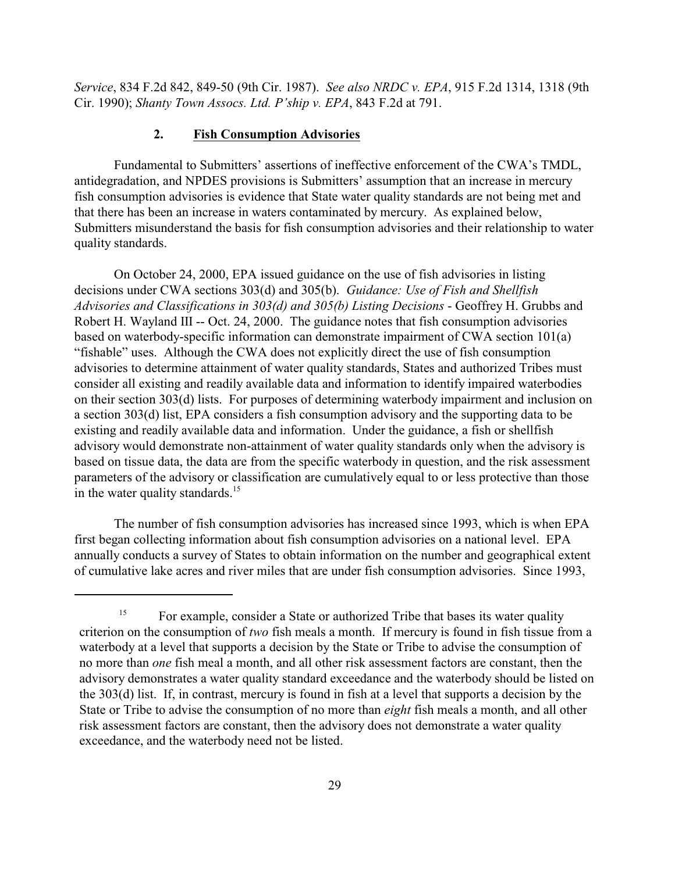*Service*, 834 F.2d 842, 849-50 (9th Cir. 1987). *See also NRDC v. EPA*, 915 F.2d 1314, 1318 (9th Cir. 1990); *Shanty Town Assocs. Ltd. P'ship v. EPA*, 843 F.2d at 791.

### **2. Fish Consumption Advisories**

Fundamental to Submitters' assertions of ineffective enforcement of the CWA's TMDL, antidegradation, and NPDES provisions is Submitters' assumption that an increase in mercury fish consumption advisories is evidence that State water quality standards are not being met and that there has been an increase in waters contaminated by mercury. As explained below, Submitters misunderstand the basis for fish consumption advisories and their relationship to water quality standards.

On October 24, 2000, EPA issued guidance on the use of fish advisories in listing decisions under CWA sections 303(d) and 305(b). *Guidance: Use of Fish and Shellfish Advisories and Classifications in 303(d) and 305(b) Listing Decisions* - Geoffrey H. Grubbs and Robert H. Wayland III -- Oct. 24, 2000. The guidance notes that fish consumption advisories based on waterbody-specific information can demonstrate impairment of CWA section 101(a) "fishable" uses. Although the CWA does not explicitly direct the use of fish consumption advisories to determine attainment of water quality standards, States and authorized Tribes must consider all existing and readily available data and information to identify impaired waterbodies on their section 303(d) lists. For purposes of determining waterbody impairment and inclusion on a section 303(d) list, EPA considers a fish consumption advisory and the supporting data to be existing and readily available data and information. Under the guidance, a fish or shellfish advisory would demonstrate non-attainment of water quality standards only when the advisory is based on tissue data, the data are from the specific waterbody in question, and the risk assessment parameters of the advisory or classification are cumulatively equal to or less protective than those in the water quality standards.<sup>15</sup>

The number of fish consumption advisories has increased since 1993, which is when EPA first began collecting information about fish consumption advisories on a national level. EPA annually conducts a survey of States to obtain information on the number and geographical extent of cumulative lake acres and river miles that are under fish consumption advisories. Since 1993,

For example, consider a State or authorized Tribe that bases its water quality 15 criterion on the consumption of *two* fish meals a month. If mercury is found in fish tissue from a waterbody at a level that supports a decision by the State or Tribe to advise the consumption of no more than *one* fish meal a month, and all other risk assessment factors are constant, then the advisory demonstrates a water quality standard exceedance and the waterbody should be listed on the 303(d) list. If, in contrast, mercury is found in fish at a level that supports a decision by the State or Tribe to advise the consumption of no more than *eight* fish meals a month, and all other risk assessment factors are constant, then the advisory does not demonstrate a water quality exceedance, and the waterbody need not be listed.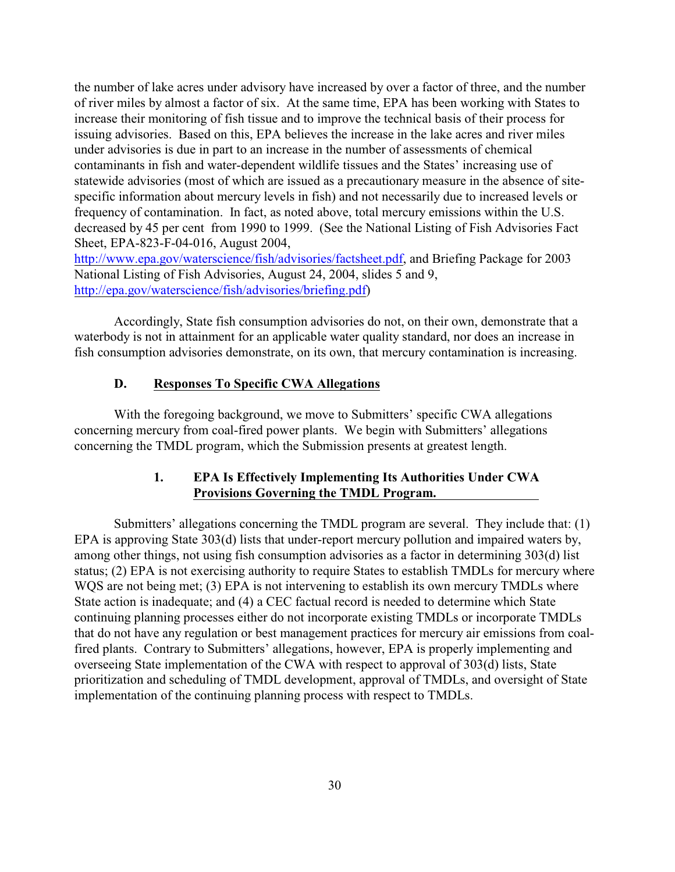the number of lake acres under advisory have increased by over a factor of three, and the number of river miles by almost a factor of six. At the same time, EPA has been working with States to increase their monitoring of fish tissue and to improve the technical basis of their process for issuing advisories. Based on this, EPA believes the increase in the lake acres and river miles under advisories is due in part to an increase in the number of assessments of chemical contaminants in fish and water-dependent wildlife tissues and the States' increasing use of statewide advisories (most of which are issued as a precautionary measure in the absence of sitespecific information about mercury levels in fish) and not necessarily due to increased levels or frequency of contamination. In fact, as noted above, total mercury emissions within the U.S. decreased by 45 per cent from 1990 to 1999. (See the National Listing of Fish Advisories Fact Sheet, EPA-823-F-04-016, August 2004,

<http://www.epa.gov/waterscience/fish/advisories/factsheet.pdf>, and Briefing Package for 2003 National Listing of Fish Advisories, August 24, 2004, slides 5 and 9, <http://epa.gov/waterscience/fish/advisories/briefing.pdf>)

Accordingly, State fish consumption advisories do not, on their own, demonstrate that a waterbody is not in attainment for an applicable water quality standard, nor does an increase in fish consumption advisories demonstrate, on its own, that mercury contamination is increasing.

## **D. Responses To Specific CWA Allegations**

With the foregoing background, we move to Submitters' specific CWA allegations concerning mercury from coal-fired power plants. We begin with Submitters' allegations concerning the TMDL program, which the Submission presents at greatest length.

## **1. EPA Is Effectively Implementing Its Authorities Under CWA Provisions Governing the TMDL Program.**

Submitters' allegations concerning the TMDL program are several. They include that: (1) EPA is approving State 303(d) lists that under-report mercury pollution and impaired waters by, among other things, not using fish consumption advisories as a factor in determining 303(d) list status; (2) EPA is not exercising authority to require States to establish TMDLs for mercury where WQS are not being met; (3) EPA is not intervening to establish its own mercury TMDLs where State action is inadequate; and (4) a CEC factual record is needed to determine which State continuing planning processes either do not incorporate existing TMDLs or incorporate TMDLs that do not have any regulation or best management practices for mercury air emissions from coalfired plants. Contrary to Submitters' allegations, however, EPA is properly implementing and overseeing State implementation of the CWA with respect to approval of 303(d) lists, State prioritization and scheduling of TMDL development, approval of TMDLs, and oversight of State implementation of the continuing planning process with respect to TMDLs.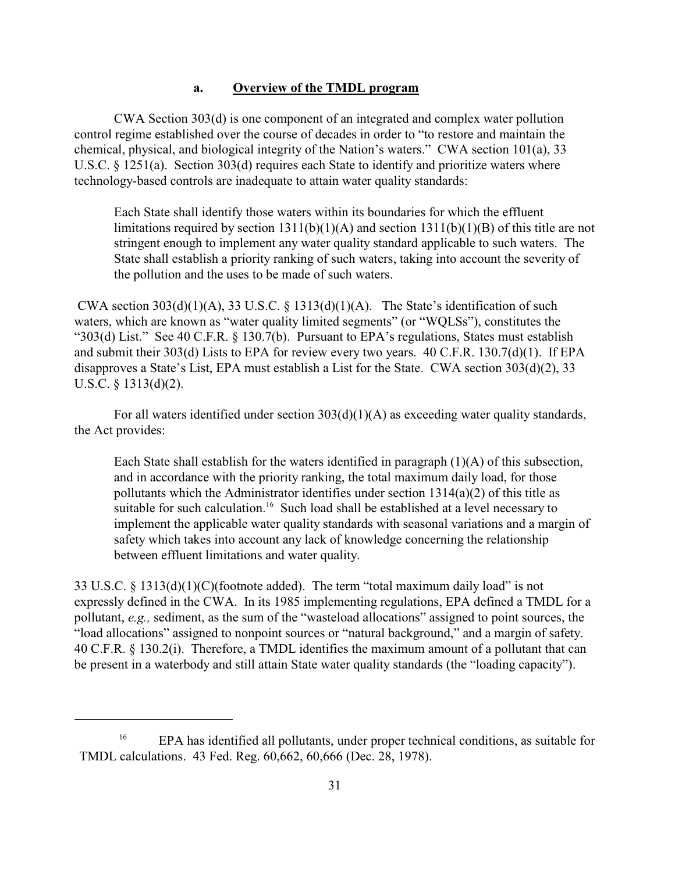#### **a. Overview of the TMDL program**

CWA Section 303(d) is one component of an integrated and complex water pollution control regime established over the course of decades in order to "to restore and maintain the chemical, physical, and biological integrity of the Nation's waters." CWA section 101(a), 33 U.S.C. § 1251(a). Section 303(d) requires each State to identify and prioritize waters where technology-based controls are inadequate to attain water quality standards:

Each State shall identify those waters within its boundaries for which the effluent limitations required by section  $1311(b)(1)(A)$  and section  $1311(b)(1)(B)$  of this title are not stringent enough to implement any water quality standard applicable to such waters. The State shall establish a priority ranking of such waters, taking into account the severity of the pollution and the uses to be made of such waters.

CWA section  $303(d)(1)(A)$ ,  $33 U.S.C. \S 1313(d)(1)(A)$ . The State's identification of such waters, which are known as "water quality limited segments" (or "WQLSs"), constitutes the "303(d) List." See 40 C.F.R. § 130.7(b). Pursuant to EPA's regulations, States must establish and submit their 303(d) Lists to EPA for review every two years. 40 C.F.R. 130.7(d)(1). If EPA disapproves a State's List, EPA must establish a List for the State. CWA section 303(d)(2), 33 U.S.C. § 1313(d)(2).

For all waters identified under section 303(d)(1)(A) as exceeding water quality standards, the Act provides:

Each State shall establish for the waters identified in paragraph  $(1)(A)$  of this subsection, and in accordance with the priority ranking, the total maximum daily load, for those pollutants which the Administrator identifies under section 1314(a)(2) of this title as suitable for such calculation.<sup>16</sup> Such load shall be established at a level necessary to implement the applicable water quality standards with seasonal variations and a margin of safety which takes into account any lack of knowledge concerning the relationship between effluent limitations and water quality.

33 U.S.C. § 1313(d)(1)(C)(footnote added). The term "total maximum daily load" is not expressly defined in the CWA. In its 1985 implementing regulations, EPA defined a TMDL for a pollutant, *e.g.,* sediment, as the sum of the "wasteload allocations" assigned to point sources, the "load allocations" assigned to nonpoint sources or "natural background," and a margin of safety. 40 C.F.R. § 130.2(i). Therefore, a TMDL identifies the maximum amount of a pollutant that can be present in a waterbody and still attain State water quality standards (the "loading capacity").

 $EPA$  has identified all pollutants, under proper technical conditions, as suitable for TMDL calculations. 43 Fed. Reg. 60,662, 60,666 (Dec. 28, 1978).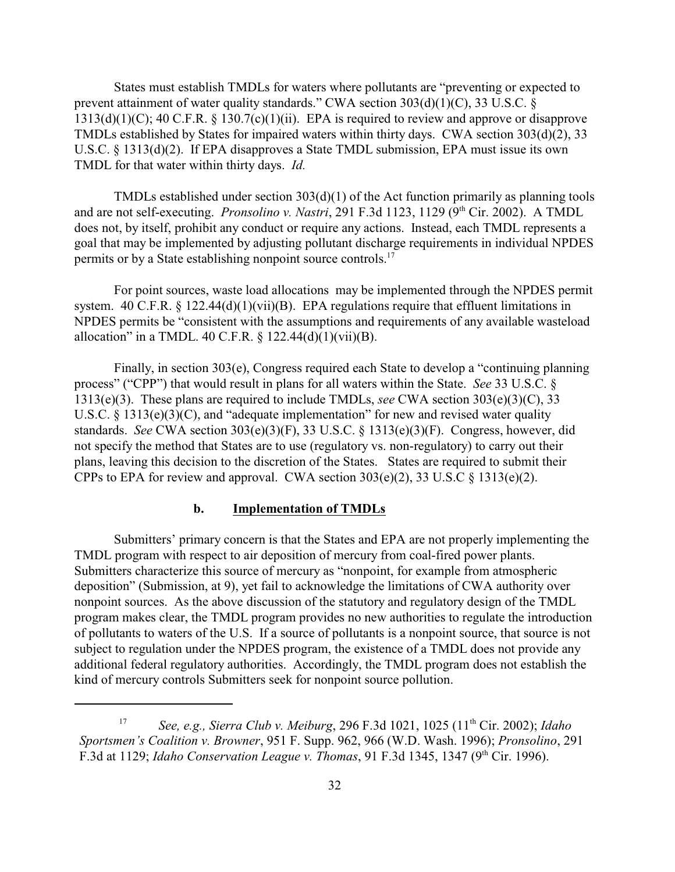States must establish TMDLs for waters where pollutants are "preventing or expected to prevent attainment of water quality standards." CWA section 303(d)(1)(C), 33 U.S.C. §  $1313(d)(1)(C)$ ; 40 C.F.R. § 130.7(c)(1)(ii). EPA is required to review and approve or disapprove TMDLs established by States for impaired waters within thirty days. CWA section 303(d)(2), 33 U.S.C. § 1313(d)(2). If EPA disapproves a State TMDL submission, EPA must issue its own TMDL for that water within thirty days. *Id.*

TMDLs established under section 303(d)(1) of the Act function primarily as planning tools and are not self-executing. *Pronsolino v. Nastri*, 291 F.3d 1123, 1129 (9<sup>th</sup> Cir. 2002). A TMDL does not, by itself, prohibit any conduct or require any actions. Instead, each TMDL represents a goal that may be implemented by adjusting pollutant discharge requirements in individual NPDES permits or by a State establishing nonpoint source controls.<sup>17</sup>

For point sources, waste load allocations may be implemented through the NPDES permit system. 40 C.F.R.  $\S$  122.44(d)(1)(vii)(B). EPA regulations require that effluent limitations in NPDES permits be "consistent with the assumptions and requirements of any available wasteload allocation" in a TMDL. 40 C.F.R.  $\S$  122.44(d)(1)(vii)(B).

Finally, in section 303(e), Congress required each State to develop a "continuing planning process" ("CPP") that would result in plans for all waters within the State. *See* 33 U.S.C. § 1313(e)(3). These plans are required to include TMDLs, *see* CWA section 303(e)(3)(C), 33 U.S.C.  $\S$  1313(e)(3)(C), and "adequate implementation" for new and revised water quality standards. *See* CWA section 303(e)(3)(F), 33 U.S.C. § 1313(e)(3)(F). Congress, however, did not specify the method that States are to use (regulatory vs. non-regulatory) to carry out their plans, leaving this decision to the discretion of the States. States are required to submit their CPPs to EPA for review and approval. CWA section  $303(e)(2)$ ,  $33 \text{ U.S.C} \$   $313(e)(2)$ .

### **b. Implementation of TMDLs**

Submitters' primary concern is that the States and EPA are not properly implementing the TMDL program with respect to air deposition of mercury from coal-fired power plants. Submitters characterize this source of mercury as "nonpoint, for example from atmospheric deposition" (Submission, at 9), yet fail to acknowledge the limitations of CWA authority over nonpoint sources. As the above discussion of the statutory and regulatory design of the TMDL program makes clear, the TMDL program provides no new authorities to regulate the introduction of pollutants to waters of the U.S. If a source of pollutants is a nonpoint source, that source is not subject to regulation under the NPDES program, the existence of a TMDL does not provide any additional federal regulatory authorities. Accordingly, the TMDL program does not establish the kind of mercury controls Submitters seek for nonpoint source pollution.

<sup>&</sup>lt;sup>17</sup> See, e.g., Sierra Club v. Meiburg, 296 F.3d 1021, 1025 (11<sup>th</sup> Cir. 2002); *Idaho Sportsmen's Coalition v. Browner*, 951 F. Supp. 962, 966 (W.D. Wash. 1996); *Pronsolino*, 291 F.3d at 1129; *Idaho Conservation League v. Thomas*, 91 F.3d 1345, 1347 (9<sup>th</sup> Cir. 1996).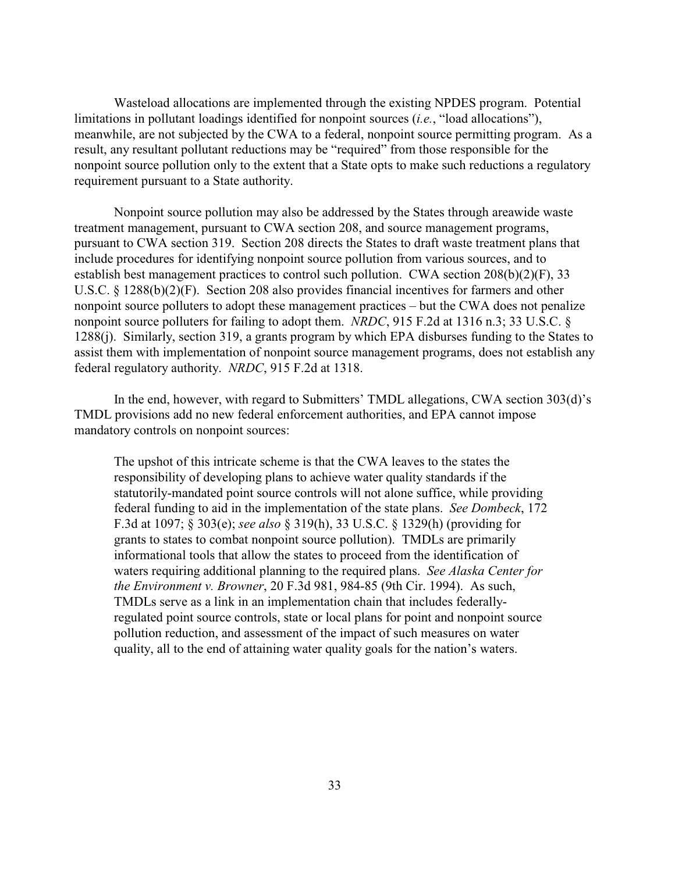Wasteload allocations are implemented through the existing NPDES program. Potential limitations in pollutant loadings identified for nonpoint sources (*i.e.*, "load allocations"), meanwhile, are not subjected by the CWA to a federal, nonpoint source permitting program. As a result, any resultant pollutant reductions may be "required" from those responsible for the nonpoint source pollution only to the extent that a State opts to make such reductions a regulatory requirement pursuant to a State authority.

Nonpoint source pollution may also be addressed by the States through areawide waste treatment management, pursuant to CWA section 208, and source management programs, pursuant to CWA section 319. Section 208 directs the States to draft waste treatment plans that include procedures for identifying nonpoint source pollution from various sources, and to establish best management practices to control such pollution. CWA section 208(b)(2)(F), 33 U.S.C. § 1288(b)(2)(F). Section 208 also provides financial incentives for farmers and other nonpoint source polluters to adopt these management practices – but the CWA does not penalize nonpoint source polluters for failing to adopt them. *NRDC*, 915 F.2d at 1316 n.3; 33 U.S.C. § 1288(j). Similarly, section 319, a grants program by which EPA disburses funding to the States to assist them with implementation of nonpoint source management programs, does not establish any federal regulatory authority. *NRDC*, 915 F.2d at 1318.

In the end, however, with regard to Submitters' TMDL allegations, CWA section 303(d)'s TMDL provisions add no new federal enforcement authorities, and EPA cannot impose mandatory controls on nonpoint sources:

The upshot of this intricate scheme is that the CWA leaves to the states the responsibility of developing plans to achieve water quality standards if the statutorily-mandated point source controls will not alone suffice, while providing federal funding to aid in the implementation of the state plans. *See Dombeck*, 172 F.3d at 1097; § 303(e); *see also* § 319(h), 33 U.S.C. § 1329(h) (providing for grants to states to combat nonpoint source pollution). TMDLs are primarily informational tools that allow the states to proceed from the identification of waters requiring additional planning to the required plans. *See Alaska Center for the Environment v. Browner*, 20 F.3d 981, 984-85 (9th Cir. 1994). As such, TMDLs serve as a link in an implementation chain that includes federallyregulated point source controls, state or local plans for point and nonpoint source pollution reduction, and assessment of the impact of such measures on water quality, all to the end of attaining water quality goals for the nation's waters.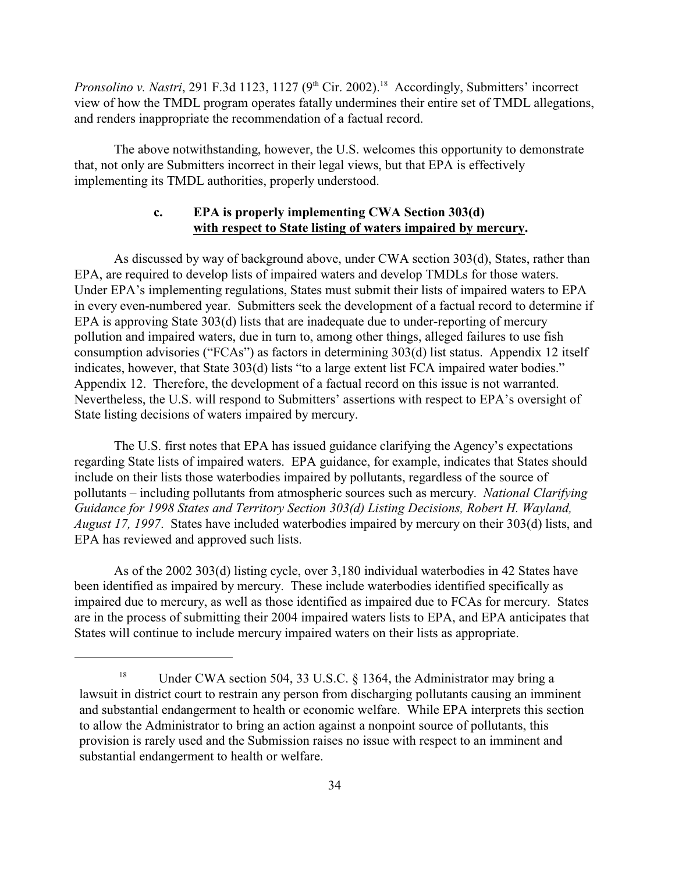*Pronsolino v. Nastri*, 291 F.3d 1123, 1127 (9<sup>th</sup> Cir. 2002).<sup>18</sup> Accordingly, Submitters' incorrect view of how the TMDL program operates fatally undermines their entire set of TMDL allegations, and renders inappropriate the recommendation of a factual record.

The above notwithstanding, however, the U.S. welcomes this opportunity to demonstrate that, not only are Submitters incorrect in their legal views, but that EPA is effectively implementing its TMDL authorities, properly understood.

### **c. EPA is properly implementing CWA Section 303(d) with respect to State listing of waters impaired by mercury.**

As discussed by way of background above, under CWA section 303(d), States, rather than EPA, are required to develop lists of impaired waters and develop TMDLs for those waters. Under EPA's implementing regulations, States must submit their lists of impaired waters to EPA in every even-numbered year.Submitters seek the development of a factual record to determine if EPA is approving State 303(d) lists that are inadequate due to under-reporting of mercury pollution and impaired waters, due in turn to, among other things, alleged failures to use fish consumption advisories ("FCAs") as factors in determining 303(d) list status. Appendix 12 itself indicates, however, that State 303(d) lists "to a large extent list FCA impaired water bodies." Appendix 12. Therefore, the development of a factual record on this issue is not warranted. Nevertheless, the U.S. will respond to Submitters' assertions with respect to EPA's oversight of State listing decisions of waters impaired by mercury.

The U.S. first notes that EPA has issued guidance clarifying the Agency's expectations regarding State lists of impaired waters. EPA guidance, for example, indicates that States should include on their lists those waterbodies impaired by pollutants, regardless of the source of pollutants – including pollutants from atmospheric sources such as mercury. *National Clarifying Guidance for 1998 States and Territory Section 303(d) Listing Decisions, Robert H. Wayland, August 17, 1997*. States have included waterbodies impaired by mercury on their 303(d) lists, and EPA has reviewed and approved such lists.

As of the 2002 303(d) listing cycle, over 3,180 individual waterbodies in 42 States have been identified as impaired by mercury. These include waterbodies identified specifically as impaired due to mercury, as well as those identified as impaired due to FCAs for mercury. States are in the process of submitting their 2004 impaired waters lists to EPA, and EPA anticipates that States will continue to include mercury impaired waters on their lists as appropriate.

<sup>&</sup>lt;sup>18</sup> Under CWA section 504, 33 U.S.C. § 1364, the Administrator may bring a lawsuit in district court to restrain any person from discharging pollutants causing an imminent and substantial endangerment to health or economic welfare. While EPA interprets this section to allow the Administrator to bring an action against a nonpoint source of pollutants, this provision is rarely used and the Submission raises no issue with respect to an imminent and substantial endangerment to health or welfare.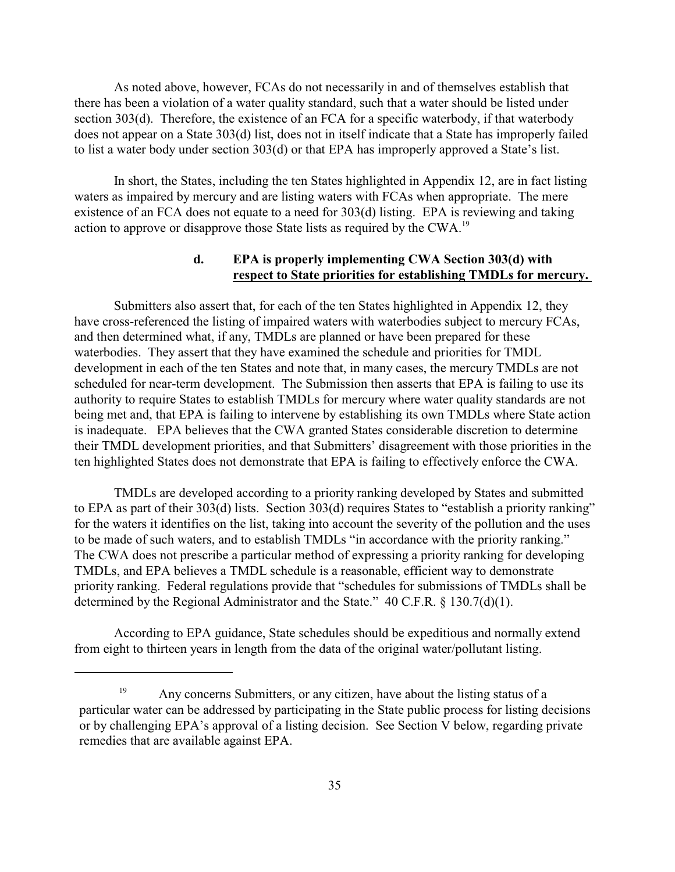As noted above, however, FCAs do not necessarily in and of themselves establish that there has been a violation of a water quality standard, such that a water should be listed under section 303(d). Therefore, the existence of an FCA for a specific waterbody, if that waterbody does not appear on a State 303(d) list, does not in itself indicate that a State has improperly failed to list a water body under section 303(d) or that EPA has improperly approved a State's list.

In short, the States, including the ten States highlighted in Appendix 12, are in fact listing waters as impaired by mercury and are listing waters with FCAs when appropriate. The mere existence of an FCA does not equate to a need for 303(d) listing. EPA is reviewing and taking action to approve or disapprove those State lists as required by the CWA.<sup>19</sup>

### **d. EPA is properly implementing CWA Section 303(d) with respect to State priorities for establishing TMDLs for mercury.**

Submitters also assert that, for each of the ten States highlighted in Appendix 12, they have cross-referenced the listing of impaired waters with waterbodies subject to mercury FCAs, and then determined what, if any, TMDLs are planned or have been prepared for these waterbodies. They assert that they have examined the schedule and priorities for TMDL development in each of the ten States and note that, in many cases, the mercury TMDLs are not scheduled for near-term development. The Submission then asserts that EPA is failing to use its authority to require States to establish TMDLs for mercury where water quality standards are not being met and, that EPA is failing to intervene by establishing its own TMDLs where State action is inadequate. EPA believes that the CWA granted States considerable discretion to determine their TMDL development priorities, and that Submitters' disagreement with those priorities in the ten highlighted States does not demonstrate that EPA is failing to effectively enforce the CWA.

TMDLs are developed according to a priority ranking developed by States and submitted to EPA as part of their 303(d) lists. Section 303(d) requires States to "establish a priority ranking" for the waters it identifies on the list, taking into account the severity of the pollution and the uses to be made of such waters, and to establish TMDLs "in accordance with the priority ranking." The CWA does not prescribe a particular method of expressing a priority ranking for developing TMDLs, and EPA believes a TMDL schedule is a reasonable, efficient way to demonstrate priority ranking. Federal regulations provide that "schedules for submissions of TMDLs shall be determined by the Regional Administrator and the State." 40 C.F.R. § 130.7(d)(1).

According to EPA guidance, State schedules should be expeditious and normally extend from eight to thirteen years in length from the data of the original water/pollutant listing.

<sup>&</sup>lt;sup>19</sup> Any concerns Submitters, or any citizen, have about the listing status of a particular water can be addressed by participating in the State public process for listing decisions or by challenging EPA's approval of a listing decision. See Section V below, regarding private remedies that are available against EPA.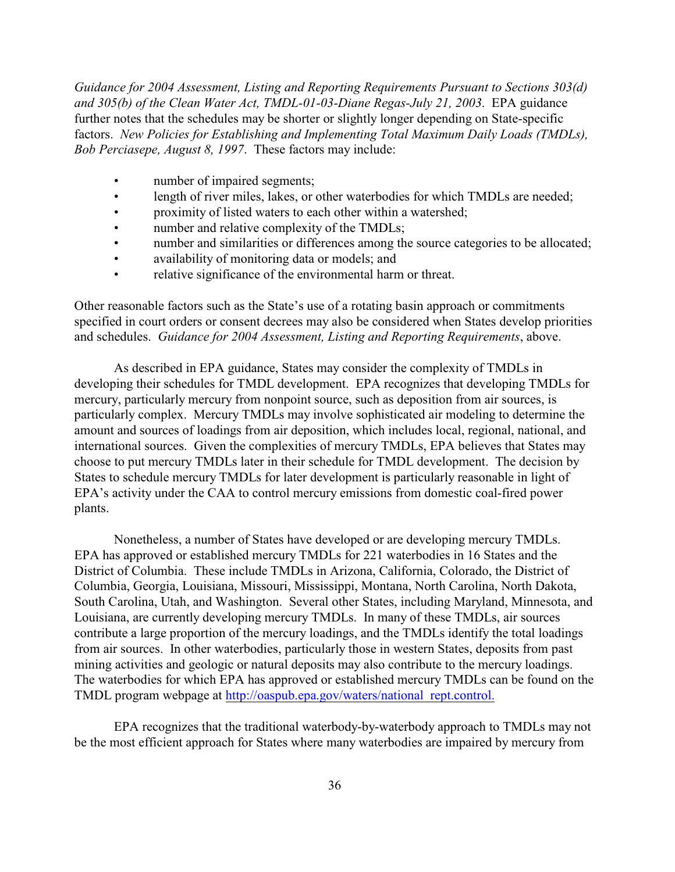*Guidance for 2004 Assessment, Listing and Reporting Requirements Pursuant to Sections 303(d) and 305(b) of the Clean Water Act, TMDL-01-03-Diane Regas-July 21, 2003*. EPA guidance further notes that the schedules may be shorter or slightly longer depending on State-specific factors. *New Policies for Establishing and Implementing Total Maximum Daily Loads (TMDLs), Bob Perciasepe, August 8, 1997*. These factors may include:

- number of impaired segments;
- length of river miles, lakes, or other waterbodies for which TMDLs are needed;
- proximity of listed waters to each other within a watershed;
- number and relative complexity of the TMDLs;
- number and similarities or differences among the source categories to be allocated;
- availability of monitoring data or models; and
- relative significance of the environmental harm or threat.

Other reasonable factors such as the State's use of a rotating basin approach or commitments specified in court orders or consent decrees may also be considered when States develop priorities and schedules. *Guidance for 2004 Assessment, Listing and Reporting Requirements*, above.

As described in EPA guidance, States may consider the complexity of TMDLs in developing their schedules for TMDL development. EPA recognizes that developing TMDLs for mercury, particularly mercury from nonpoint source, such as deposition from air sources, is particularly complex. Mercury TMDLs may involve sophisticated air modeling to determine the amount and sources of loadings from air deposition, which includes local, regional, national, and international sources. Given the complexities of mercury TMDLs, EPA believes that States may choose to put mercury TMDLs later in their schedule for TMDL development. The decision by States to schedule mercury TMDLs for later development is particularly reasonable in light of EPA's activity under the CAA to control mercury emissions from domestic coal-fired power plants.

Nonetheless, a number of States have developed or are developing mercury TMDLs. EPA has approved or established mercury TMDLs for 221 waterbodies in 16 States and the District of Columbia. These include TMDLs in Arizona, California, Colorado, the District of Columbia, Georgia, Louisiana, Missouri, Mississippi, Montana, North Carolina, North Dakota, South Carolina, Utah, and Washington. Several other States, including Maryland, Minnesota, and Louisiana, are currently developing mercury TMDLs. In many of these TMDLs, air sources contribute a large proportion of the mercury loadings, and the TMDLs identify the total loadings from air sources. In other waterbodies, particularly those in western States, deposits from past mining activities and geologic or natural deposits may also contribute to the mercury loadings. The waterbodies for which EPA has approved or established mercury TMDLs can be found on the TMDL program webpage at [http://oaspub.epa.gov/waters/national\\_rept.control.](http://oaspub.epa.gov/waters/national_rept.control.)

EPA recognizes that the traditional waterbody-by-waterbody approach to TMDLs may not be the most efficient approach for States where many waterbodies are impaired by mercury from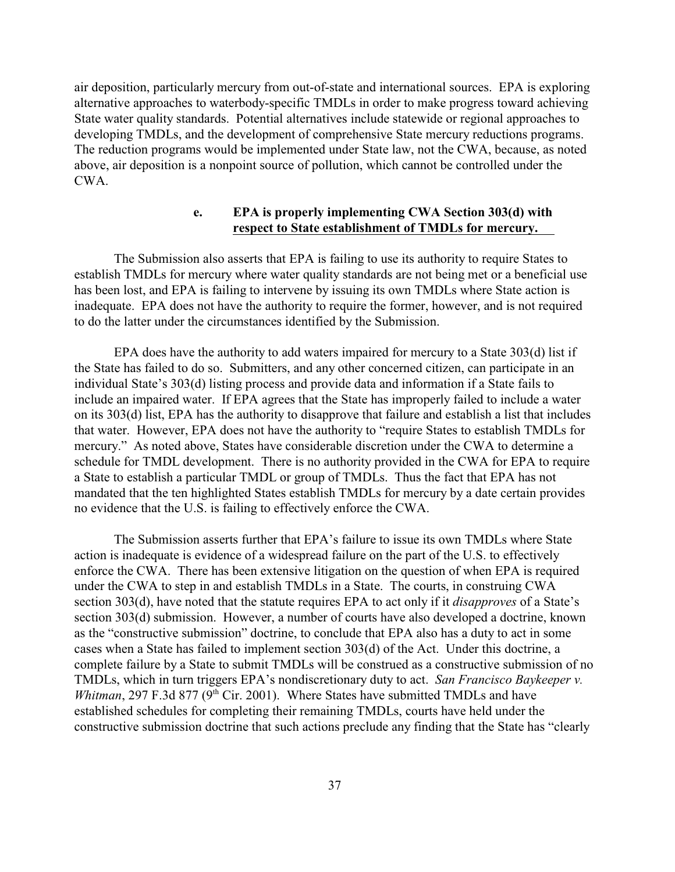air deposition, particularly mercury from out-of-state and international sources. EPA is exploring alternative approaches to waterbody-specific TMDLs in order to make progress toward achieving State water quality standards. Potential alternatives include statewide or regional approaches to developing TMDLs, and the development of comprehensive State mercury reductions programs. The reduction programs would be implemented under State law, not the CWA, because, as noted above, air deposition is a nonpoint source of pollution, which cannot be controlled under the CWA.

### **e. EPA is properly implementing CWA Section 303(d) with respect to State establishment of TMDLs for mercury.**

The Submission also asserts that EPA is failing to use its authority to require States to establish TMDLs for mercury where water quality standards are not being met or a beneficial use has been lost, and EPA is failing to intervene by issuing its own TMDLs where State action is inadequate. EPA does not have the authority to require the former, however, and is not required to do the latter under the circumstances identified by the Submission.

EPA does have the authority to add waters impaired for mercury to a State 303(d) list if the State has failed to do so. Submitters, and any other concerned citizen, can participate in an individual State's 303(d) listing process and provide data and information if a State fails to include an impaired water. If EPA agrees that the State has improperly failed to include a water on its 303(d) list, EPA has the authority to disapprove that failure and establish a list that includes that water. However, EPA does not have the authority to "require States to establish TMDLs for mercury." As noted above, States have considerable discretion under the CWA to determine a schedule for TMDL development. There is no authority provided in the CWA for EPA to require a State to establish a particular TMDL or group of TMDLs. Thus the fact that EPA has not mandated that the ten highlighted States establish TMDLs for mercury by a date certain provides no evidence that the U.S. is failing to effectively enforce the CWA.

The Submission asserts further that EPA's failure to issue its own TMDLs where State action is inadequate is evidence of a widespread failure on the part of the U.S. to effectively enforce the CWA. There has been extensive litigation on the question of when EPA is required under the CWA to step in and establish TMDLs in a State. The courts, in construing CWA section 303(d), have noted that the statute requires EPA to act only if it *disapproves* of a State's section 303(d) submission. However, a number of courts have also developed a doctrine, known as the "constructive submission" doctrine, to conclude that EPA also has a duty to act in some cases when a State has failed to implement section 303(d) of the Act. Under this doctrine, a complete failure by a State to submit TMDLs will be construed as a constructive submission of no TMDLs, which in turn triggers EPA's nondiscretionary duty to act. *San Francisco Baykeeper v. Whitman*, 297 F.3d 877 ( $9<sup>th</sup>$  Cir. 2001). Where States have submitted TMDLs and have established schedules for completing their remaining TMDLs, courts have held under the constructive submission doctrine that such actions preclude any finding that the State has "clearly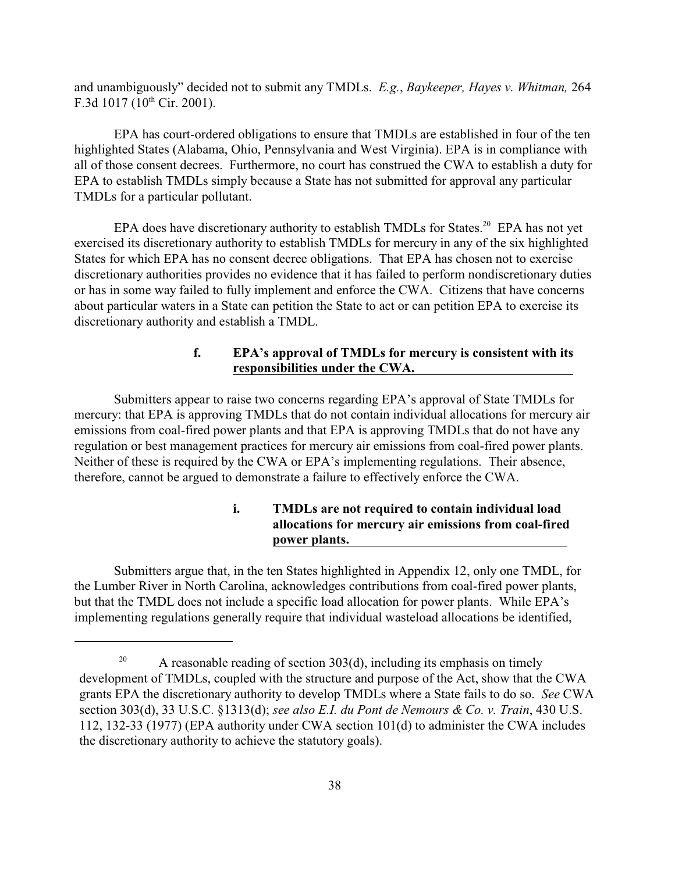and unambiguously" decided not to submit any TMDLs. *E.g.*, *Baykeeper, Hayes v. Whitman,* 264 F.3d 1017 (10<sup>th</sup> Cir. 2001).

EPA has court-ordered obligations to ensure that TMDLs are established in four of the ten highlighted States (Alabama, Ohio, Pennsylvania and West Virginia). EPA is in compliance with all of those consent decrees. Furthermore, no court has construed the CWA to establish a duty for EPA to establish TMDLs simply because a State has not submitted for approval any particular TMDLs for a particular pollutant.

EPA does have discretionary authority to establish TMDLs for States.<sup>20</sup> EPA has not yet exercised its discretionary authority to establish TMDLs for mercury in any of the six highlighted States for which EPA has no consent decree obligations. That EPA has chosen not to exercise discretionary authorities provides no evidence that it has failed to perform nondiscretionary duties or has in some way failed to fully implement and enforce the CWA. Citizens that have concerns about particular waters in a State can petition the State to act or can petition EPA to exercise its discretionary authority and establish a TMDL.

### **f. EPA's approval of TMDLs for mercury is consistent with its responsibilities under the CWA.**

Submitters appear to raise two concerns regarding EPA's approval of State TMDLs for mercury: that EPA is approving TMDLs that do not contain individual allocations for mercury air emissions from coal-fired power plants and that EPA is approving TMDLs that do not have any regulation or best management practices for mercury air emissions from coal-fired power plants. Neither of these is required by the CWA or EPA's implementing regulations. Their absence, therefore, cannot be argued to demonstrate a failure to effectively enforce the CWA.

# **i. TMDLs are not required to contain individual load allocations for mercury air emissions from coal-fired power plants.**

Submitters argue that, in the ten States highlighted in Appendix 12, only one TMDL, for the Lumber River in North Carolina, acknowledges contributions from coal-fired power plants, but that the TMDL does not include a specific load allocation for power plants. While EPA's implementing regulations generally require that individual wasteload allocations be identified,

<sup>&</sup>lt;sup>20</sup> A reasonable reading of section  $303(d)$ , including its emphasis on timely development of TMDLs, coupled with the structure and purpose of the Act, show that the CWA grants EPA the discretionary authority to develop TMDLs where a State fails to do so. *See* CWA section 303(d), 33 U.S.C. §1313(d); *see also E.I. du Pont de Nemours & Co. v. Train*, 430 U.S. 112, 132-33 (1977) (EPA authority under CWA section 101(d) to administer the CWA includes the discretionary authority to achieve the statutory goals).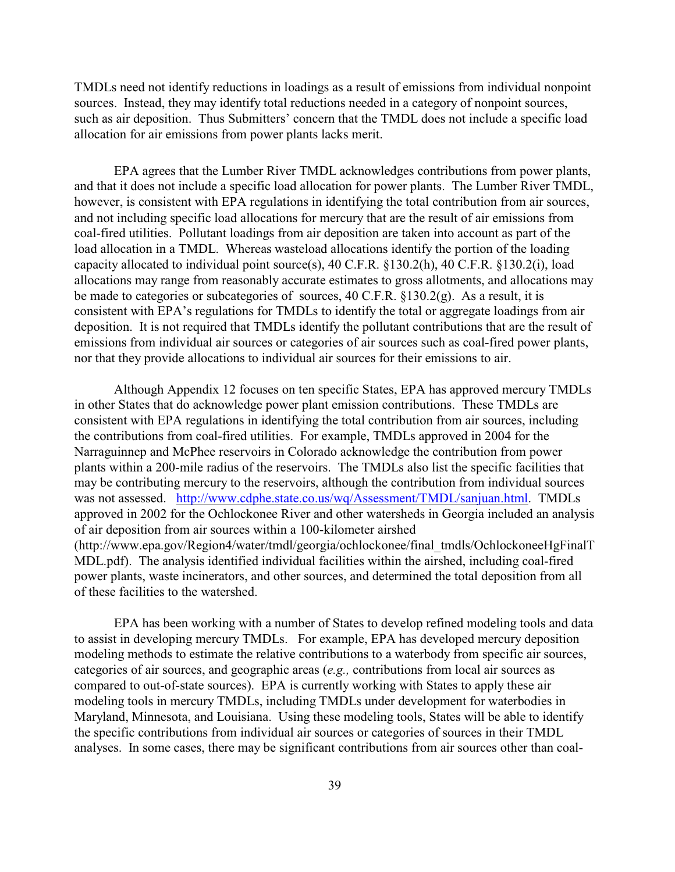TMDLs need not identify reductions in loadings as a result of emissions from individual nonpoint sources. Instead, they may identify total reductions needed in a category of nonpoint sources, such as air deposition. Thus Submitters' concern that the TMDL does not include a specific load allocation for air emissions from power plants lacks merit.

EPA agrees that the Lumber River TMDL acknowledges contributions from power plants, and that it does not include a specific load allocation for power plants. The Lumber River TMDL, however, is consistent with EPA regulations in identifying the total contribution from air sources, and not including specific load allocations for mercury that are the result of air emissions from coal-fired utilities. Pollutant loadings from air deposition are taken into account as part of the load allocation in a TMDL. Whereas wasteload allocations identify the portion of the loading capacity allocated to individual point source(s), 40 C.F.R. §130.2(h), 40 C.F.R. §130.2(i), load allocations may range from reasonably accurate estimates to gross allotments, and allocations may be made to categories or subcategories of sources, 40 C.F.R. §130.2(g). As a result, it is consistent with EPA's regulations for TMDLs to identify the total or aggregate loadings from air deposition. It is not required that TMDLs identify the pollutant contributions that are the result of emissions from individual air sources or categories of air sources such as coal-fired power plants, nor that they provide allocations to individual air sources for their emissions to air.

Although Appendix 12 focuses on ten specific States, EPA has approved mercury TMDLs in other States that do acknowledge power plant emission contributions. These TMDLs are consistent with EPA regulations in identifying the total contribution from air sources, including the contributions from coal-fired utilities. For example, TMDLs approved in 2004 for the Narraguinnep and McPhee reservoirs in Colorado acknowledge the contribution from power plants within a 200-mile radius of the reservoirs. The TMDLs also list the specific facilities that may be contributing mercury to the reservoirs, although the contribution from individual sources was not assessed. <http://www.cdphe.state.co.us/wq/Assessment/TMDL/sanjuan.html>. TMDLs approved in 2002 for the Ochlockonee River and other watersheds in Georgia included an analysis of air deposition from air sources within a 100-kilometer airshed (http://www.epa.gov/Region4/water/tmdl/georgia/ochlockonee/final\_tmdls/OchlockoneeHgFinalT MDL.pdf). The analysis identified individual facilities within the airshed, including coal-fired power plants, waste incinerators, and other sources, and determined the total deposition from all of these facilities to the watershed.

EPA has been working with a number of States to develop refined modeling tools and data to assist in developing mercury TMDLs. For example, EPA has developed mercury deposition modeling methods to estimate the relative contributions to a waterbody from specific air sources, categories of air sources, and geographic areas (*e.g.,* contributions from local air sources as compared to out-of-state sources). EPA is currently working with States to apply these air modeling tools in mercury TMDLs, including TMDLs under development for waterbodies in Maryland, Minnesota, and Louisiana. Using these modeling tools, States will be able to identify the specific contributions from individual air sources or categories of sources in their TMDL analyses. In some cases, there may be significant contributions from air sources other than coal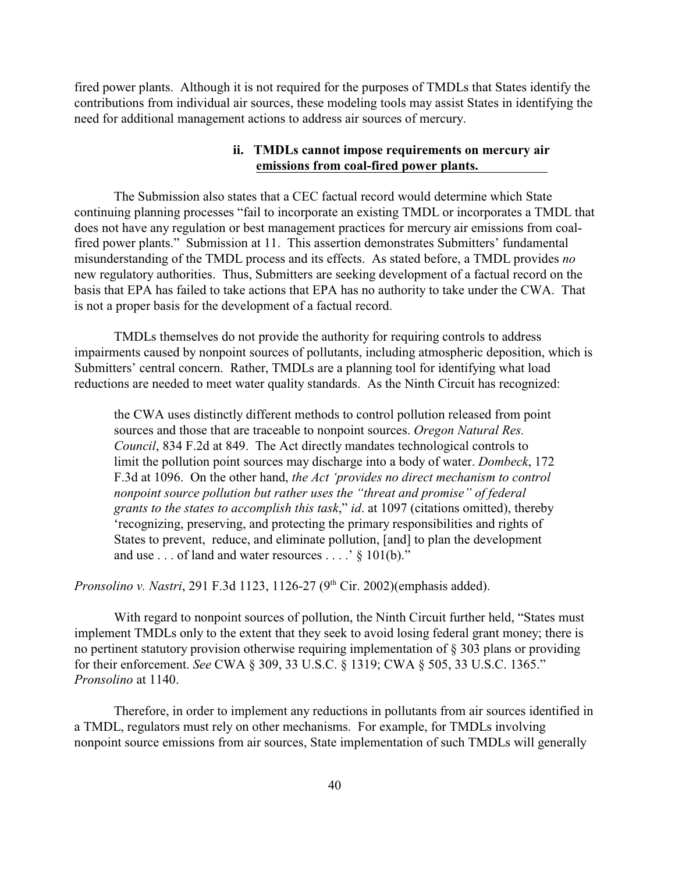fired power plants. Although it is not required for the purposes of TMDLs that States identify the contributions from individual air sources, these modeling tools may assist States in identifying the need for additional management actions to address air sources of mercury.

#### **ii. TMDLs cannot impose requirements on mercury air emissions from coal-fired power plants.**

The Submission also states that a CEC factual record would determine which State continuing planning processes "fail to incorporate an existing TMDL or incorporates a TMDL that does not have any regulation or best management practices for mercury air emissions from coalfired power plants." Submission at 11. This assertion demonstrates Submitters' fundamental misunderstanding of the TMDL process and its effects. As stated before, a TMDL provides *no* new regulatory authorities. Thus, Submitters are seeking development of a factual record on the basis that EPA has failed to take actions that EPA has no authority to take under the CWA. That is not a proper basis for the development of a factual record.

TMDLs themselves do not provide the authority for requiring controls to address impairments caused by nonpoint sources of pollutants, including atmospheric deposition, which is Submitters' central concern. Rather, TMDLs are a planning tool for identifying what load reductions are needed to meet water quality standards. As the Ninth Circuit has recognized:

the CWA uses distinctly different methods to control pollution released from point sources and those that are traceable to nonpoint sources. *Oregon Natural Res. Council*, 834 F.2d at 849. The Act directly mandates technological controls to limit the pollution point sources may discharge into a body of water. *Dombeck*, 172 F.3d at 1096. On the other hand, *the Act 'provides no direct mechanism to control nonpoint source pollution but rather uses the "threat and promise" of federal grants to the states to accomplish this task*," *id*. at 1097 (citations omitted), thereby 'recognizing, preserving, and protecting the primary responsibilities and rights of States to prevent, reduce, and eliminate pollution, [and] to plan the development and use . . . of land and water resources . . . .' § 101(b)."

*Pronsolino v. Nastri*, 291 F.3d 1123, 1126-27 (9<sup>th</sup> Cir. 2002)(emphasis added).

With regard to nonpoint sources of pollution, the Ninth Circuit further held, "States must implement TMDLs only to the extent that they seek to avoid losing federal grant money; there is no pertinent statutory provision otherwise requiring implementation of § 303 plans or providing for their enforcement. *See* CWA § 309, 33 U.S.C. § 1319; CWA § 505, 33 U.S.C. 1365." *Pronsolino* at 1140.

Therefore, in order to implement any reductions in pollutants from air sources identified in a TMDL, regulators must rely on other mechanisms. For example, for TMDLs involving nonpoint source emissions from air sources, State implementation of such TMDLs will generally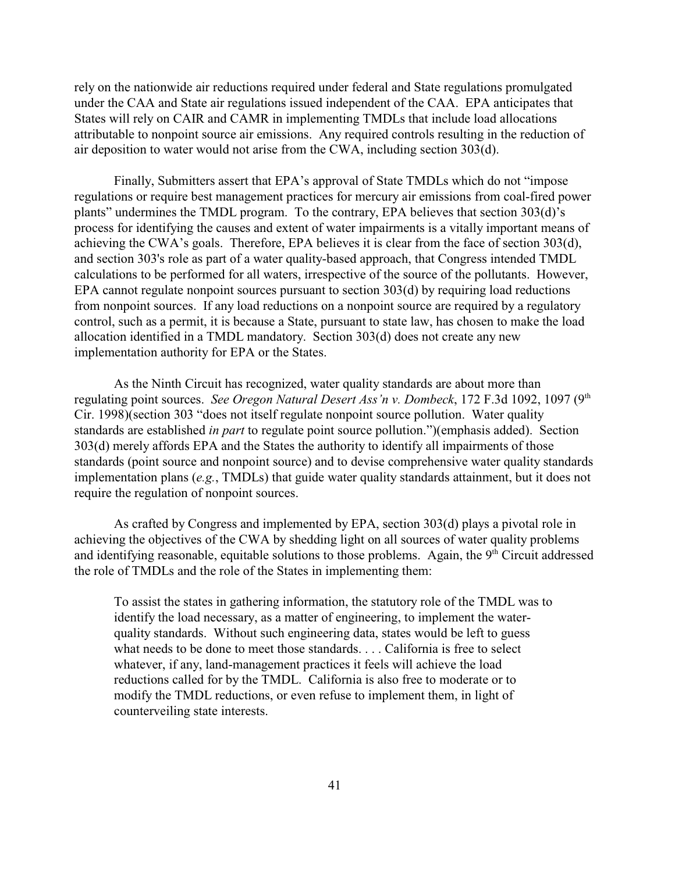rely on the nationwide air reductions required under federal and State regulations promulgated under the CAA and State air regulations issued independent of the CAA. EPA anticipates that States will rely on CAIR and CAMR in implementing TMDLs that include load allocations attributable to nonpoint source air emissions. Any required controls resulting in the reduction of air deposition to water would not arise from the CWA, including section 303(d).

Finally, Submitters assert that EPA's approval of State TMDLs which do not "impose regulations or require best management practices for mercury air emissions from coal-fired power plants" undermines the TMDL program. To the contrary, EPA believes that section 303(d)'s process for identifying the causes and extent of water impairments is a vitally important means of achieving the CWA's goals. Therefore, EPA believes it is clear from the face of section 303(d), and section 303's role as part of a water quality-based approach, that Congress intended TMDL calculations to be performed for all waters, irrespective of the source of the pollutants. However, EPA cannot regulate nonpoint sources pursuant to section 303(d) by requiring load reductions from nonpoint sources. If any load reductions on a nonpoint source are required by a regulatory control, such as a permit, it is because a State, pursuant to state law, has chosen to make the load allocation identified in a TMDL mandatory. Section 303(d) does not create any new implementation authority for EPA or the States.

As the Ninth Circuit has recognized, water quality standards are about more than regulating point sources. *See Oregon Natural Desert Ass'n v. Dombeck*, 172 F.3d 1092, 1097 (9<sup>th</sup> Cir. 1998)(section 303 "does not itself regulate nonpoint source pollution. Water quality standards are established *in part* to regulate point source pollution.")(emphasis added). Section 303(d) merely affords EPA and the States the authority to identify all impairments of those standards (point source and nonpoint source) and to devise comprehensive water quality standards implementation plans (*e.g.*, TMDLs) that guide water quality standards attainment, but it does not require the regulation of nonpoint sources.

As crafted by Congress and implemented by EPA, section 303(d) plays a pivotal role in achieving the objectives of the CWA by shedding light on all sources of water quality problems and identifying reasonable, equitable solutions to those problems. Again, the  $9<sup>th</sup>$  Circuit addressed the role of TMDLs and the role of the States in implementing them:

To assist the states in gathering information, the statutory role of the TMDL was to identify the load necessary, as a matter of engineering, to implement the waterquality standards. Without such engineering data, states would be left to guess what needs to be done to meet those standards. . . . California is free to select whatever, if any, land-management practices it feels will achieve the load reductions called for by the TMDL. California is also free to moderate or to modify the TMDL reductions, or even refuse to implement them, in light of counterveiling state interests.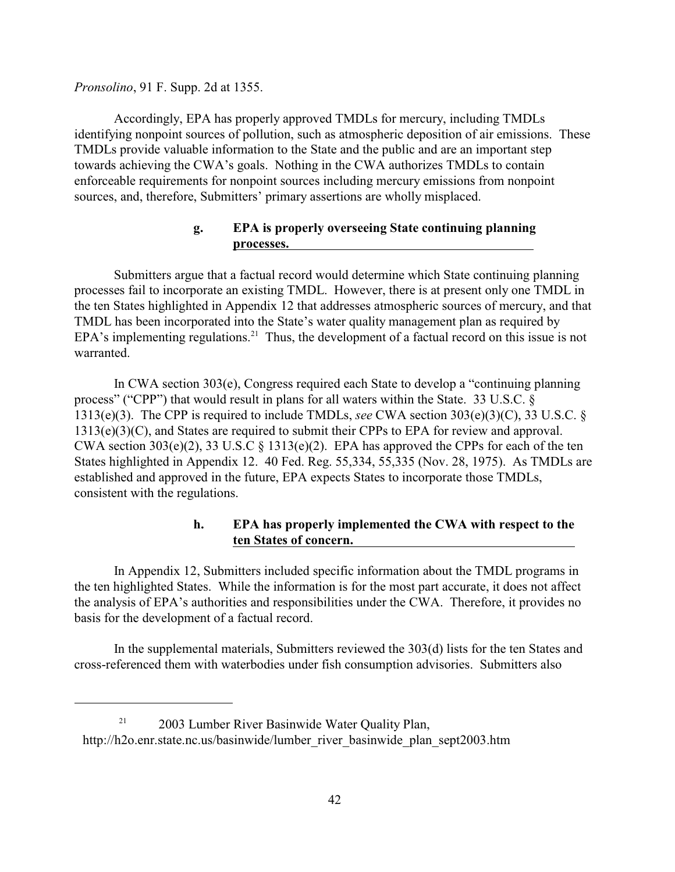*Pronsolino*, 91 F. Supp. 2d at 1355.

Accordingly, EPA has properly approved TMDLs for mercury, including TMDLs identifying nonpoint sources of pollution, such as atmospheric deposition of air emissions. These TMDLs provide valuable information to the State and the public and are an important step towards achieving the CWA's goals. Nothing in the CWA authorizes TMDLs to contain enforceable requirements for nonpoint sources including mercury emissions from nonpoint sources, and, therefore, Submitters' primary assertions are wholly misplaced.

### **g. EPA is properly overseeing State continuing planning processes.**

Submitters argue that a factual record would determine which State continuing planning processes fail to incorporate an existing TMDL. However, there is at present only one TMDL in the ten States highlighted in Appendix 12 that addresses atmospheric sources of mercury, and that TMDL has been incorporated into the State's water quality management plan as required by EPA's implementing regulations.<sup>21</sup> Thus, the development of a factual record on this issue is not warranted.

In CWA section 303(e), Congress required each State to develop a "continuing planning process" ("CPP") that would result in plans for all waters within the State. 33 U.S.C. § 1313(e)(3). The CPP is required to include TMDLs, *see* CWA section 303(e)(3)(C), 33 U.S.C. § 1313(e)(3)(C), and States are required to submit their CPPs to EPA for review and approval. CWA section  $303(e)(2)$ ,  $33 U.S.C § 1313(e)(2)$ . EPA has approved the CPPs for each of the ten States highlighted in Appendix 12. 40 Fed. Reg. 55,334, 55,335 (Nov. 28, 1975). As TMDLs are established and approved in the future, EPA expects States to incorporate those TMDLs, consistent with the regulations.

# **h. EPA has properly implemented the CWA with respect to the ten States of concern.**

In Appendix 12, Submitters included specific information about the TMDL programs in the ten highlighted States. While the information is for the most part accurate, it does not affect the analysis of EPA's authorities and responsibilities under the CWA. Therefore, it provides no basis for the development of a factual record.

In the supplemental materials, Submitters reviewed the 303(d) lists for the ten States and cross-referenced them with waterbodies under fish consumption advisories. Submitters also

 $2003$  Lumber River Basinwide Water Quality Plan, http://h2o.enr.state.nc.us/basinwide/lumber\_river\_basinwide\_plan\_sept2003.htm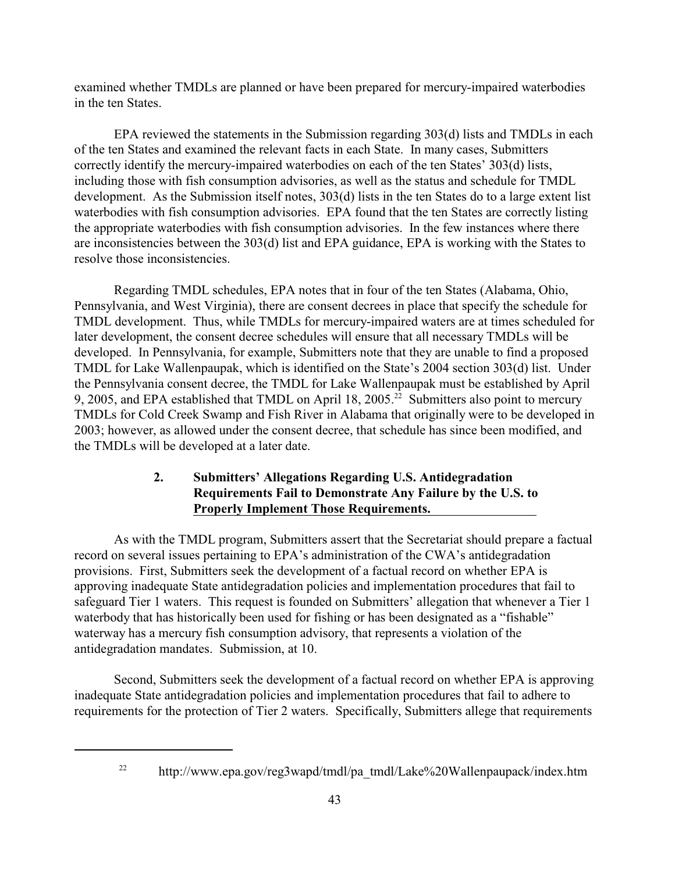examined whether TMDLs are planned or have been prepared for mercury-impaired waterbodies in the ten States.

EPA reviewed the statements in the Submission regarding 303(d) lists and TMDLs in each of the ten States and examined the relevant facts in each State. In many cases, Submitters correctly identify the mercury-impaired waterbodies on each of the ten States' 303(d) lists, including those with fish consumption advisories, as well as the status and schedule for TMDL development. As the Submission itself notes, 303(d) lists in the ten States do to a large extent list waterbodies with fish consumption advisories. EPA found that the ten States are correctly listing the appropriate waterbodies with fish consumption advisories. In the few instances where there are inconsistencies between the 303(d) list and EPA guidance, EPA is working with the States to resolve those inconsistencies.

Regarding TMDL schedules, EPA notes that in four of the ten States (Alabama, Ohio, Pennsylvania, and West Virginia), there are consent decrees in place that specify the schedule for TMDL development. Thus, while TMDLs for mercury-impaired waters are at times scheduled for later development, the consent decree schedules will ensure that all necessary TMDLs will be developed. In Pennsylvania, for example, Submitters note that they are unable to find a proposed TMDL for Lake Wallenpaupak, which is identified on the State's 2004 section 303(d) list. Under the Pennsylvania consent decree, the TMDL for Lake Wallenpaupak must be established by April 9, 2005, and EPA established that TMDL on April 18, 2005.<sup>22</sup> Submitters also point to mercury TMDLs for Cold Creek Swamp and Fish River in Alabama that originally were to be developed in 2003; however, as allowed under the consent decree, that schedule has since been modified, and the TMDLs will be developed at a later date.

# **2. Submitters' Allegations Regarding U.S. Antidegradation Requirements Fail to Demonstrate Any Failure by the U.S. to Properly Implement Those Requirements.**

As with the TMDL program, Submitters assert that the Secretariat should prepare a factual record on several issues pertaining to EPA's administration of the CWA's antidegradation provisions. First, Submitters seek the development of a factual record on whether EPA is approving inadequate State antidegradation policies and implementation procedures that fail to safeguard Tier 1 waters. This request is founded on Submitters' allegation that whenever a Tier 1 waterbody that has historically been used for fishing or has been designated as a "fishable" waterway has a mercury fish consumption advisory, that represents a violation of the antidegradation mandates. Submission, at 10.

Second, Submitters seek the development of a factual record on whether EPA is approving inadequate State antidegradation policies and implementation procedures that fail to adhere to requirements for the protection of Tier 2 waters. Specifically, Submitters allege that requirements

 $\mu$ <sup>22</sup> http://www.epa.gov/reg3wapd/tmdl/pa\_tmdl/Lake%20Wallenpaupack/index.htm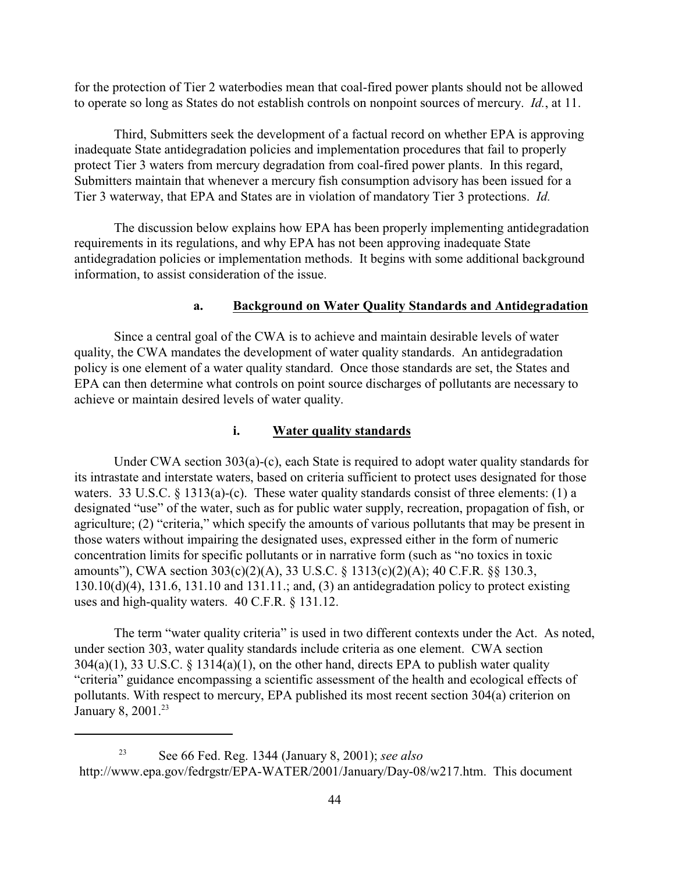for the protection of Tier 2 waterbodies mean that coal-fired power plants should not be allowed to operate so long as States do not establish controls on nonpoint sources of mercury. *Id.*, at 11.

Third, Submitters seek the development of a factual record on whether EPA is approving inadequate State antidegradation policies and implementation procedures that fail to properly protect Tier 3 waters from mercury degradation from coal-fired power plants. In this regard, Submitters maintain that whenever a mercury fish consumption advisory has been issued for a Tier 3 waterway, that EPA and States are in violation of mandatory Tier 3 protections. *Id.*

The discussion below explains how EPA has been properly implementing antidegradation requirements in its regulations, and why EPA has not been approving inadequate State antidegradation policies or implementation methods. It begins with some additional background information, to assist consideration of the issue.

#### **a. Background on Water Quality Standards and Antidegradation**

Since a central goal of the CWA is to achieve and maintain desirable levels of water quality, the CWA mandates the development of water quality standards. An antidegradation policy is one element of a water quality standard. Once those standards are set, the States and EPA can then determine what controls on point source discharges of pollutants are necessary to achieve or maintain desired levels of water quality.

#### **i. Water quality standards**

Under CWA section 303(a)-(c), each State is required to adopt water quality standards for its intrastate and interstate waters, based on criteria sufficient to protect uses designated for those waters. 33 U.S.C. § 1313(a)-(c). These water quality standards consist of three elements: (1) a designated "use" of the water, such as for public water supply, recreation, propagation of fish, or agriculture; (2) "criteria," which specify the amounts of various pollutants that may be present in those waters without impairing the designated uses, expressed either in the form of numeric concentration limits for specific pollutants or in narrative form (such as "no toxics in toxic amounts"), CWA section 303(c)(2)(A), 33 U.S.C. § 1313(c)(2)(A); 40 C.F.R. §§ 130.3, 130.10(d)(4), 131.6, 131.10 and 131.11.; and, (3) an antidegradation policy to protect existing uses and high-quality waters. 40 C.F.R. § 131.12.

The term "water quality criteria" is used in two different contexts under the Act. As noted, under section 303, water quality standards include criteria as one element. CWA section  $304(a)(1)$ , 33 U.S.C. § 1314(a)(1), on the other hand, directs EPA to publish water quality "criteria" guidance encompassing a scientific assessment of the health and ecological effects of pollutants. With respect to mercury, EPA published its most recent section 304(a) criterion on January 8, 2001.<sup>23</sup>

See 66 Fed. Reg. 1344 (January 8, 2001); *see also* 23 http://www.epa.gov/fedrgstr/EPA-WATER/2001/January/Day-08/w217.htm. This document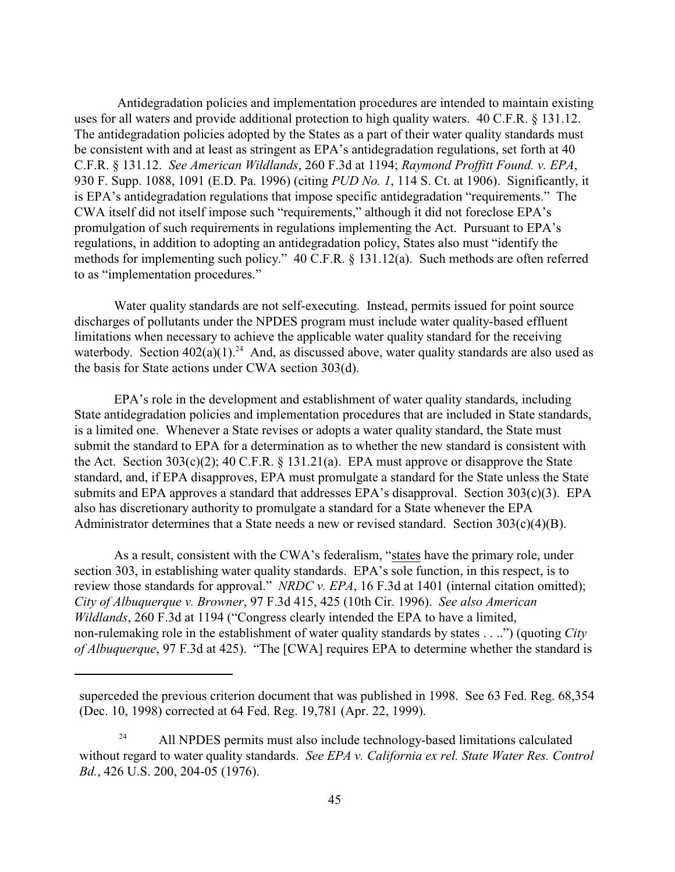Antidegradation policies and implementation procedures are intended to maintain existing uses for all waters and provide additional protection to high quality waters. 40 C.F.R. § 131.12. The antidegradation policies adopted by the States as a part of their water quality standards must be consistent with and at least as stringent as EPA's antidegradation regulations, set forth at 40 C.F.R. § 131.12. *See American Wildlands*, 260 F.3d at 1194; *Raymond Proffitt Found. v. EPA*, 930 F. Supp. 1088, 1091 (E.D. Pa. 1996) (citing *PUD No. 1*, 114 S. Ct. at 1906). Significantly, it is EPA's antidegradation regulations that impose specific antidegradation "requirements." The CWA itself did not itself impose such "requirements," although it did not foreclose EPA's promulgation of such requirements in regulations implementing the Act. Pursuant to EPA's regulations, in addition to adopting an antidegradation policy, States also must "identify the methods for implementing such policy." 40 C.F.R. § 131.12(a). Such methods are often referred to as "implementation procedures."

Water quality standards are not self-executing. Instead, permits issued for point source discharges of pollutants under the NPDES program must include water quality-based effluent limitations when necessary to achieve the applicable water quality standard for the receiving waterbody. Section  $402(a)(1)^{24}$  And, as discussed above, water quality standards are also used as the basis for State actions under CWA section 303(d).

EPA's role in the development and establishment of water quality standards, including State antidegradation policies and implementation procedures that are included in State standards, is a limited one. Whenever a State revises or adopts a water quality standard, the State must submit the standard to EPA for a determination as to whether the new standard is consistent with the Act. Section  $303(c)(2)$ ; 40 C.F.R. § 131.21(a). EPA must approve or disapprove the State standard, and, if EPA disapproves, EPA must promulgate a standard for the State unless the State submits and EPA approves a standard that addresses EPA's disapproval. Section 303(c)(3). EPA also has discretionary authority to promulgate a standard for a State whenever the EPA Administrator determines that a State needs a new or revised standard. Section 303(c)(4)(B).

As a result, consistent with the CWA's federalism, "states have the primary role, under section 303, in establishing water quality standards. EPA's sole function, in this respect, is to review those standards for approval." *NRDC v. EPA*, 16 F.3d at 1401 (internal citation omitted); *City of Albuquerque v. Browner*, 97 F.3d 415, 425 (10th Cir. 1996). *See also American Wildlands*, 260 F.3d at 1194 ("Congress clearly intended the EPA to have a limited, non-rulemaking role in the establishment of water quality standards by states . . ..") (quoting *City of Albuquerque*, 97 F.3d at 425). "The [CWA] requires EPA to determine whether the standard is

superceded the previous criterion document that was published in 1998. See 63 Fed. Reg. 68,354 (Dec. 10, 1998) corrected at 64 Fed. Reg. 19,781 (Apr. 22, 1999).

<sup>&</sup>lt;sup>24</sup> All NPDES permits must also include technology-based limitations calculated without regard to water quality standards. *See EPA v. California ex rel. State Water Res. Control Bd.*, 426 U.S. 200, 204-05 (1976).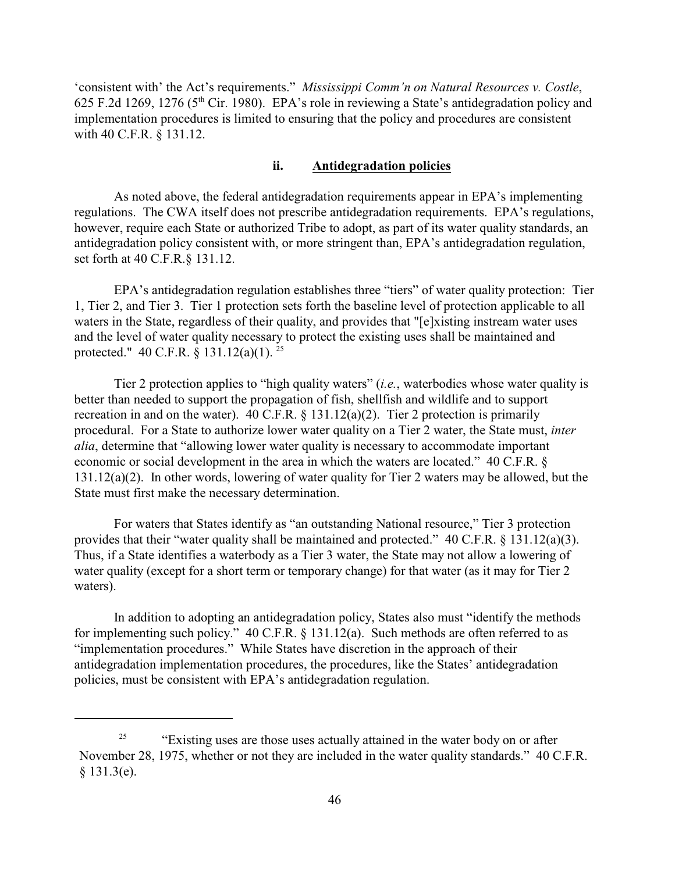'consistent with' the Act's requirements." *Mississippi Comm'n on Natural Resources v. Costle*, 625 F.2d 1269, 1276 ( $5<sup>th</sup>$  Cir. 1980). EPA's role in reviewing a State's antidegradation policy and implementation procedures is limited to ensuring that the policy and procedures are consistent with 40 C.F.R. § 131.12.

#### **ii. Antidegradation policies**

As noted above, the federal antidegradation requirements appear in EPA's implementing regulations. The CWA itself does not prescribe antidegradation requirements. EPA's regulations, however, require each State or authorized Tribe to adopt, as part of its water quality standards, an antidegradation policy consistent with, or more stringent than, EPA's antidegradation regulation, set forth at 40 C.F.R.§ 131.12.

EPA's antidegradation regulation establishes three "tiers" of water quality protection: Tier 1, Tier 2, and Tier 3. Tier 1 protection sets forth the baseline level of protection applicable to all waters in the State, regardless of their quality, and provides that "[e]xisting instream water uses and the level of water quality necessary to protect the existing uses shall be maintained and protected." 40 C.F.R. § 131.12(a)(1).<sup>25</sup>

Tier 2 protection applies to "high quality waters" (*i.e.*, waterbodies whose water quality is better than needed to support the propagation of fish, shellfish and wildlife and to support recreation in and on the water). 40 C.F.R.  $\S$  131.12(a)(2). Tier 2 protection is primarily procedural. For a State to authorize lower water quality on a Tier 2 water, the State must, *inter alia*, determine that "allowing lower water quality is necessary to accommodate important economic or social development in the area in which the waters are located." 40 C.F.R. § 131.12(a)(2). In other words, lowering of water quality for Tier 2 waters may be allowed, but the State must first make the necessary determination.

For waters that States identify as "an outstanding National resource," Tier 3 protection provides that their "water quality shall be maintained and protected." 40 C.F.R. § 131.12(a)(3). Thus, if a State identifies a waterbody as a Tier 3 water, the State may not allow a lowering of water quality (except for a short term or temporary change) for that water (as it may for Tier 2 waters).

In addition to adopting an antidegradation policy, States also must "identify the methods for implementing such policy." 40 C.F.R. § 131.12(a). Such methods are often referred to as "implementation procedures." While States have discretion in the approach of their antidegradation implementation procedures, the procedures, like the States' antidegradation policies, must be consistent with EPA's antidegradation regulation.

 $\frac{25}{25}$  "Existing uses are those uses actually attained in the water body on or after November 28, 1975, whether or not they are included in the water quality standards." 40 C.F.R. § 131.3(e).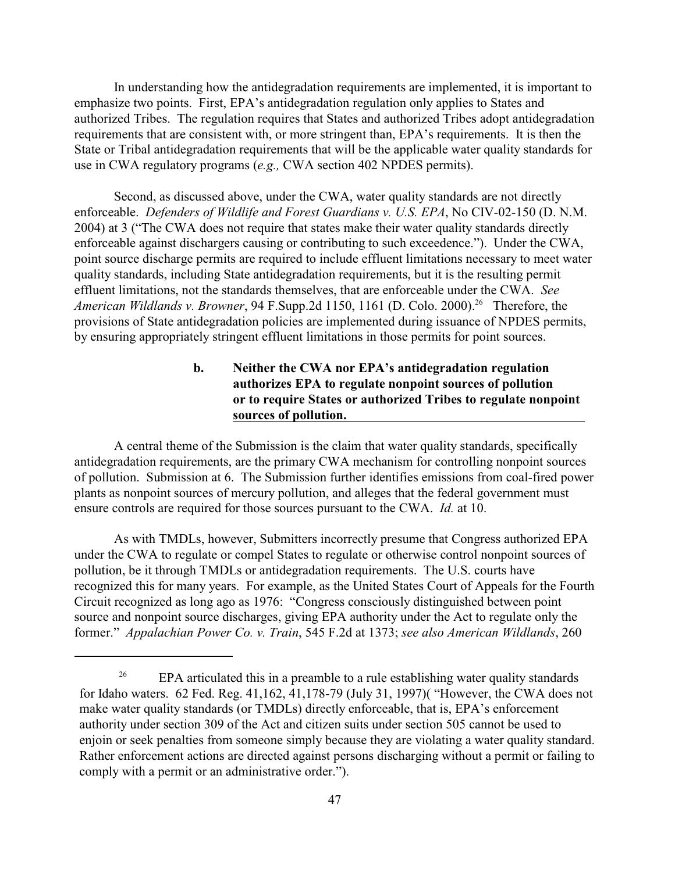In understanding how the antidegradation requirements are implemented, it is important to emphasize two points. First, EPA's antidegradation regulation only applies to States and authorized Tribes. The regulation requires that States and authorized Tribes adopt antidegradation requirements that are consistent with, or more stringent than, EPA's requirements. It is then the State or Tribal antidegradation requirements that will be the applicable water quality standards for use in CWA regulatory programs (*e.g.,* CWA section 402 NPDES permits).

Second, as discussed above, under the CWA, water quality standards are not directly enforceable. *Defenders of Wildlife and Forest Guardians v. U.S. EPA*, No CIV-02-150 (D. N.M. 2004) at 3 ("The CWA does not require that states make their water quality standards directly enforceable against dischargers causing or contributing to such exceedence."). Under the CWA, point source discharge permits are required to include effluent limitations necessary to meet water quality standards, including State antidegradation requirements, but it is the resulting permit effluent limitations, not the standards themselves, that are enforceable under the CWA. *See American Wildlands v. Browner*, 94 F.Supp.2d 1150, 1161 (D. Colo. 2000).<sup>26</sup> Therefore, the provisions of State antidegradation policies are implemented during issuance of NPDES permits, by ensuring appropriately stringent effluent limitations in those permits for point sources.

# **b. Neither the CWA nor EPA's antidegradation regulation authorizes EPA to regulate nonpoint sources of pollution or to require States or authorized Tribes to regulate nonpoint sources of pollution.**

 A central theme of the Submission is the claim that water quality standards, specifically antidegradation requirements, are the primary CWA mechanism for controlling nonpoint sources of pollution. Submission at 6. The Submission further identifies emissions from coal-fired power plants as nonpoint sources of mercury pollution, and alleges that the federal government must ensure controls are required for those sources pursuant to the CWA. *Id.* at 10.

As with TMDLs, however, Submitters incorrectly presume that Congress authorized EPA under the CWA to regulate or compel States to regulate or otherwise control nonpoint sources of pollution, be it through TMDLs or antidegradation requirements. The U.S. courts have recognized this for many years. For example, as the United States Court of Appeals for the Fourth Circuit recognized as long ago as 1976: "Congress consciously distinguished between point source and nonpoint source discharges, giving EPA authority under the Act to regulate only the former." *Appalachian Power Co. v. Train*, 545 F.2d at 1373; *see also American Wildlands*, 260

<sup>&</sup>lt;sup>26</sup> EPA articulated this in a preamble to a rule establishing water quality standards for Idaho waters. 62 Fed. Reg. 41,162, 41,178-79 (July 31, 1997)( "However, the CWA does not make water quality standards (or TMDLs) directly enforceable, that is, EPA's enforcement authority under section 309 of the Act and citizen suits under section 505 cannot be used to enjoin or seek penalties from someone simply because they are violating a water quality standard. Rather enforcement actions are directed against persons discharging without a permit or failing to comply with a permit or an administrative order.").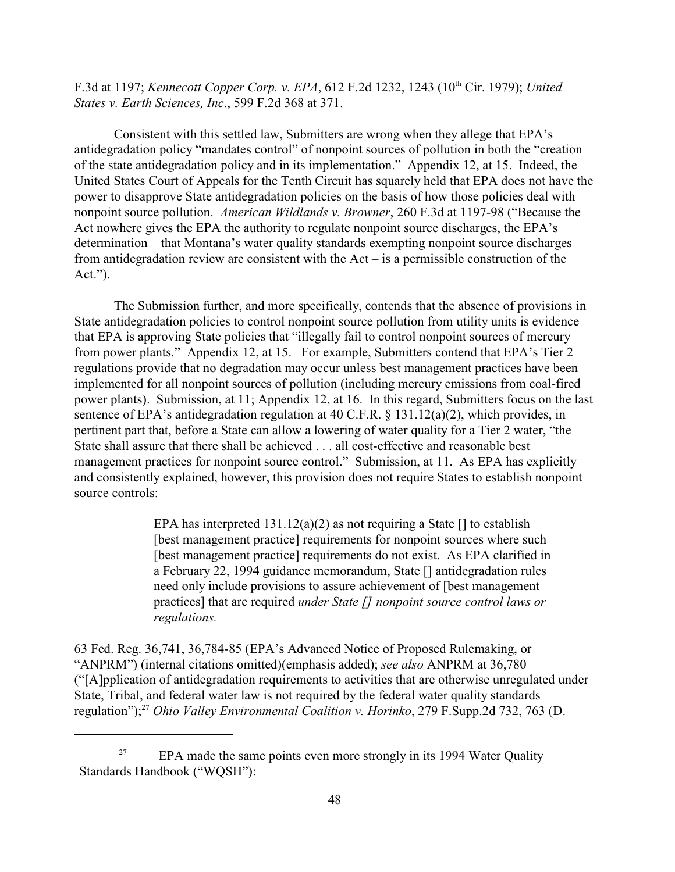F.3d at 1197; *Kennecott Copper Corp. v. EPA*, 612 F.2d 1232, 1243 (10<sup>th</sup> Cir. 1979); *United States v. Earth Sciences, Inc*., 599 F.2d 368 at 371.

Consistent with this settled law, Submitters are wrong when they allege that EPA's antidegradation policy "mandates control" of nonpoint sources of pollution in both the "creation of the state antidegradation policy and in its implementation." Appendix 12, at 15. Indeed, the United States Court of Appeals for the Tenth Circuit has squarely held that EPA does not have the power to disapprove State antidegradation policies on the basis of how those policies deal with nonpoint source pollution. *American Wildlands v. Browner*, 260 F.3d at 1197-98 ("Because the Act nowhere gives the EPA the authority to regulate nonpoint source discharges, the EPA's determination – that Montana's water quality standards exempting nonpoint source discharges from antidegradation review are consistent with the Act – is a permissible construction of the Act.").

The Submission further, and more specifically, contends that the absence of provisions in State antidegradation policies to control nonpoint source pollution from utility units is evidence that EPA is approving State policies that "illegally fail to control nonpoint sources of mercury from power plants." Appendix 12, at 15. For example, Submitters contend that EPA's Tier 2 regulations provide that no degradation may occur unless best management practices have been implemented for all nonpoint sources of pollution (including mercury emissions from coal-fired power plants). Submission, at 11; Appendix 12, at 16. In this regard, Submitters focus on the last sentence of EPA's antidegradation regulation at 40 C.F.R. § 131.12(a)(2), which provides, in pertinent part that, before a State can allow a lowering of water quality for a Tier 2 water, "the State shall assure that there shall be achieved . . . all cost-effective and reasonable best management practices for nonpoint source control." Submission, at 11. As EPA has explicitly and consistently explained, however, this provision does not require States to establish nonpoint source controls:

> EPA has interpreted  $131.12(a)(2)$  as not requiring a State  $\lceil \cdot \rceil$  to establish [best management practice] requirements for nonpoint sources where such [best management practice] requirements do not exist. As EPA clarified in a February 22, 1994 guidance memorandum, State [] antidegradation rules need only include provisions to assure achievement of [best management practices] that are required *under State [] nonpoint source control laws or regulations.*

63 Fed. Reg. 36,741, 36,784-85 (EPA's Advanced Notice of Proposed Rulemaking, or "ANPRM") (internal citations omitted)(emphasis added); *see also* ANPRM at 36,780 ("[A]pplication of antidegradation requirements to activities that are otherwise unregulated under State, Tribal, and federal water law is not required by the federal water quality standards regulation");<sup>27</sup> *Ohio Valley Environmental Coalition v. Horinko*, 279 F. Supp. 2d 732, 763 (D.

EPA made the same points even more strongly in its 1994 Water Quality 27 Standards Handbook ("WQSH"):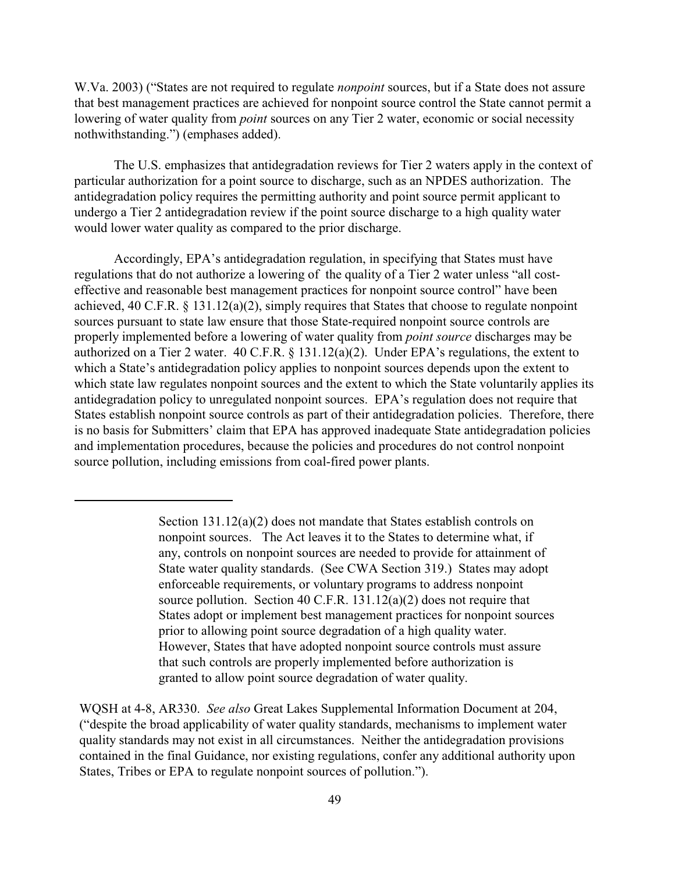W.Va. 2003) ("States are not required to regulate *nonpoint* sources, but if a State does not assure that best management practices are achieved for nonpoint source control the State cannot permit a lowering of water quality from *point* sources on any Tier 2 water, economic or social necessity nothwithstanding.") (emphases added).

The U.S. emphasizes that antidegradation reviews for Tier 2 waters apply in the context of particular authorization for a point source to discharge, such as an NPDES authorization. The antidegradation policy requires the permitting authority and point source permit applicant to undergo a Tier 2 antidegradation review if the point source discharge to a high quality water would lower water quality as compared to the prior discharge.

Accordingly, EPA's antidegradation regulation, in specifying that States must have regulations that do not authorize a lowering of the quality of a Tier 2 water unless "all costeffective and reasonable best management practices for nonpoint source control" have been achieved, 40 C.F.R. § 131.12(a)(2), simply requires that States that choose to regulate nonpoint sources pursuant to state law ensure that those State-required nonpoint source controls are properly implemented before a lowering of water quality from *point source* discharges may be authorized on a Tier 2 water. 40 C.F.R. § 131.12(a)(2). Under EPA's regulations, the extent to which a State's antidegradation policy applies to nonpoint sources depends upon the extent to which state law regulates nonpoint sources and the extent to which the State voluntarily applies its antidegradation policy to unregulated nonpoint sources. EPA's regulation does not require that States establish nonpoint source controls as part of their antidegradation policies. Therefore, there is no basis for Submitters' claim that EPA has approved inadequate State antidegradation policies and implementation procedures, because the policies and procedures do not control nonpoint source pollution, including emissions from coal-fired power plants.

Section 131.12(a)(2) does not mandate that States establish controls on nonpoint sources. The Act leaves it to the States to determine what, if any, controls on nonpoint sources are needed to provide for attainment of State water quality standards. (See CWA Section 319.) States may adopt enforceable requirements, or voluntary programs to address nonpoint source pollution. Section 40 C.F.R. 131.12(a)(2) does not require that States adopt or implement best management practices for nonpoint sources prior to allowing point source degradation of a high quality water. However, States that have adopted nonpoint source controls must assure that such controls are properly implemented before authorization is granted to allow point source degradation of water quality.

WQSH at 4-8, AR330. *See also* Great Lakes Supplemental Information Document at 204, ("despite the broad applicability of water quality standards, mechanisms to implement water quality standards may not exist in all circumstances. Neither the antidegradation provisions contained in the final Guidance, nor existing regulations, confer any additional authority upon States, Tribes or EPA to regulate nonpoint sources of pollution.").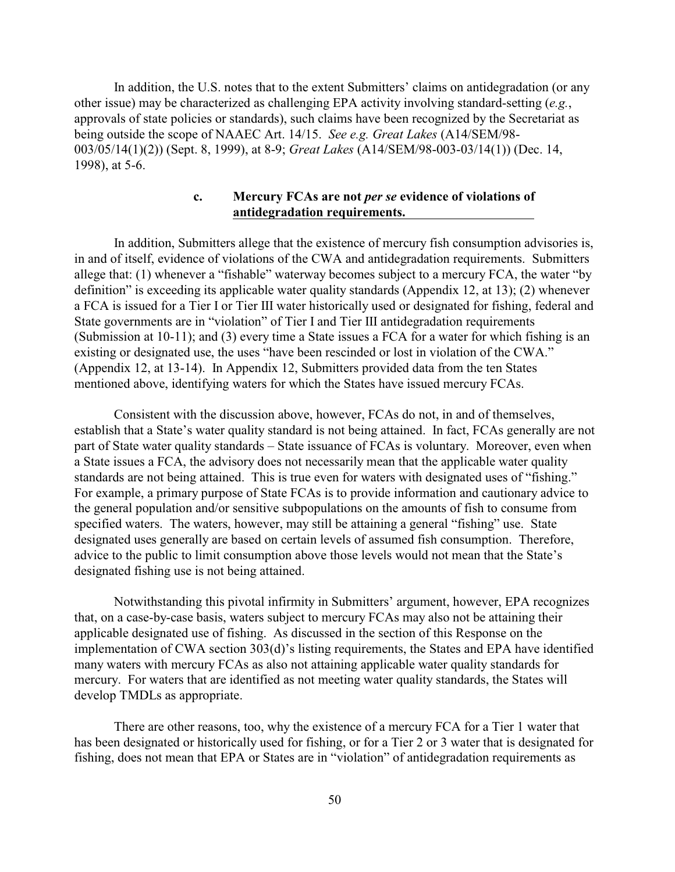In addition, the U.S. notes that to the extent Submitters' claims on antidegradation (or any other issue) may be characterized as challenging EPA activity involving standard-setting (*e.g.*, approvals of state policies or standards), such claims have been recognized by the Secretariat as being outside the scope of NAAEC Art. 14/15. *See e.g. Great Lakes* (A14/SEM/98- 003/05/14(1)(2)) (Sept. 8, 1999), at 8-9; *Great Lakes* (A14/SEM/98-003-03/14(1)) (Dec. 14, 1998), at 5-6.

### **c. Mercury FCAs are not** *per se* **evidence of violations of antidegradation requirements.**

In addition, Submitters allege that the existence of mercury fish consumption advisories is, in and of itself, evidence of violations of the CWA and antidegradation requirements. Submitters allege that: (1) whenever a "fishable" waterway becomes subject to a mercury FCA, the water "by definition" is exceeding its applicable water quality standards (Appendix 12, at 13); (2) whenever a FCA is issued for a Tier I or Tier III water historically used or designated for fishing, federal and State governments are in "violation" of Tier I and Tier III antidegradation requirements (Submission at 10-11); and (3) every time a State issues a FCA for a water for which fishing is an existing or designated use, the uses "have been rescinded or lost in violation of the CWA." (Appendix 12, at 13-14). In Appendix 12, Submitters provided data from the ten States mentioned above, identifying waters for which the States have issued mercury FCAs.

Consistent with the discussion above, however, FCAs do not, in and of themselves, establish that a State's water quality standard is not being attained. In fact, FCAs generally are not part of State water quality standards – State issuance of FCAs is voluntary. Moreover, even when a State issues a FCA, the advisory does not necessarily mean that the applicable water quality standards are not being attained. This is true even for waters with designated uses of "fishing." For example, a primary purpose of State FCAs is to provide information and cautionary advice to the general population and/or sensitive subpopulations on the amounts of fish to consume from specified waters. The waters, however, may still be attaining a general "fishing" use. State designated uses generally are based on certain levels of assumed fish consumption. Therefore, advice to the public to limit consumption above those levels would not mean that the State's designated fishing use is not being attained.

Notwithstanding this pivotal infirmity in Submitters' argument, however, EPA recognizes that, on a case-by-case basis, waters subject to mercury FCAs may also not be attaining their applicable designated use of fishing. As discussed in the section of this Response on the implementation of CWA section 303(d)'s listing requirements, the States and EPA have identified many waters with mercury FCAs as also not attaining applicable water quality standards for mercury. For waters that are identified as not meeting water quality standards, the States will develop TMDLs as appropriate.

There are other reasons, too, why the existence of a mercury FCA for a Tier 1 water that has been designated or historically used for fishing, or for a Tier 2 or 3 water that is designated for fishing, does not mean that EPA or States are in "violation" of antidegradation requirements as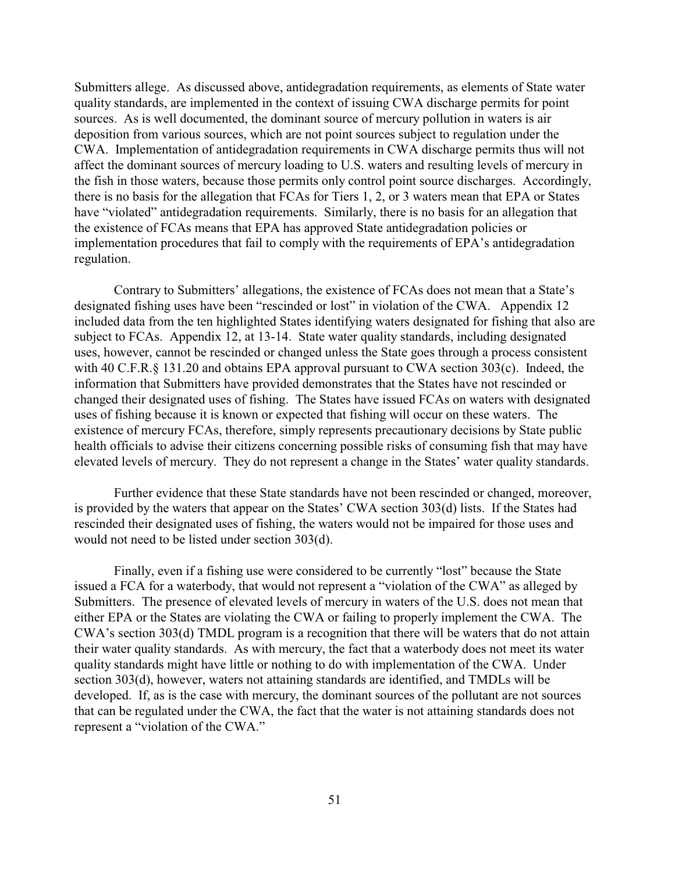Submitters allege. As discussed above, antidegradation requirements, as elements of State water quality standards, are implemented in the context of issuing CWA discharge permits for point sources. As is well documented, the dominant source of mercury pollution in waters is air deposition from various sources, which are not point sources subject to regulation under the CWA. Implementation of antidegradation requirements in CWA discharge permits thus will not affect the dominant sources of mercury loading to U.S. waters and resulting levels of mercury in the fish in those waters, because those permits only control point source discharges. Accordingly, there is no basis for the allegation that FCAs for Tiers 1, 2, or 3 waters mean that EPA or States have "violated" antidegradation requirements. Similarly, there is no basis for an allegation that the existence of FCAs means that EPA has approved State antidegradation policies or implementation procedures that fail to comply with the requirements of EPA's antidegradation regulation.

Contrary to Submitters' allegations, the existence of FCAs does not mean that a State's designated fishing uses have been "rescinded or lost" in violation of the CWA. Appendix 12 included data from the ten highlighted States identifying waters designated for fishing that also are subject to FCAs. Appendix 12, at 13-14. State water quality standards, including designated uses, however, cannot be rescinded or changed unless the State goes through a process consistent with 40 C.F.R.§ 131.20 and obtains EPA approval pursuant to CWA section 303(c). Indeed, the information that Submitters have provided demonstrates that the States have not rescinded or changed their designated uses of fishing. The States have issued FCAs on waters with designated uses of fishing because it is known or expected that fishing will occur on these waters. The existence of mercury FCAs, therefore, simply represents precautionary decisions by State public health officials to advise their citizens concerning possible risks of consuming fish that may have elevated levels of mercury. They do not represent a change in the States' water quality standards.

Further evidence that these State standards have not been rescinded or changed, moreover, is provided by the waters that appear on the States' CWA section 303(d) lists. If the States had rescinded their designated uses of fishing, the waters would not be impaired for those uses and would not need to be listed under section 303(d).

Finally, even if a fishing use were considered to be currently "lost" because the State issued a FCA for a waterbody, that would not represent a "violation of the CWA" as alleged by Submitters. The presence of elevated levels of mercury in waters of the U.S. does not mean that either EPA or the States are violating the CWA or failing to properly implement the CWA. The CWA's section 303(d) TMDL program is a recognition that there will be waters that do not attain their water quality standards. As with mercury, the fact that a waterbody does not meet its water quality standards might have little or nothing to do with implementation of the CWA. Under section 303(d), however, waters not attaining standards are identified, and TMDLs will be developed. If, as is the case with mercury, the dominant sources of the pollutant are not sources that can be regulated under the CWA, the fact that the water is not attaining standards does not represent a "violation of the CWA."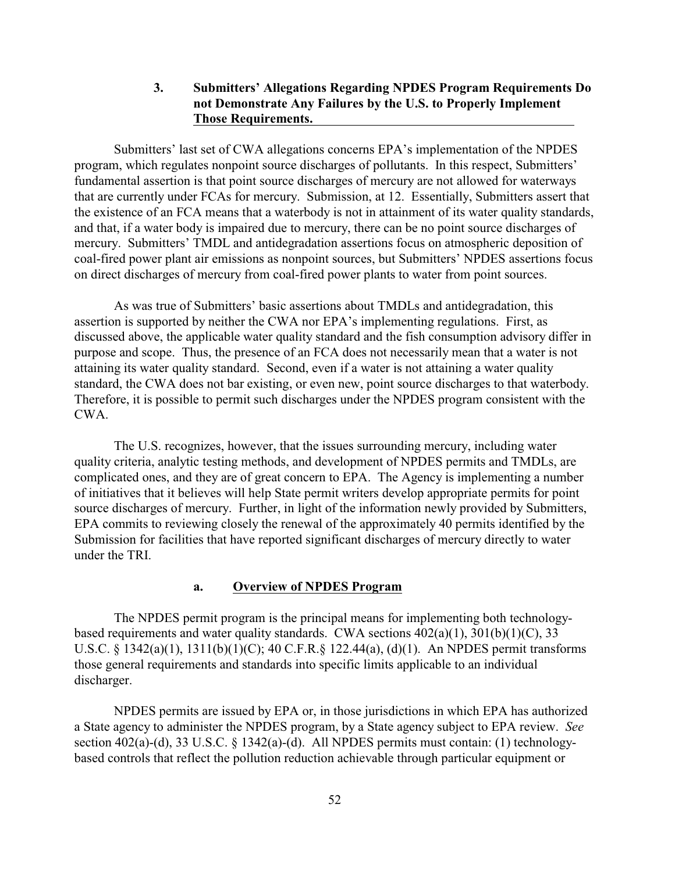#### **3. Submitters' Allegations Regarding NPDES Program Requirements Do not Demonstrate Any Failures by the U.S. to Properly Implement Those Requirements.**

Submitters' last set of CWA allegations concerns EPA's implementation of the NPDES program, which regulates nonpoint source discharges of pollutants. In this respect, Submitters' fundamental assertion is that point source discharges of mercury are not allowed for waterways that are currently under FCAs for mercury. Submission, at 12. Essentially, Submitters assert that the existence of an FCA means that a waterbody is not in attainment of its water quality standards, and that, if a water body is impaired due to mercury, there can be no point source discharges of mercury. Submitters' TMDL and antidegradation assertions focus on atmospheric deposition of coal-fired power plant air emissions as nonpoint sources, but Submitters' NPDES assertions focus on direct discharges of mercury from coal-fired power plants to water from point sources.

As was true of Submitters' basic assertions about TMDLs and antidegradation, this assertion is supported by neither the CWA nor EPA's implementing regulations. First, as discussed above, the applicable water quality standard and the fish consumption advisory differ in purpose and scope. Thus, the presence of an FCA does not necessarily mean that a water is not attaining its water quality standard. Second, even if a water is not attaining a water quality standard, the CWA does not bar existing, or even new, point source discharges to that waterbody. Therefore, it is possible to permit such discharges under the NPDES program consistent with the CWA.

The U.S. recognizes, however, that the issues surrounding mercury, including water quality criteria, analytic testing methods, and development of NPDES permits and TMDLs, are complicated ones, and they are of great concern to EPA. The Agency is implementing a number of initiatives that it believes will help State permit writers develop appropriate permits for point source discharges of mercury. Further, in light of the information newly provided by Submitters, EPA commits to reviewing closely the renewal of the approximately 40 permits identified by the Submission for facilities that have reported significant discharges of mercury directly to water under the TRI.

#### **a. Overview of NPDES Program**

The NPDES permit program is the principal means for implementing both technologybased requirements and water quality standards. CWA sections  $402(a)(1)$ ,  $301(b)(1)(C)$ ,  $33$ U.S.C. § 1342(a)(1), 1311(b)(1)(C); 40 C.F.R.§ 122.44(a), (d)(1). An NPDES permit transforms those general requirements and standards into specific limits applicable to an individual discharger.

NPDES permits are issued by EPA or, in those jurisdictions in which EPA has authorized a State agency to administer the NPDES program, by a State agency subject to EPA review. *See* section 402(a)-(d), 33 U.S.C. § 1342(a)-(d). All NPDES permits must contain: (1) technologybased controls that reflect the pollution reduction achievable through particular equipment or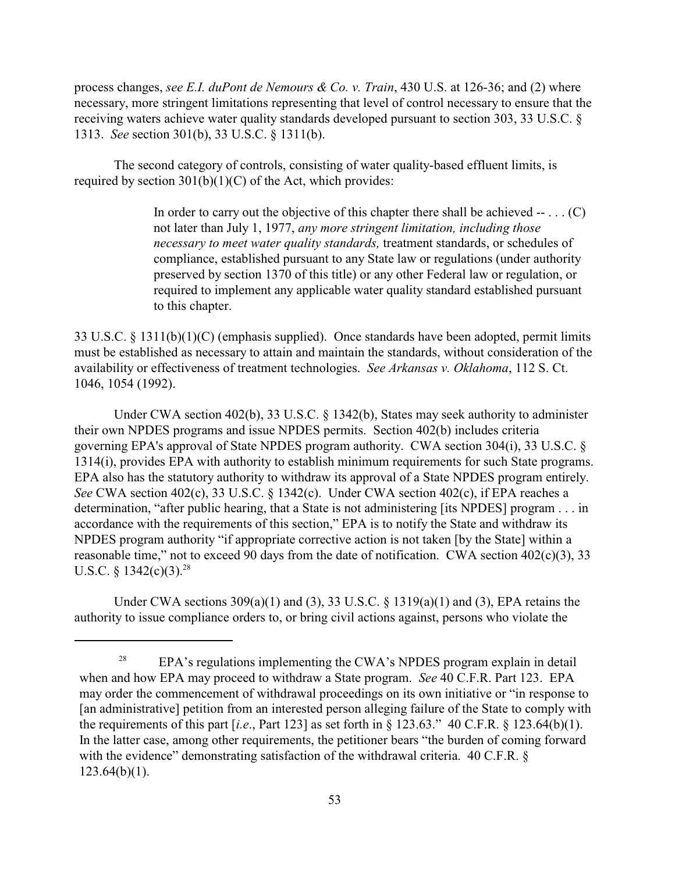process changes, *see E.I. duPont de Nemours & Co. v. Train*, 430 U.S. at 126-36; and (2) where necessary, more stringent limitations representing that level of control necessary to ensure that the receiving waters achieve water quality standards developed pursuant to section 303, 33 U.S.C. § 1313. *See* section 301(b), 33 U.S.C. § 1311(b).

The second category of controls, consisting of water quality-based effluent limits, is required by section  $301(b)(1)(C)$  of the Act, which provides:

> In order to carry out the objective of this chapter there shall be achieved  $- \dots (C)$ not later than July 1, 1977, *any more stringent limitation, including those necessary to meet water quality standards,* treatment standards, or schedules of compliance, established pursuant to any State law or regulations (under authority preserved by section 1370 of this title) or any other Federal law or regulation, or required to implement any applicable water quality standard established pursuant to this chapter.

33 U.S.C. § 1311(b)(1)(C) (emphasis supplied). Once standards have been adopted, permit limits must be established as necessary to attain and maintain the standards, without consideration of the availability or effectiveness of treatment technologies. *See Arkansas v. Oklahoma*, 112 S. Ct. 1046, 1054 (1992).

Under CWA section 402(b), 33 U.S.C. § 1342(b), States may seek authority to administer their own NPDES programs and issue NPDES permits. Section 402(b) includes criteria governing EPA's approval of State NPDES program authority. CWA section 304(i), 33 U.S.C. § 1314(i), provides EPA with authority to establish minimum requirements for such State programs. EPA also has the statutory authority to withdraw its approval of a State NPDES program entirely. *See* CWA section 402(c), 33 U.S.C. § 1342(c). Under CWA section 402(c), if EPA reaches a determination, "after public hearing, that a State is not administering [its NPDES] program . . . in accordance with the requirements of this section," EPA is to notify the State and withdraw its NPDES program authority "if appropriate corrective action is not taken [by the State] within a reasonable time," not to exceed 90 days from the date of notification. CWA section 402(c)(3), 33 U.S.C. § 1342(c)(3).<sup>28</sup>

Under CWA sections  $309(a)(1)$  and  $(3)$ ,  $33$  U.S.C. §  $1319(a)(1)$  and  $(3)$ , EPA retains the authority to issue compliance orders to, or bring civil actions against, persons who violate the

<sup>&</sup>lt;sup>28</sup> EPA's regulations implementing the CWA's NPDES program explain in detail when and how EPA may proceed to withdraw a State program. *See* 40 C.F.R. Part 123. EPA may order the commencement of withdrawal proceedings on its own initiative or "in response to [an administrative] petition from an interested person alleging failure of the State to comply with the requirements of this part  $[i.e., Part 123]$  as set forth in  $\S 123.63$ ." 40 C.F.R.  $\S 123.64(b)(1)$ . In the latter case, among other requirements, the petitioner bears "the burden of coming forward with the evidence" demonstrating satisfaction of the withdrawal criteria. 40 C.F.R. §  $123.64(b)(1)$ .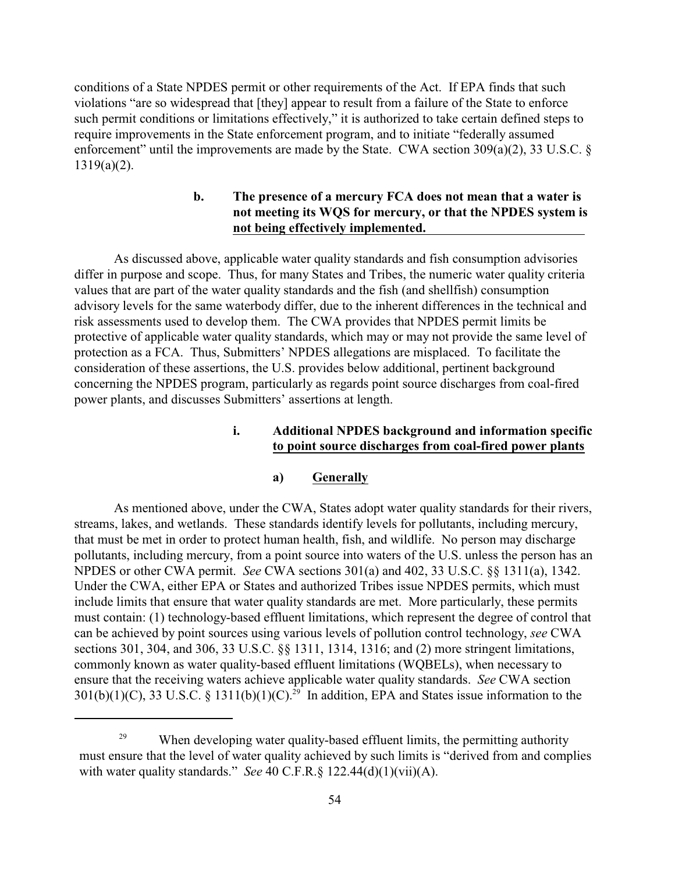conditions of a State NPDES permit or other requirements of the Act. If EPA finds that such violations "are so widespread that [they] appear to result from a failure of the State to enforce such permit conditions or limitations effectively," it is authorized to take certain defined steps to require improvements in the State enforcement program, and to initiate "federally assumed enforcement" until the improvements are made by the State. CWA section  $309(a)(2)$ , 33 U.S.C. § 1319(a)(2).

### **b. The presence of a mercury FCA does not mean that a water is not meeting its WQS for mercury, or that the NPDES system is not being effectively implemented.**

As discussed above, applicable water quality standards and fish consumption advisories differ in purpose and scope. Thus, for many States and Tribes, the numeric water quality criteria values that are part of the water quality standards and the fish (and shellfish) consumption advisory levels for the same waterbody differ, due to the inherent differences in the technical and risk assessments used to develop them. The CWA provides that NPDES permit limits be protective of applicable water quality standards, which may or may not provide the same level of protection as a FCA. Thus, Submitters' NPDES allegations are misplaced. To facilitate the consideration of these assertions, the U.S. provides below additional, pertinent background concerning the NPDES program, particularly as regards point source discharges from coal-fired power plants, and discusses Submitters' assertions at length.

### **i. Additional NPDES background and information specific to point source discharges from coal-fired power plants**

### **a) Generally**

As mentioned above, under the CWA, States adopt water quality standards for their rivers, streams, lakes, and wetlands. These standards identify levels for pollutants, including mercury, that must be met in order to protect human health, fish, and wildlife. No person may discharge pollutants, including mercury, from a point source into waters of the U.S. unless the person has an NPDES or other CWA permit. *See* CWA sections 301(a) and 402, 33 U.S.C. §§ 1311(a), 1342. Under the CWA, either EPA or States and authorized Tribes issue NPDES permits, which must include limits that ensure that water quality standards are met. More particularly, these permits must contain: (1) technology-based effluent limitations, which represent the degree of control that can be achieved by point sources using various levels of pollution control technology, *see* CWA sections 301, 304, and 306, 33 U.S.C. §§ 1311, 1314, 1316; and (2) more stringent limitations, commonly known as water quality-based effluent limitations (WQBELs), when necessary to ensure that the receiving waters achieve applicable water quality standards. *See* CWA section 301(b)(1)(C), 33 U.S.C. § 1311(b)(1)(C).<sup>29</sup> In addition, EPA and States issue information to the

 $^{29}$  When developing water quality-based effluent limits, the permitting authority must ensure that the level of water quality achieved by such limits is "derived from and complies with water quality standards." *See* 40 C.F.R.§ 122.44(d)(1)(vii)(A).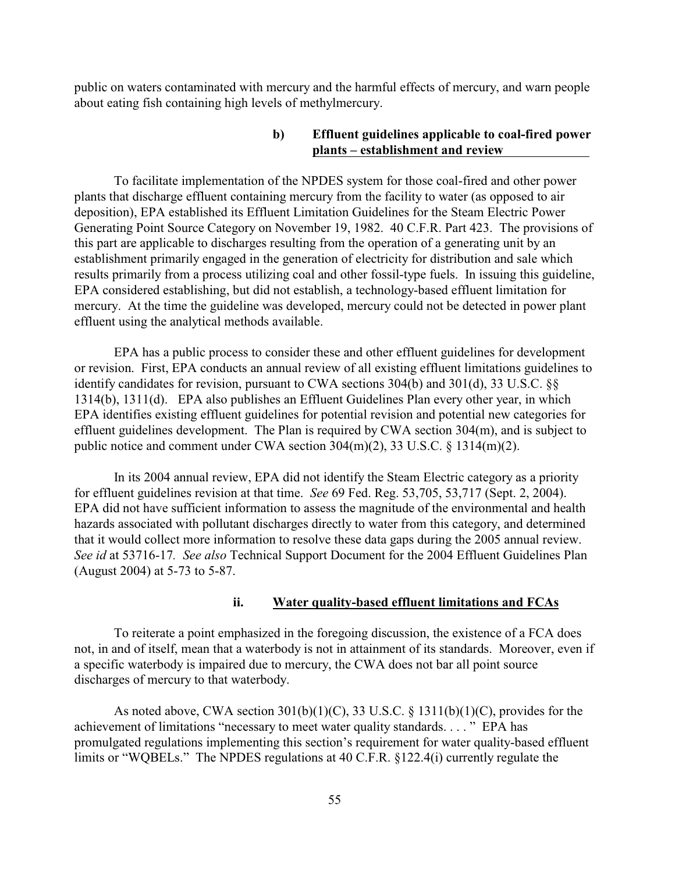public on waters contaminated with mercury and the harmful effects of mercury, and warn people about eating fish containing high levels of methylmercury.

#### **b) Effluent guidelines applicable to coal-fired power plants – establishment and review**

To facilitate implementation of the NPDES system for those coal-fired and other power plants that discharge effluent containing mercury from the facility to water (as opposed to air deposition), EPA established its Effluent Limitation Guidelines for the Steam Electric Power Generating Point Source Category on November 19, 1982. 40 C.F.R. Part 423. The provisions of this part are applicable to discharges resulting from the operation of a generating unit by an establishment primarily engaged in the generation of electricity for distribution and sale which results primarily from a process utilizing coal and other fossil-type fuels. In issuing this guideline, EPA considered establishing, but did not establish, a technology-based effluent limitation for mercury. At the time the guideline was developed, mercury could not be detected in power plant effluent using the analytical methods available.

EPA has a public process to consider these and other effluent guidelines for development or revision. First, EPA conducts an annual review of all existing effluent limitations guidelines to identify candidates for revision, pursuant to CWA sections 304(b) and 301(d), 33 U.S.C. §§ 1314(b), 1311(d). EPA also publishes an Effluent Guidelines Plan every other year, in which EPA identifies existing effluent guidelines for potential revision and potential new categories for effluent guidelines development. The Plan is required by CWA section 304(m), and is subject to public notice and comment under CWA section 304(m)(2), 33 U.S.C. § 1314(m)(2).

In its 2004 annual review, EPA did not identify the Steam Electric category as a priority for effluent guidelines revision at that time. *See* 69 Fed. Reg. 53,705, 53,717 (Sept. 2, 2004). EPA did not have sufficient information to assess the magnitude of the environmental and health hazards associated with pollutant discharges directly to water from this category, and determined that it would collect more information to resolve these data gaps during the 2005 annual review. *See id* at 53716-17*. See also* Technical Support Document for the 2004 Effluent Guidelines Plan (August 2004) at 5-73 to 5-87.

#### **ii. Water quality-based effluent limitations and FCAs**

To reiterate a point emphasized in the foregoing discussion, the existence of a FCA does not, in and of itself, mean that a waterbody is not in attainment of its standards. Moreover, even if a specific waterbody is impaired due to mercury, the CWA does not bar all point source discharges of mercury to that waterbody.

As noted above, CWA section 301(b)(1)(C), 33 U.S.C. § 1311(b)(1)(C), provides for the achievement of limitations "necessary to meet water quality standards. . . . " EPA has promulgated regulations implementing this section's requirement for water quality-based effluent limits or "WQBELs." The NPDES regulations at 40 C.F.R. §122.4(i) currently regulate the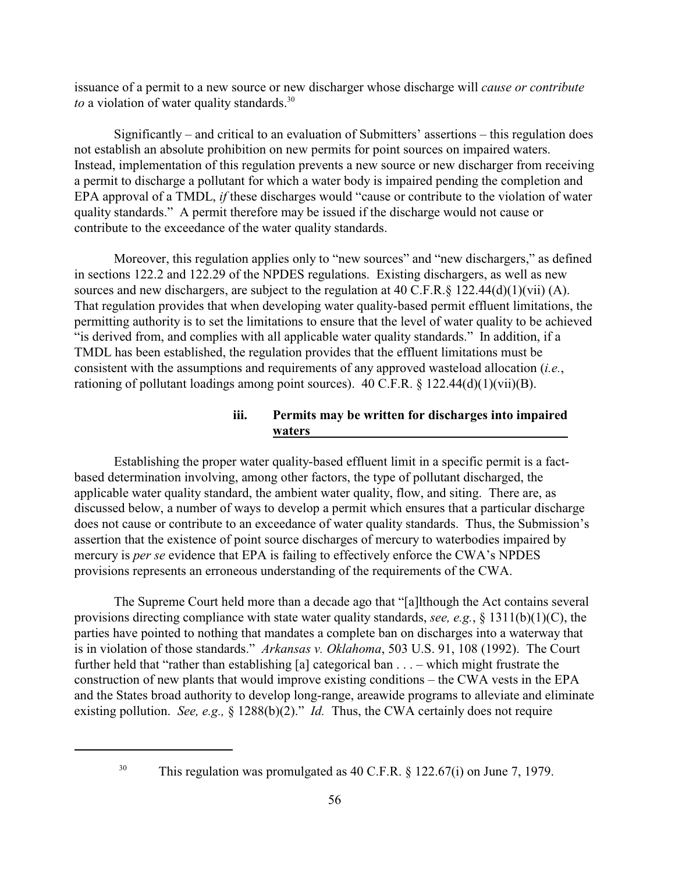issuance of a permit to a new source or new discharger whose discharge will *cause or contribute* to a violation of water quality standards.<sup>30</sup>

Significantly – and critical to an evaluation of Submitters' assertions – this regulation does not establish an absolute prohibition on new permits for point sources on impaired waters. Instead, implementation of this regulation prevents a new source or new discharger from receiving a permit to discharge a pollutant for which a water body is impaired pending the completion and EPA approval of a TMDL, *if* these discharges would "cause or contribute to the violation of water quality standards." A permit therefore may be issued if the discharge would not cause or contribute to the exceedance of the water quality standards.

Moreover, this regulation applies only to "new sources" and "new dischargers," as defined in sections 122.2 and 122.29 of the NPDES regulations. Existing dischargers, as well as new sources and new dischargers, are subject to the regulation at 40 C.F.R. $\S$  122.44(d)(1)(vii) (A). That regulation provides that when developing water quality-based permit effluent limitations, the permitting authority is to set the limitations to ensure that the level of water quality to be achieved "is derived from, and complies with all applicable water quality standards." In addition, if a TMDL has been established, the regulation provides that the effluent limitations must be consistent with the assumptions and requirements of any approved wasteload allocation (*i.e.*, rationing of pollutant loadings among point sources). 40 C.F.R. § 122.44(d)(1)(vii)(B).

### **iii. Permits may be written for discharges into impaired waters**

Establishing the proper water quality-based effluent limit in a specific permit is a factbased determination involving, among other factors, the type of pollutant discharged, the applicable water quality standard, the ambient water quality, flow, and siting. There are, as discussed below, a number of ways to develop a permit which ensures that a particular discharge does not cause or contribute to an exceedance of water quality standards. Thus, the Submission's assertion that the existence of point source discharges of mercury to waterbodies impaired by mercury is *per se* evidence that EPA is failing to effectively enforce the CWA's NPDES provisions represents an erroneous understanding of the requirements of the CWA.

The Supreme Court held more than a decade ago that "[a]lthough the Act contains several provisions directing compliance with state water quality standards, *see, e.g.*, § 1311(b)(1)(C), the parties have pointed to nothing that mandates a complete ban on discharges into a waterway that is in violation of those standards." *Arkansas v. Oklahoma*, 503 U.S. 91, 108 (1992). The Court further held that "rather than establishing [a] categorical ban . . . – which might frustrate the construction of new plants that would improve existing conditions – the CWA vests in the EPA and the States broad authority to develop long-range, areawide programs to alleviate and eliminate existing pollution. *See, e.g.,* § 1288(b)(2)." *Id.* Thus, the CWA certainly does not require

<sup>&</sup>lt;sup>30</sup> This regulation was promulgated as 40 C.F.R.  $\S$  122.67(i) on June 7, 1979.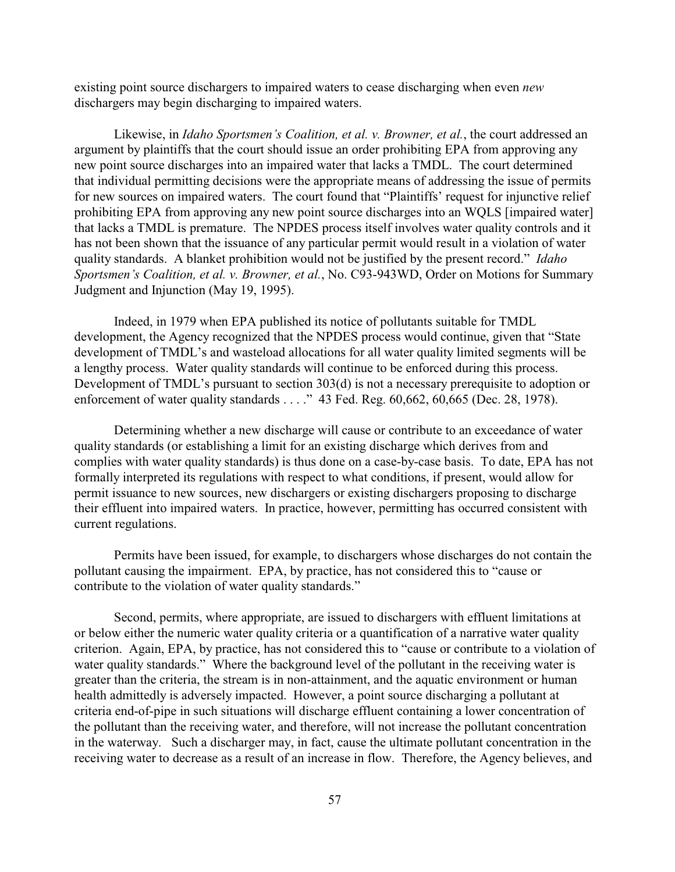existing point source dischargers to impaired waters to cease discharging when even *new* dischargers may begin discharging to impaired waters.

Likewise, in *Idaho Sportsmen's Coalition, et al. v. Browner, et al.*, the court addressed an argument by plaintiffs that the court should issue an order prohibiting EPA from approving any new point source discharges into an impaired water that lacks a TMDL. The court determined that individual permitting decisions were the appropriate means of addressing the issue of permits for new sources on impaired waters. The court found that "Plaintiffs' request for injunctive relief prohibiting EPA from approving any new point source discharges into an WQLS [impaired water] that lacks a TMDL is premature. The NPDES process itself involves water quality controls and it has not been shown that the issuance of any particular permit would result in a violation of water quality standards. A blanket prohibition would not be justified by the present record." *Idaho Sportsmen's Coalition, et al. v. Browner, et al.*, No. C93-943WD, Order on Motions for Summary Judgment and Injunction (May 19, 1995).

Indeed, in 1979 when EPA published its notice of pollutants suitable for TMDL development, the Agency recognized that the NPDES process would continue, given that "State development of TMDL's and wasteload allocations for all water quality limited segments will be a lengthy process. Water quality standards will continue to be enforced during this process. Development of TMDL's pursuant to section 303(d) is not a necessary prerequisite to adoption or enforcement of water quality standards . . . ." 43 Fed. Reg. 60,662, 60,665 (Dec. 28, 1978).

Determining whether a new discharge will cause or contribute to an exceedance of water quality standards (or establishing a limit for an existing discharge which derives from and complies with water quality standards) is thus done on a case-by-case basis. To date, EPA has not formally interpreted its regulations with respect to what conditions, if present, would allow for permit issuance to new sources, new dischargers or existing dischargers proposing to discharge their effluent into impaired waters. In practice, however, permitting has occurred consistent with current regulations.

Permits have been issued, for example, to dischargers whose discharges do not contain the pollutant causing the impairment. EPA, by practice, has not considered this to "cause or contribute to the violation of water quality standards."

Second, permits, where appropriate, are issued to dischargers with effluent limitations at or below either the numeric water quality criteria or a quantification of a narrative water quality criterion. Again, EPA, by practice, has not considered this to "cause or contribute to a violation of water quality standards." Where the background level of the pollutant in the receiving water is greater than the criteria, the stream is in non-attainment, and the aquatic environment or human health admittedly is adversely impacted. However, a point source discharging a pollutant at criteria end-of-pipe in such situations will discharge effluent containing a lower concentration of the pollutant than the receiving water, and therefore, will not increase the pollutant concentration in the waterway. Such a discharger may, in fact, cause the ultimate pollutant concentration in the receiving water to decrease as a result of an increase in flow. Therefore, the Agency believes, and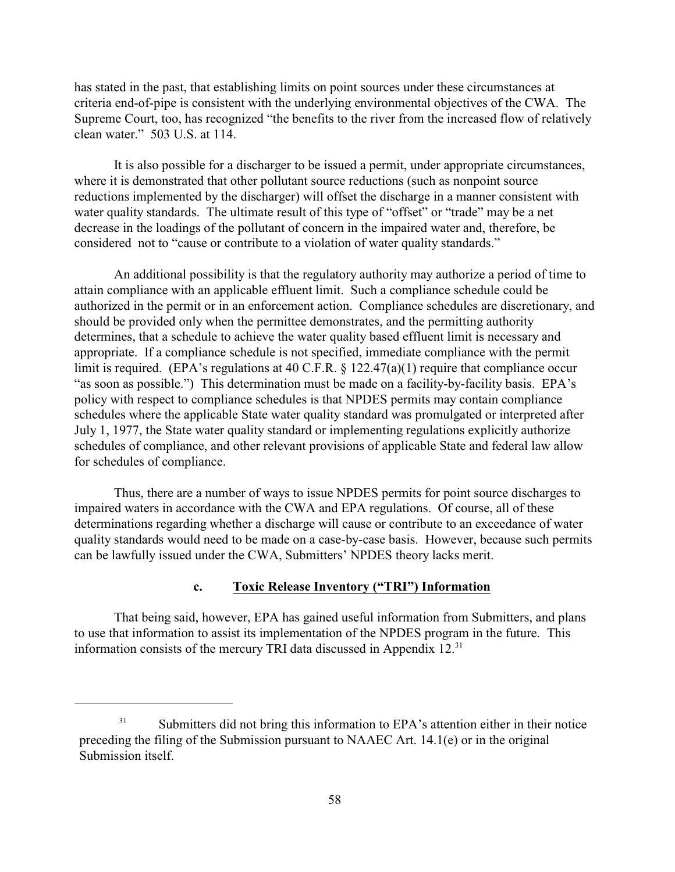has stated in the past, that establishing limits on point sources under these circumstances at criteria end-of-pipe is consistent with the underlying environmental objectives of the CWA. The Supreme Court, too, has recognized "the benefits to the river from the increased flow of relatively clean water." 503 U.S. at 114.

It is also possible for a discharger to be issued a permit, under appropriate circumstances, where it is demonstrated that other pollutant source reductions (such as nonpoint source reductions implemented by the discharger) will offset the discharge in a manner consistent with water quality standards. The ultimate result of this type of "offset" or "trade" may be a net decrease in the loadings of the pollutant of concern in the impaired water and, therefore, be considered not to "cause or contribute to a violation of water quality standards."

An additional possibility is that the regulatory authority may authorize a period of time to attain compliance with an applicable effluent limit. Such a compliance schedule could be authorized in the permit or in an enforcement action. Compliance schedules are discretionary, and should be provided only when the permittee demonstrates, and the permitting authority determines, that a schedule to achieve the water quality based effluent limit is necessary and appropriate. If a compliance schedule is not specified, immediate compliance with the permit limit is required. (EPA's regulations at 40 C.F.R. § 122.47(a)(1) require that compliance occur "as soon as possible.") This determination must be made on a facility-by-facility basis. EPA's policy with respect to compliance schedules is that NPDES permits may contain compliance schedules where the applicable State water quality standard was promulgated or interpreted after July 1, 1977, the State water quality standard or implementing regulations explicitly authorize schedules of compliance, and other relevant provisions of applicable State and federal law allow for schedules of compliance.

Thus, there are a number of ways to issue NPDES permits for point source discharges to impaired waters in accordance with the CWA and EPA regulations. Of course, all of these determinations regarding whether a discharge will cause or contribute to an exceedance of water quality standards would need to be made on a case-by-case basis. However, because such permits can be lawfully issued under the CWA, Submitters' NPDES theory lacks merit.

#### **c. Toxic Release Inventory ("TRI") Information**

That being said, however, EPA has gained useful information from Submitters, and plans to use that information to assist its implementation of the NPDES program in the future. This information consists of the mercury TRI data discussed in Appendix 12.<sup>31</sup>

<sup>&</sup>lt;sup>31</sup> Submitters did not bring this information to EPA's attention either in their notice preceding the filing of the Submission pursuant to NAAEC Art. 14.1(e) or in the original Submission itself.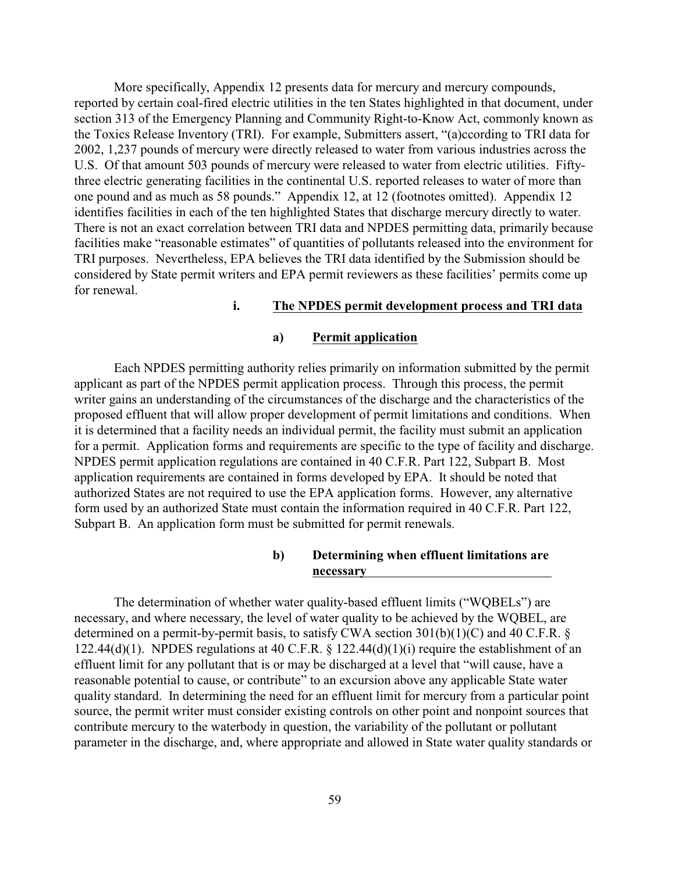More specifically, Appendix 12 presents data for mercury and mercury compounds, reported by certain coal-fired electric utilities in the ten States highlighted in that document, under section 313 of the Emergency Planning and Community Right-to-Know Act, commonly known as the Toxics Release Inventory (TRI). For example, Submitters assert, "(a)ccording to TRI data for 2002, 1,237 pounds of mercury were directly released to water from various industries across the U.S. Of that amount 503 pounds of mercury were released to water from electric utilities. Fiftythree electric generating facilities in the continental U.S. reported releases to water of more than one pound and as much as 58 pounds." Appendix 12, at 12 (footnotes omitted). Appendix 12 identifies facilities in each of the ten highlighted States that discharge mercury directly to water. There is not an exact correlation between TRI data and NPDES permitting data, primarily because facilities make "reasonable estimates" of quantities of pollutants released into the environment for TRI purposes. Nevertheless, EPA believes the TRI data identified by the Submission should be considered by State permit writers and EPA permit reviewers as these facilities' permits come up for renewal.

#### **i. The NPDES permit development process and TRI data**

#### **a) Permit application**

Each NPDES permitting authority relies primarily on information submitted by the permit applicant as part of the NPDES permit application process. Through this process, the permit writer gains an understanding of the circumstances of the discharge and the characteristics of the proposed effluent that will allow proper development of permit limitations and conditions. When it is determined that a facility needs an individual permit, the facility must submit an application for a permit. Application forms and requirements are specific to the type of facility and discharge. NPDES permit application regulations are contained in 40 C.F.R. Part 122, Subpart B. Most application requirements are contained in forms developed by EPA. It should be noted that authorized States are not required to use the EPA application forms. However, any alternative form used by an authorized State must contain the information required in 40 C.F.R. Part 122, Subpart B. An application form must be submitted for permit renewals.

#### **b) Determining when effluent limitations are necessary**

The determination of whether water quality-based effluent limits ("WQBELs") are necessary, and where necessary, the level of water quality to be achieved by the WQBEL, are determined on a permit-by-permit basis, to satisfy CWA section  $301(b)(1)(C)$  and  $40$  C.F.R. § 122.44(d)(1). NPDES regulations at 40 C.F.R. § 122.44(d)(1)(i) require the establishment of an effluent limit for any pollutant that is or may be discharged at a level that "will cause, have a reasonable potential to cause, or contribute" to an excursion above any applicable State water quality standard. In determining the need for an effluent limit for mercury from a particular point source, the permit writer must consider existing controls on other point and nonpoint sources that contribute mercury to the waterbody in question, the variability of the pollutant or pollutant parameter in the discharge, and, where appropriate and allowed in State water quality standards or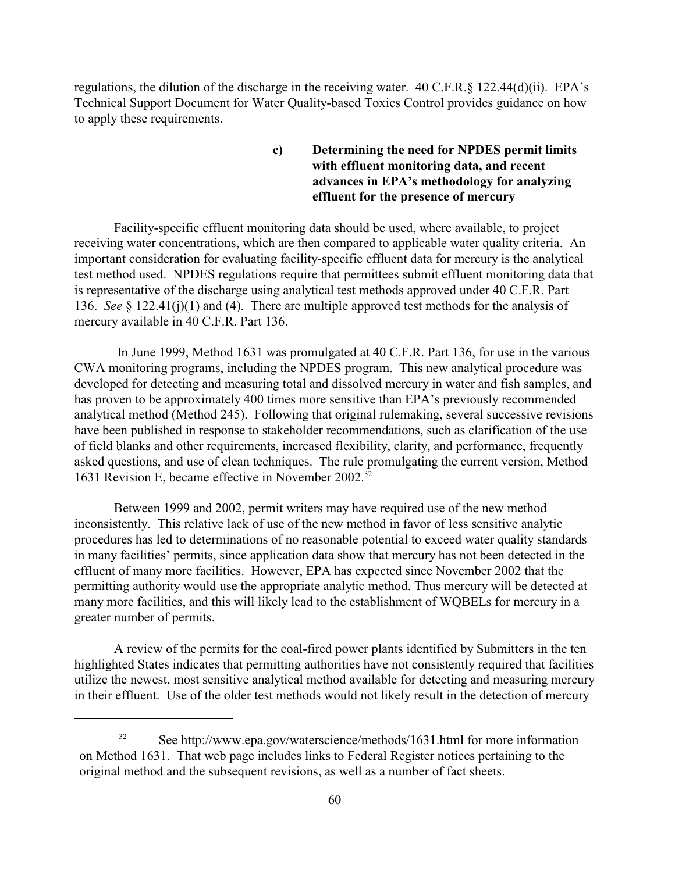regulations, the dilution of the discharge in the receiving water. 40 C.F.R.§ 122.44(d)(ii). EPA's Technical Support Document for Water Quality-based Toxics Control provides guidance on how to apply these requirements.

> **c) Determining the need for NPDES permit limits with effluent monitoring data, and recent advances in EPA's methodology for analyzing effluent for the presence of mercury**

Facility-specific effluent monitoring data should be used, where available, to project receiving water concentrations, which are then compared to applicable water quality criteria. An important consideration for evaluating facility-specific effluent data for mercury is the analytical test method used. NPDES regulations require that permittees submit effluent monitoring data that is representative of the discharge using analytical test methods approved under 40 C.F.R. Part 136. *See* § 122.41(j)(1) and (4). There are multiple approved test methods for the analysis of mercury available in 40 C.F.R. Part 136.

 In June 1999, Method 1631 was promulgated at 40 C.F.R. Part 136, for use in the various CWA monitoring programs, including the NPDES program. This new analytical procedure was developed for detecting and measuring total and dissolved mercury in water and fish samples, and has proven to be approximately 400 times more sensitive than EPA's previously recommended analytical method (Method 245). Following that original rulemaking, several successive revisions have been published in response to stakeholder recommendations, such as clarification of the use of field blanks and other requirements, increased flexibility, clarity, and performance, frequently asked questions, and use of clean techniques. The rule promulgating the current version, Method 1631 Revision E, became effective in November 2002.<sup>32</sup>

Between 1999 and 2002, permit writers may have required use of the new method inconsistently. This relative lack of use of the new method in favor of less sensitive analytic procedures has led to determinations of no reasonable potential to exceed water quality standards in many facilities' permits, since application data show that mercury has not been detected in the effluent of many more facilities. However, EPA has expected since November 2002 that the permitting authority would use the appropriate analytic method. Thus mercury will be detected at many more facilities, and this will likely lead to the establishment of WQBELs for mercury in a greater number of permits.

A review of the permits for the coal-fired power plants identified by Submitters in the ten highlighted States indicates that permitting authorities have not consistently required that facilities utilize the newest, most sensitive analytical method available for detecting and measuring mercury in their effluent. Use of the older test methods would not likely result in the detection of mercury

 $See$  http://www.epa.gov/waterscience/methods/1631.html for more information on Method 1631. That web page includes links to Federal Register notices pertaining to the original method and the subsequent revisions, as well as a number of fact sheets.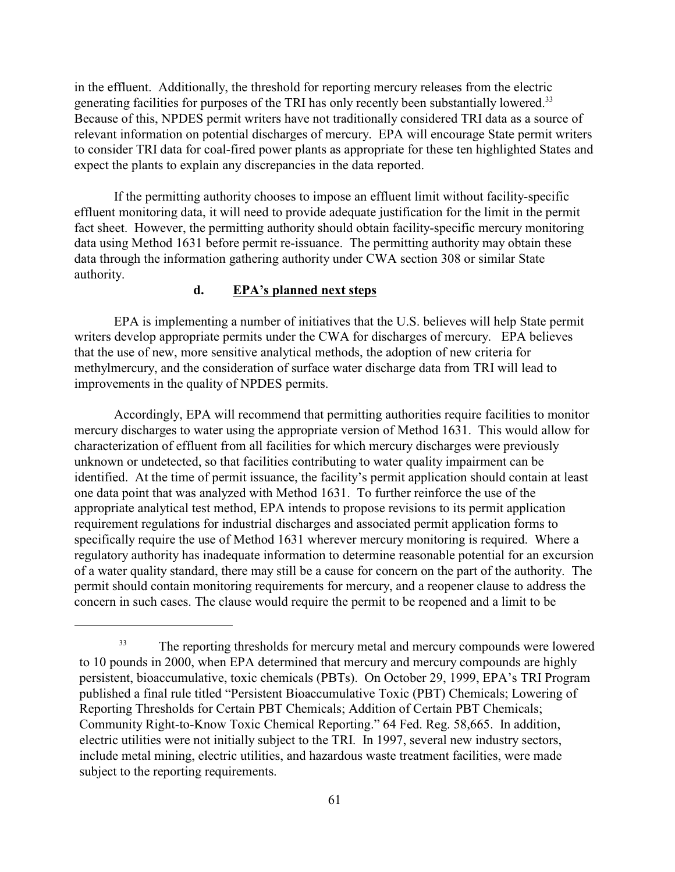in the effluent. Additionally, the threshold for reporting mercury releases from the electric generating facilities for purposes of the TRI has only recently been substantially lowered.<sup>33</sup> Because of this, NPDES permit writers have not traditionally considered TRI data as a source of relevant information on potential discharges of mercury. EPA will encourage State permit writers to consider TRI data for coal-fired power plants as appropriate for these ten highlighted States and expect the plants to explain any discrepancies in the data reported.

If the permitting authority chooses to impose an effluent limit without facility-specific effluent monitoring data, it will need to provide adequate justification for the limit in the permit fact sheet. However, the permitting authority should obtain facility-specific mercury monitoring data using Method 1631 before permit re-issuance. The permitting authority may obtain these data through the information gathering authority under CWA section 308 or similar State authority.

#### **d. EPA's planned next steps**

EPA is implementing a number of initiatives that the U.S. believes will help State permit writers develop appropriate permits under the CWA for discharges of mercury. EPA believes that the use of new, more sensitive analytical methods, the adoption of new criteria for methylmercury, and the consideration of surface water discharge data from TRI will lead to improvements in the quality of NPDES permits.

Accordingly, EPA will recommend that permitting authorities require facilities to monitor mercury discharges to water using the appropriate version of Method 1631. This would allow for characterization of effluent from all facilities for which mercury discharges were previously unknown or undetected, so that facilities contributing to water quality impairment can be identified. At the time of permit issuance, the facility's permit application should contain at least one data point that was analyzed with Method 1631. To further reinforce the use of the appropriate analytical test method, EPA intends to propose revisions to its permit application requirement regulations for industrial discharges and associated permit application forms to specifically require the use of Method 1631 wherever mercury monitoring is required. Where a regulatory authority has inadequate information to determine reasonable potential for an excursion of a water quality standard, there may still be a cause for concern on the part of the authority. The permit should contain monitoring requirements for mercury, and a reopener clause to address the concern in such cases. The clause would require the permit to be reopened and a limit to be

<sup>&</sup>lt;sup>33</sup> The reporting thresholds for mercury metal and mercury compounds were lowered to 10 pounds in 2000, when EPA determined that mercury and mercury compounds are highly persistent, bioaccumulative, toxic chemicals (PBTs). On October 29, 1999, EPA's TRI Program published a final rule titled "Persistent Bioaccumulative Toxic (PBT) Chemicals; Lowering of Reporting Thresholds for Certain PBT Chemicals; Addition of Certain PBT Chemicals; Community Right-to-Know Toxic Chemical Reporting." 64 Fed. Reg. 58,665. In addition, electric utilities were not initially subject to the TRI. In 1997, several new industry sectors, include metal mining, electric utilities, and hazardous waste treatment facilities, were made subject to the reporting requirements.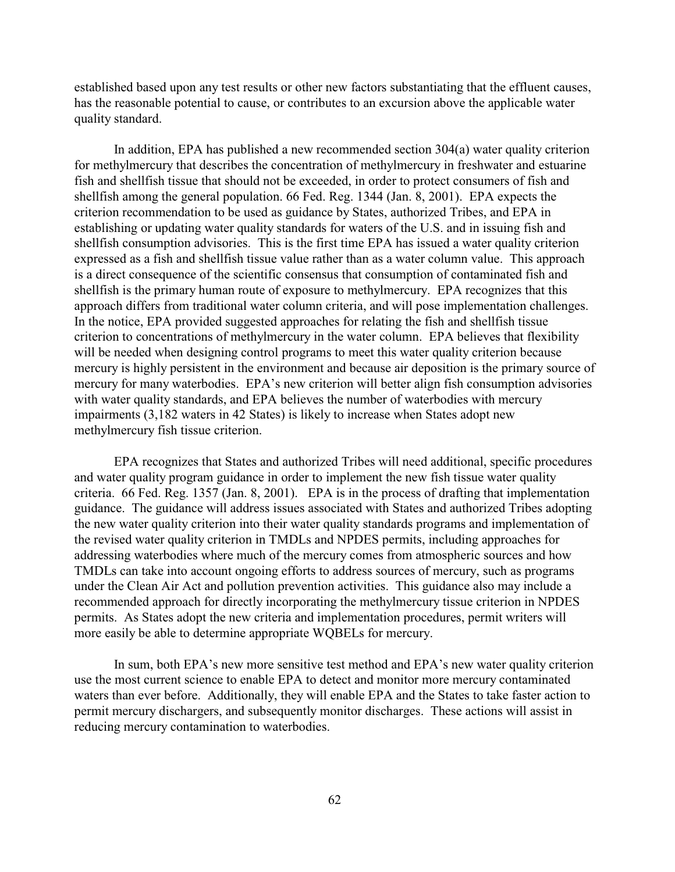established based upon any test results or other new factors substantiating that the effluent causes, has the reasonable potential to cause, or contributes to an excursion above the applicable water quality standard.

In addition, EPA has published a new recommended section 304(a) water quality criterion for methylmercury that describes the concentration of methylmercury in freshwater and estuarine fish and shellfish tissue that should not be exceeded, in order to protect consumers of fish and shellfish among the general population. 66 Fed. Reg. 1344 (Jan. 8, 2001). EPA expects the criterion recommendation to be used as guidance by States, authorized Tribes, and EPA in establishing or updating water quality standards for waters of the U.S. and in issuing fish and shellfish consumption advisories. This is the first time EPA has issued a water quality criterion expressed as a fish and shellfish tissue value rather than as a water column value. This approach is a direct consequence of the scientific consensus that consumption of contaminated fish and shellfish is the primary human route of exposure to methylmercury. EPA recognizes that this approach differs from traditional water column criteria, and will pose implementation challenges. In the notice, EPA provided suggested approaches for relating the fish and shellfish tissue criterion to concentrations of methylmercury in the water column. EPA believes that flexibility will be needed when designing control programs to meet this water quality criterion because mercury is highly persistent in the environment and because air deposition is the primary source of mercury for many waterbodies. EPA's new criterion will better align fish consumption advisories with water quality standards, and EPA believes the number of waterbodies with mercury impairments (3,182 waters in 42 States) is likely to increase when States adopt new methylmercury fish tissue criterion.

EPA recognizes that States and authorized Tribes will need additional, specific procedures and water quality program guidance in order to implement the new fish tissue water quality criteria. 66 Fed. Reg. 1357 (Jan. 8, 2001). EPA is in the process of drafting that implementation guidance. The guidance will address issues associated with States and authorized Tribes adopting the new water quality criterion into their water quality standards programs and implementation of the revised water quality criterion in TMDLs and NPDES permits, including approaches for addressing waterbodies where much of the mercury comes from atmospheric sources and how TMDLs can take into account ongoing efforts to address sources of mercury, such as programs under the Clean Air Act and pollution prevention activities. This guidance also may include a recommended approach for directly incorporating the methylmercury tissue criterion in NPDES permits. As States adopt the new criteria and implementation procedures, permit writers will more easily be able to determine appropriate WQBELs for mercury.

In sum, both EPA's new more sensitive test method and EPA's new water quality criterion use the most current science to enable EPA to detect and monitor more mercury contaminated waters than ever before. Additionally, they will enable EPA and the States to take faster action to permit mercury dischargers, and subsequently monitor discharges. These actions will assist in reducing mercury contamination to waterbodies.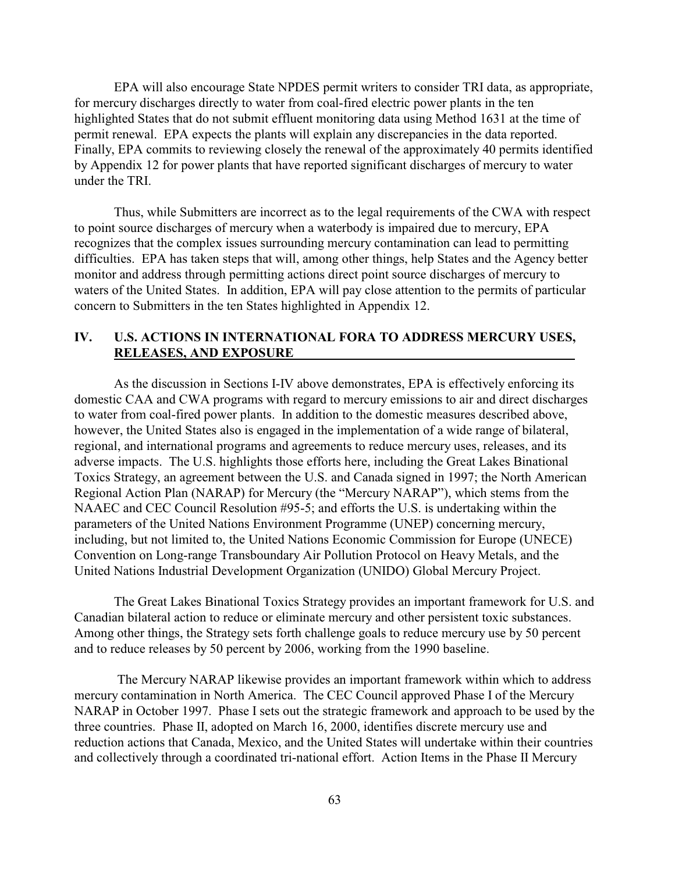EPA will also encourage State NPDES permit writers to consider TRI data, as appropriate, for mercury discharges directly to water from coal-fired electric power plants in the ten highlighted States that do not submit effluent monitoring data using Method 1631 at the time of permit renewal. EPA expects the plants will explain any discrepancies in the data reported. Finally, EPA commits to reviewing closely the renewal of the approximately 40 permits identified by Appendix 12 for power plants that have reported significant discharges of mercury to water under the TRI.

Thus, while Submitters are incorrect as to the legal requirements of the CWA with respect to point source discharges of mercury when a waterbody is impaired due to mercury, EPA recognizes that the complex issues surrounding mercury contamination can lead to permitting difficulties. EPA has taken steps that will, among other things, help States and the Agency better monitor and address through permitting actions direct point source discharges of mercury to waters of the United States. In addition, EPA will pay close attention to the permits of particular concern to Submitters in the ten States highlighted in Appendix 12.

# **IV. U.S. ACTIONS IN INTERNATIONAL FORA TO ADDRESS MERCURY USES, RELEASES, AND EXPOSURE**

As the discussion in Sections I-IV above demonstrates, EPA is effectively enforcing its domestic CAA and CWA programs with regard to mercury emissions to air and direct discharges to water from coal-fired power plants. In addition to the domestic measures described above, however, the United States also is engaged in the implementation of a wide range of bilateral, regional, and international programs and agreements to reduce mercury uses, releases, and its adverse impacts. The U.S. highlights those efforts here, including the Great Lakes Binational Toxics Strategy, an agreement between the U.S. and Canada signed in 1997; the North American Regional Action Plan (NARAP) for Mercury (the "Mercury NARAP"), which stems from the NAAEC and CEC Council Resolution #95-5; and efforts the U.S. is undertaking within the parameters of the United Nations Environment Programme (UNEP) concerning mercury, including, but not limited to, the United Nations Economic Commission for Europe (UNECE) Convention on Long-range Transboundary Air Pollution Protocol on Heavy Metals, and the United Nations Industrial Development Organization (UNIDO) Global Mercury Project.

The Great Lakes Binational Toxics Strategy provides an important framework for U.S. and Canadian bilateral action to reduce or eliminate mercury and other persistent toxic substances. Among other things, the Strategy sets forth challenge goals to reduce mercury use by 50 percent and to reduce releases by 50 percent by 2006, working from the 1990 baseline.

 The Mercury NARAP likewise provides an important framework within which to address mercury contamination in North America. The CEC Council approved Phase I of the Mercury NARAP in October 1997. Phase I sets out the strategic framework and approach to be used by the three countries. Phase II, adopted on March 16, 2000, identifies discrete mercury use and reduction actions that Canada, Mexico, and the United States will undertake within their countries and collectively through a coordinated tri-national effort. Action Items in the Phase II Mercury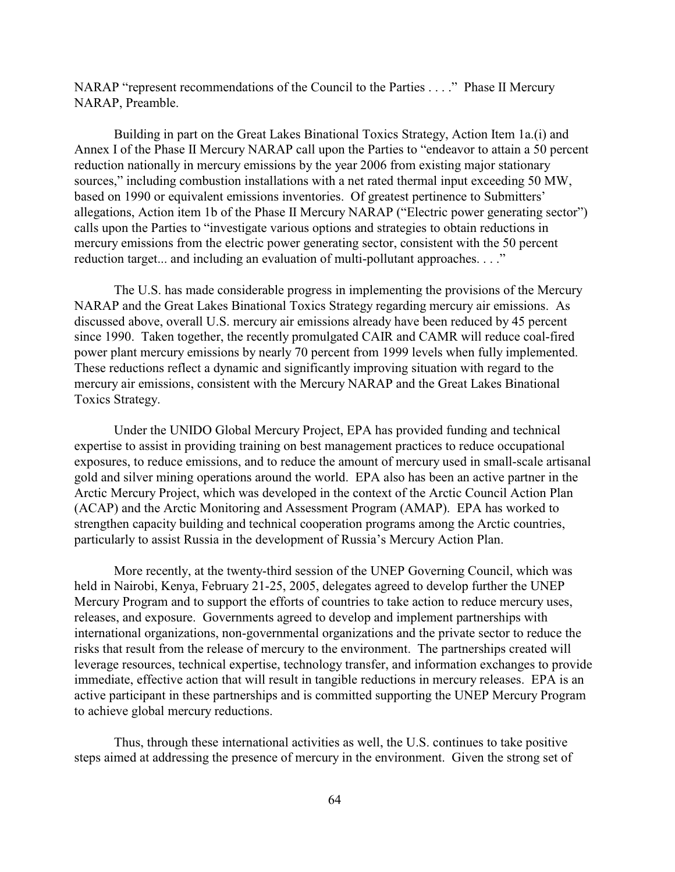NARAP "represent recommendations of the Council to the Parties . . . ." Phase II Mercury NARAP, Preamble.

Building in part on the Great Lakes Binational Toxics Strategy, Action Item 1a.(i) and Annex I of the Phase II Mercury NARAP call upon the Parties to "endeavor to attain a 50 percent reduction nationally in mercury emissions by the year 2006 from existing major stationary sources," including combustion installations with a net rated thermal input exceeding 50 MW, based on 1990 or equivalent emissions inventories. Of greatest pertinence to Submitters' allegations, Action item 1b of the Phase II Mercury NARAP ("Electric power generating sector") calls upon the Parties to "investigate various options and strategies to obtain reductions in mercury emissions from the electric power generating sector, consistent with the 50 percent reduction target... and including an evaluation of multi-pollutant approaches. . . ."

The U.S. has made considerable progress in implementing the provisions of the Mercury NARAP and the Great Lakes Binational Toxics Strategy regarding mercury air emissions. As discussed above, overall U.S. mercury air emissions already have been reduced by 45 percent since 1990. Taken together, the recently promulgated CAIR and CAMR will reduce coal-fired power plant mercury emissions by nearly 70 percent from 1999 levels when fully implemented. These reductions reflect a dynamic and significantly improving situation with regard to the mercury air emissions, consistent with the Mercury NARAP and the Great Lakes Binational Toxics Strategy.

Under the UNIDO Global Mercury Project, EPA has provided funding and technical expertise to assist in providing training on best management practices to reduce occupational exposures, to reduce emissions, and to reduce the amount of mercury used in small-scale artisanal gold and silver mining operations around the world. EPA also has been an active partner in the Arctic Mercury Project, which was developed in the context of the Arctic Council Action Plan (ACAP) and the Arctic Monitoring and Assessment Program (AMAP). EPA has worked to strengthen capacity building and technical cooperation programs among the Arctic countries, particularly to assist Russia in the development of Russia's Mercury Action Plan.

More recently, at the twenty-third session of the UNEP Governing Council, which was held in Nairobi, Kenya, February 21-25, 2005, delegates agreed to develop further the UNEP Mercury Program and to support the efforts of countries to take action to reduce mercury uses, releases, and exposure. Governments agreed to develop and implement partnerships with international organizations, non-governmental organizations and the private sector to reduce the risks that result from the release of mercury to the environment. The partnerships created will leverage resources, technical expertise, technology transfer, and information exchanges to provide immediate, effective action that will result in tangible reductions in mercury releases. EPA is an active participant in these partnerships and is committed supporting the UNEP Mercury Program to achieve global mercury reductions.

Thus, through these international activities as well, the U.S. continues to take positive steps aimed at addressing the presence of mercury in the environment. Given the strong set of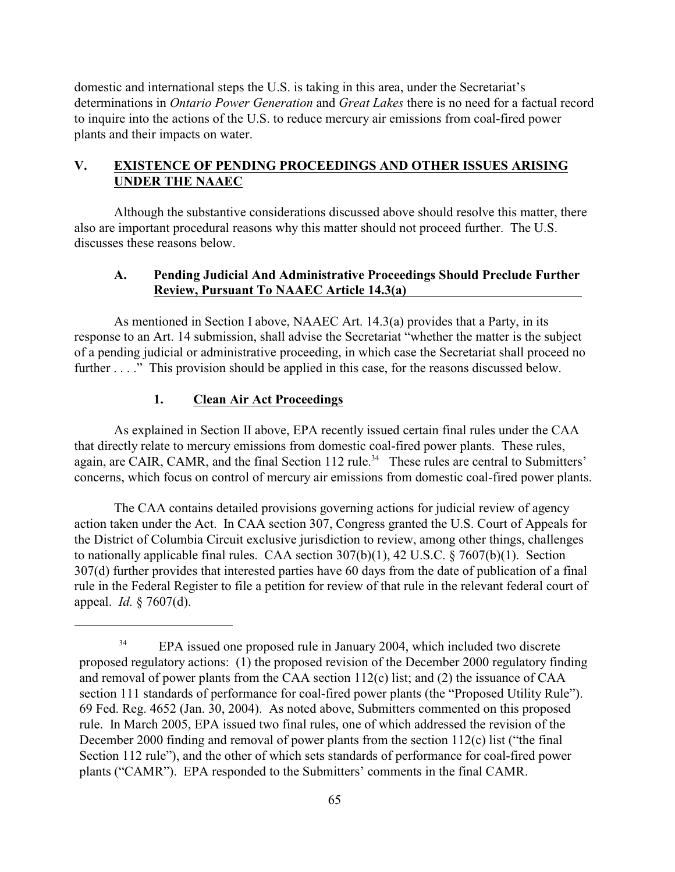domestic and international steps the U.S. is taking in this area, under the Secretariat's determinations in *Ontario Power Generation* and *Great Lakes* there is no need for a factual record to inquire into the actions of the U.S. to reduce mercury air emissions from coal-fired power plants and their impacts on water.

# **V. EXISTENCE OF PENDING PROCEEDINGS AND OTHER ISSUES ARISING UNDER THE NAAEC**

Although the substantive considerations discussed above should resolve this matter, there also are important procedural reasons why this matter should not proceed further. The U.S. discusses these reasons below.

### **A. Pending Judicial And Administrative Proceedings Should Preclude Further Review, Pursuant To NAAEC Article 14.3(a)**

As mentioned in Section I above, NAAEC Art. 14.3(a) provides that a Party, in its response to an Art. 14 submission, shall advise the Secretariat "whether the matter is the subject of a pending judicial or administrative proceeding, in which case the Secretariat shall proceed no further . . . ." This provision should be applied in this case, for the reasons discussed below.

# **1. Clean Air Act Proceedings**

As explained in Section II above, EPA recently issued certain final rules under the CAA that directly relate to mercury emissions from domestic coal-fired power plants. These rules, again, are CAIR, CAMR, and the final Section 112 rule.<sup>34</sup> These rules are central to Submitters' concerns, which focus on control of mercury air emissions from domestic coal-fired power plants.

The CAA contains detailed provisions governing actions for judicial review of agency action taken under the Act. In CAA section 307, Congress granted the U.S. Court of Appeals for the District of Columbia Circuit exclusive jurisdiction to review, among other things, challenges to nationally applicable final rules. CAA section  $307(b)(1)$ , 42 U.S.C. § 7607(b)(1). Section 307(d) further provides that interested parties have 60 days from the date of publication of a final rule in the Federal Register to file a petition for review of that rule in the relevant federal court of appeal. *Id.* § 7607(d).

<sup>&</sup>lt;sup>34</sup> EPA issued one proposed rule in January 2004, which included two discrete proposed regulatory actions: (1) the proposed revision of the December 2000 regulatory finding and removal of power plants from the CAA section 112(c) list; and (2) the issuance of CAA section 111 standards of performance for coal-fired power plants (the "Proposed Utility Rule"). 69 Fed. Reg. 4652 (Jan. 30, 2004). As noted above, Submitters commented on this proposed rule. In March 2005, EPA issued two final rules, one of which addressed the revision of the December 2000 finding and removal of power plants from the section 112(c) list ("the final Section 112 rule"), and the other of which sets standards of performance for coal-fired power plants ("CAMR"). EPA responded to the Submitters' comments in the final CAMR.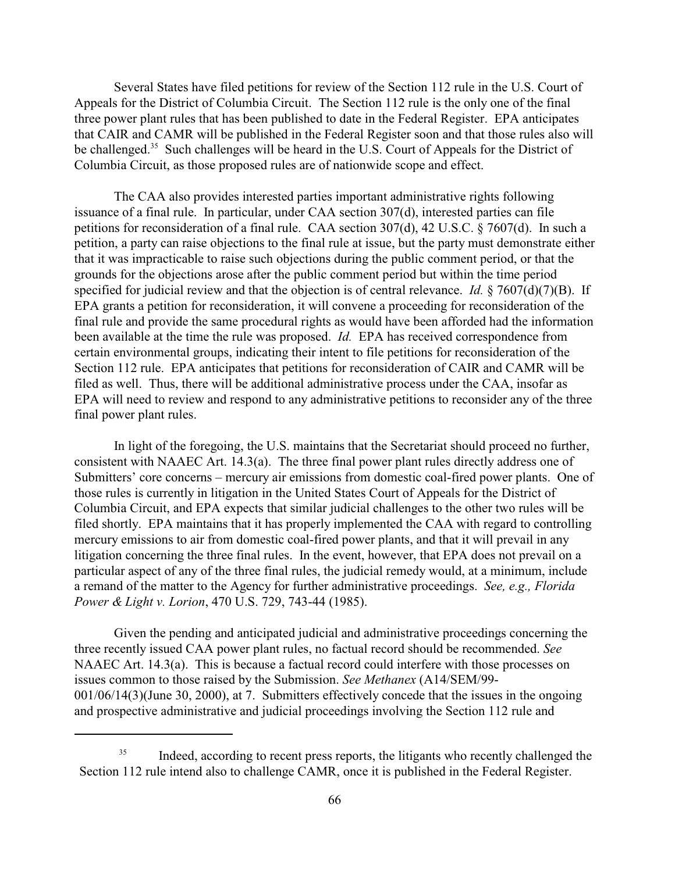Several States have filed petitions for review of the Section 112 rule in the U.S. Court of Appeals for the District of Columbia Circuit. The Section 112 rule is the only one of the final three power plant rules that has been published to date in the Federal Register. EPA anticipates that CAIR and CAMR will be published in the Federal Register soon and that those rules also will be challenged.<sup>35</sup> Such challenges will be heard in the U.S. Court of Appeals for the District of Columbia Circuit, as those proposed rules are of nationwide scope and effect.

The CAA also provides interested parties important administrative rights following issuance of a final rule. In particular, under CAA section 307(d), interested parties can file petitions for reconsideration of a final rule. CAA section 307(d), 42 U.S.C. § 7607(d). In such a petition, a party can raise objections to the final rule at issue, but the party must demonstrate either that it was impracticable to raise such objections during the public comment period, or that the grounds for the objections arose after the public comment period but within the time period specified for judicial review and that the objection is of central relevance. *Id.* § 7607(d)(7)(B). If EPA grants a petition for reconsideration, it will convene a proceeding for reconsideration of the final rule and provide the same procedural rights as would have been afforded had the information been available at the time the rule was proposed. *Id.* EPA has received correspondence from certain environmental groups, indicating their intent to file petitions for reconsideration of the Section 112 rule. EPA anticipates that petitions for reconsideration of CAIR and CAMR will be filed as well. Thus, there will be additional administrative process under the CAA, insofar as EPA will need to review and respond to any administrative petitions to reconsider any of the three final power plant rules.

In light of the foregoing, the U.S. maintains that the Secretariat should proceed no further, consistent with NAAEC Art. 14.3(a). The three final power plant rules directly address one of Submitters' core concerns – mercury air emissions from domestic coal-fired power plants. One of those rules is currently in litigation in the United States Court of Appeals for the District of Columbia Circuit, and EPA expects that similar judicial challenges to the other two rules will be filed shortly. EPA maintains that it has properly implemented the CAA with regard to controlling mercury emissions to air from domestic coal-fired power plants, and that it will prevail in any litigation concerning the three final rules. In the event, however, that EPA does not prevail on a particular aspect of any of the three final rules, the judicial remedy would, at a minimum, include a remand of the matter to the Agency for further administrative proceedings. *See, e.g., Florida Power & Light v. Lorion*, 470 U.S. 729, 743-44 (1985).

Given the pending and anticipated judicial and administrative proceedings concerning the three recently issued CAA power plant rules, no factual record should be recommended. *See* NAAEC Art. 14.3(a). This is because a factual record could interfere with those processes on issues common to those raised by the Submission. *See Methanex* (A14/SEM/99- 001/06/14(3)(June 30, 2000), at 7. Submitters effectively concede that the issues in the ongoing and prospective administrative and judicial proceedings involving the Section 112 rule and

<sup>&</sup>lt;sup>35</sup> Indeed, according to recent press reports, the litigants who recently challenged the Section 112 rule intend also to challenge CAMR, once it is published in the Federal Register.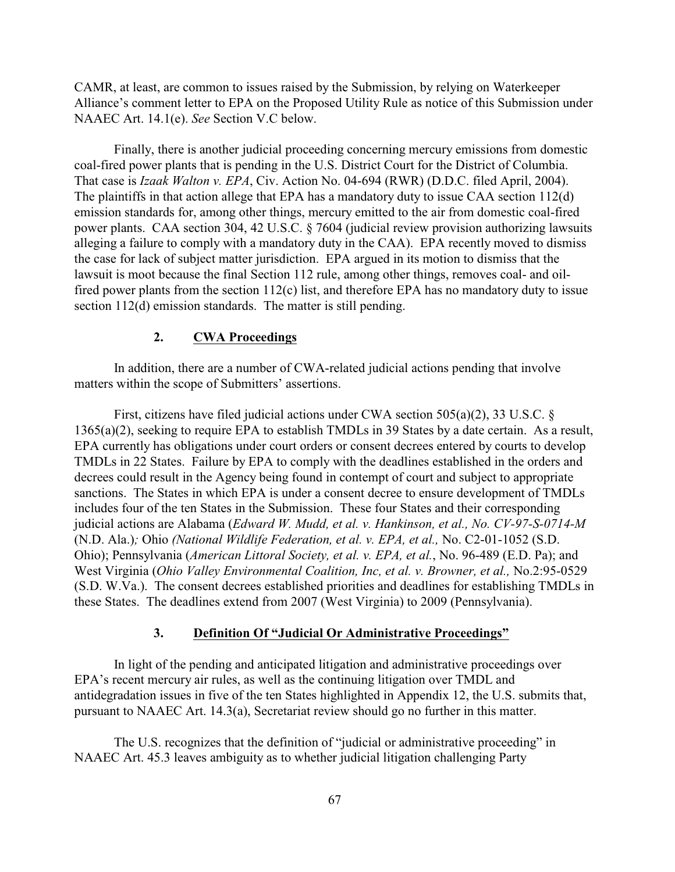CAMR, at least, are common to issues raised by the Submission, by relying on Waterkeeper Alliance's comment letter to EPA on the Proposed Utility Rule as notice of this Submission under NAAEC Art. 14.1(e). *See* Section V.C below.

Finally, there is another judicial proceeding concerning mercury emissions from domestic coal-fired power plants that is pending in the U.S. District Court for the District of Columbia. That case is *Izaak Walton v. EPA*, Civ. Action No. 04-694 (RWR) (D.D.C. filed April, 2004). The plaintiffs in that action allege that EPA has a mandatory duty to issue CAA section 112(d) emission standards for, among other things, mercury emitted to the air from domestic coal-fired power plants. CAA section 304, 42 U.S.C. § 7604 (judicial review provision authorizing lawsuits alleging a failure to comply with a mandatory duty in the CAA). EPA recently moved to dismiss the case for lack of subject matter jurisdiction. EPA argued in its motion to dismiss that the lawsuit is moot because the final Section 112 rule, among other things, removes coal- and oilfired power plants from the section 112(c) list, and therefore EPA has no mandatory duty to issue section 112(d) emission standards. The matter is still pending.

#### **2. CWA Proceedings**

In addition, there are a number of CWA-related judicial actions pending that involve matters within the scope of Submitters' assertions.

First, citizens have filed judicial actions under CWA section 505(a)(2), 33 U.S.C. § 1365(a)(2), seeking to require EPA to establish TMDLs in 39 States by a date certain. As a result, EPA currently has obligations under court orders or consent decrees entered by courts to develop TMDLs in 22 States. Failure by EPA to comply with the deadlines established in the orders and decrees could result in the Agency being found in contempt of court and subject to appropriate sanctions. The States in which EPA is under a consent decree to ensure development of TMDLs includes four of the ten States in the Submission. These four States and their corresponding judicial actions are Alabama (*Edward W. Mudd, et al. v. Hankinson, et al., No. CV-97-S-0714-M* (N.D. Ala.)*;* Ohio *(National Wildlife Federation, et al. v. EPA, et al.,* No. C2-01-1052 (S.D. Ohio); Pennsylvania (*American Littoral Society, et al. v. EPA, et al.*, No. 96-489 (E.D. Pa); and West Virginia (*Ohio Valley Environmental Coalition, Inc, et al. v. Browner, et al.,* No.2:95-0529 (S.D. W.Va.). The consent decrees established priorities and deadlines for establishing TMDLs in these States. The deadlines extend from 2007 (West Virginia) to 2009 (Pennsylvania).

### **3. Definition Of "Judicial Or Administrative Proceedings"**

In light of the pending and anticipated litigation and administrative proceedings over EPA's recent mercury air rules, as well as the continuing litigation over TMDL and antidegradation issues in five of the ten States highlighted in Appendix 12, the U.S. submits that, pursuant to NAAEC Art. 14.3(a), Secretariat review should go no further in this matter.

The U.S. recognizes that the definition of "judicial or administrative proceeding" in NAAEC Art. 45.3 leaves ambiguity as to whether judicial litigation challenging Party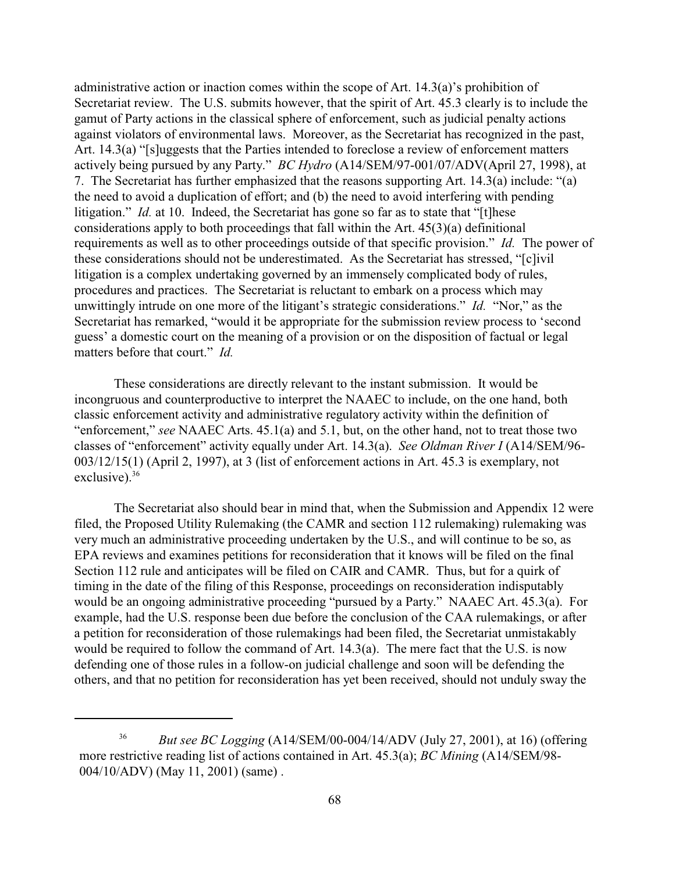administrative action or inaction comes within the scope of Art. 14.3(a)'s prohibition of Secretariat review. The U.S. submits however, that the spirit of Art. 45.3 clearly is to include the gamut of Party actions in the classical sphere of enforcement, such as judicial penalty actions against violators of environmental laws. Moreover, as the Secretariat has recognized in the past, Art. 14.3(a) "[s]uggests that the Parties intended to foreclose a review of enforcement matters actively being pursued by any Party." *BC Hydro* (A14/SEM/97-001/07/ADV(April 27, 1998), at 7. The Secretariat has further emphasized that the reasons supporting Art. 14.3(a) include: "(a) the need to avoid a duplication of effort; and (b) the need to avoid interfering with pending litigation." *Id.* at 10. Indeed, the Secretariat has gone so far as to state that "[t]hese considerations apply to both proceedings that fall within the Art. 45(3)(a) definitional requirements as well as to other proceedings outside of that specific provision." *Id.* The power of these considerations should not be underestimated. As the Secretariat has stressed, "[c]ivil litigation is a complex undertaking governed by an immensely complicated body of rules, procedures and practices. The Secretariat is reluctant to embark on a process which may unwittingly intrude on one more of the litigant's strategic considerations." *Id.* "Nor," as the Secretariat has remarked, "would it be appropriate for the submission review process to 'second guess' a domestic court on the meaning of a provision or on the disposition of factual or legal matters before that court." *Id.*

These considerations are directly relevant to the instant submission. It would be incongruous and counterproductive to interpret the NAAEC to include, on the one hand, both classic enforcement activity and administrative regulatory activity within the definition of "enforcement," *see* NAAEC Arts. 45.1(a) and 5.1, but, on the other hand, not to treat those two classes of "enforcement" activity equally under Art. 14.3(a). *See Oldman River I* (A14/SEM/96- 003/12/15(1) (April 2, 1997), at 3 (list of enforcement actions in Art. 45.3 is exemplary, not exclusive).<sup>36</sup>

The Secretariat also should bear in mind that, when the Submission and Appendix 12 were filed, the Proposed Utility Rulemaking (the CAMR and section 112 rulemaking) rulemaking was very much an administrative proceeding undertaken by the U.S., and will continue to be so, as EPA reviews and examines petitions for reconsideration that it knows will be filed on the final Section 112 rule and anticipates will be filed on CAIR and CAMR. Thus, but for a quirk of timing in the date of the filing of this Response, proceedings on reconsideration indisputably would be an ongoing administrative proceeding "pursued by a Party." NAAEC Art. 45.3(a). For example, had the U.S. response been due before the conclusion of the CAA rulemakings, or after a petition for reconsideration of those rulemakings had been filed, the Secretariat unmistakably would be required to follow the command of Art. 14.3(a). The mere fact that the U.S. is now defending one of those rules in a follow-on judicial challenge and soon will be defending the others, and that no petition for reconsideration has yet been received, should not unduly sway the

<sup>&</sup>lt;sup>36</sup> *But see BC Logging* (A14/SEM/00-004/14/ADV (July 27, 2001), at 16) (offering more restrictive reading list of actions contained in Art. 45.3(a); *BC Mining* (A14/SEM/98- 004/10/ADV) (May 11, 2001) (same) .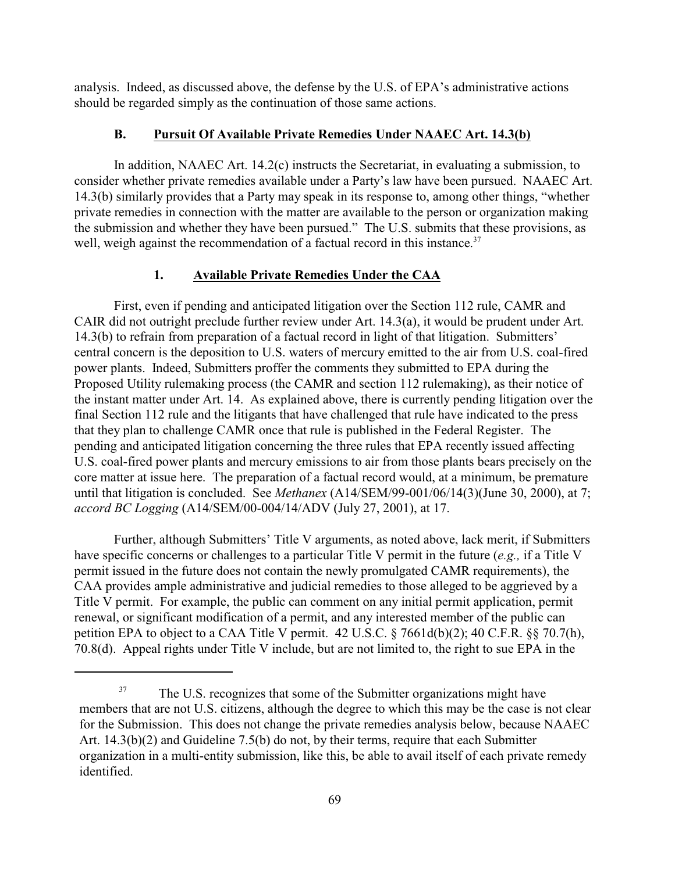analysis. Indeed, as discussed above, the defense by the U.S. of EPA's administrative actions should be regarded simply as the continuation of those same actions.

### **B. Pursuit Of Available Private Remedies Under NAAEC Art. 14.3(b)**

In addition, NAAEC Art. 14.2(c) instructs the Secretariat, in evaluating a submission, to consider whether private remedies available under a Party's law have been pursued. NAAEC Art. 14.3(b) similarly provides that a Party may speak in its response to, among other things, "whether private remedies in connection with the matter are available to the person or organization making the submission and whether they have been pursued." The U.S. submits that these provisions, as well, weigh against the recommendation of a factual record in this instance.<sup>37</sup>

# **1. Available Private Remedies Under the CAA**

First, even if pending and anticipated litigation over the Section 112 rule, CAMR and CAIR did not outright preclude further review under Art. 14.3(a), it would be prudent under Art. 14.3(b) to refrain from preparation of a factual record in light of that litigation. Submitters' central concern is the deposition to U.S. waters of mercury emitted to the air from U.S. coal-fired power plants. Indeed, Submitters proffer the comments they submitted to EPA during the Proposed Utility rulemaking process (the CAMR and section 112 rulemaking), as their notice of the instant matter under Art. 14. As explained above, there is currently pending litigation over the final Section 112 rule and the litigants that have challenged that rule have indicated to the press that they plan to challenge CAMR once that rule is published in the Federal Register. The pending and anticipated litigation concerning the three rules that EPA recently issued affecting U.S. coal-fired power plants and mercury emissions to air from those plants bears precisely on the core matter at issue here. The preparation of a factual record would, at a minimum, be premature until that litigation is concluded. See *Methanex* (A14/SEM/99-001/06/14(3)(June 30, 2000), at 7; *accord BC Logging* (A14/SEM/00-004/14/ADV (July 27, 2001), at 17.

Further, although Submitters' Title V arguments, as noted above, lack merit, if Submitters have specific concerns or challenges to a particular Title V permit in the future (*e.g.,* if a Title V permit issued in the future does not contain the newly promulgated CAMR requirements), the CAA provides ample administrative and judicial remedies to those alleged to be aggrieved by a Title V permit. For example, the public can comment on any initial permit application, permit renewal, or significant modification of a permit, and any interested member of the public can petition EPA to object to a CAA Title V permit. 42 U.S.C. § 7661d(b)(2); 40 C.F.R. §§ 70.7(h), 70.8(d). Appeal rights under Title V include, but are not limited to, the right to sue EPA in the

<sup>&</sup>lt;sup>37</sup> The U.S. recognizes that some of the Submitter organizations might have members that are not U.S. citizens, although the degree to which this may be the case is not clear for the Submission. This does not change the private remedies analysis below, because NAAEC Art. 14.3(b)(2) and Guideline 7.5(b) do not, by their terms, require that each Submitter organization in a multi-entity submission, like this, be able to avail itself of each private remedy identified.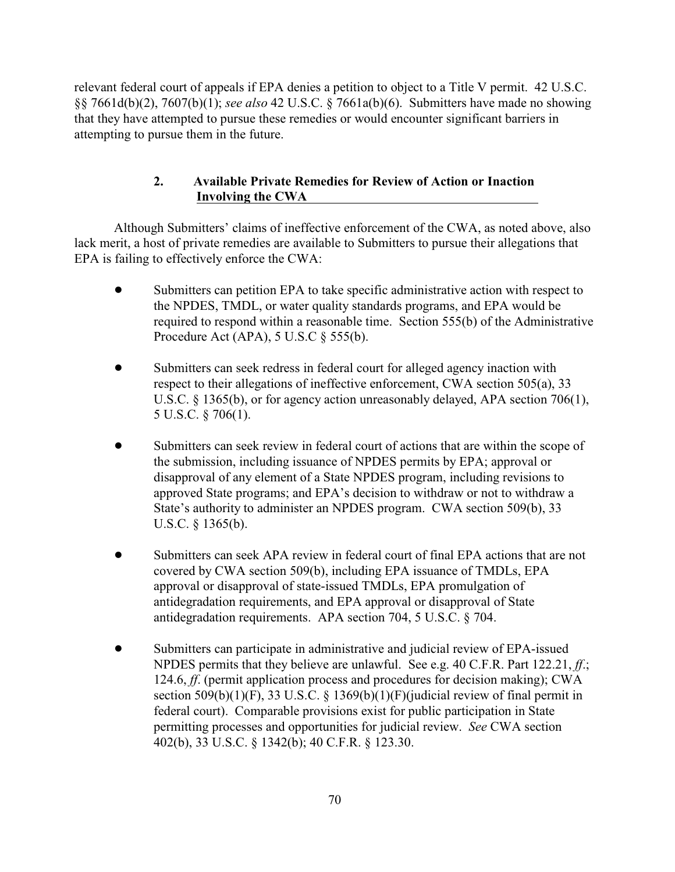relevant federal court of appeals if EPA denies a petition to object to a Title V permit. 42 U.S.C. §§ 7661d(b)(2), 7607(b)(1); *see also* 42 U.S.C. § 7661a(b)(6). Submitters have made no showing that they have attempted to pursue these remedies or would encounter significant barriers in attempting to pursue them in the future.

# **2. Available Private Remedies for Review of Action or Inaction Involving the CWA**

Although Submitters' claims of ineffective enforcement of the CWA, as noted above, also lack merit, a host of private remedies are available to Submitters to pursue their allegations that EPA is failing to effectively enforce the CWA:

- Submitters can petition EPA to take specific administrative action with respect to the NPDES, TMDL, or water quality standards programs, and EPA would be required to respond within a reasonable time. Section 555(b) of the Administrative Procedure Act (APA), 5 U.S.C § 555(b).
- Submitters can seek redress in federal court for alleged agency inaction with respect to their allegations of ineffective enforcement, CWA section 505(a), 33 U.S.C. § 1365(b), or for agency action unreasonably delayed, APA section 706(1), 5 U.S.C. § 706(1).
- Submitters can seek review in federal court of actions that are within the scope of the submission, including issuance of NPDES permits by EPA; approval or disapproval of any element of a State NPDES program, including revisions to approved State programs; and EPA's decision to withdraw or not to withdraw a State's authority to administer an NPDES program. CWA section 509(b), 33 U.S.C. § 1365(b).
- ! Submitters can seek APA review in federal court of final EPA actions that are not covered by CWA section 509(b), including EPA issuance of TMDLs, EPA approval or disapproval of state-issued TMDLs, EPA promulgation of antidegradation requirements, and EPA approval or disapproval of State antidegradation requirements. APA section 704, 5 U.S.C. § 704.
- ! Submitters can participate in administrative and judicial review of EPA-issued NPDES permits that they believe are unlawful. See e.g. 40 C.F.R. Part 122.21, *ff*.; 124.6, *ff*. (permit application process and procedures for decision making); CWA section 509(b)(1)(F), 33 U.S.C. § 1369(b)(1)(F)(judicial review of final permit in federal court). Comparable provisions exist for public participation in State permitting processes and opportunities for judicial review. *See* CWA section 402(b), 33 U.S.C. § 1342(b); 40 C.F.R. § 123.30.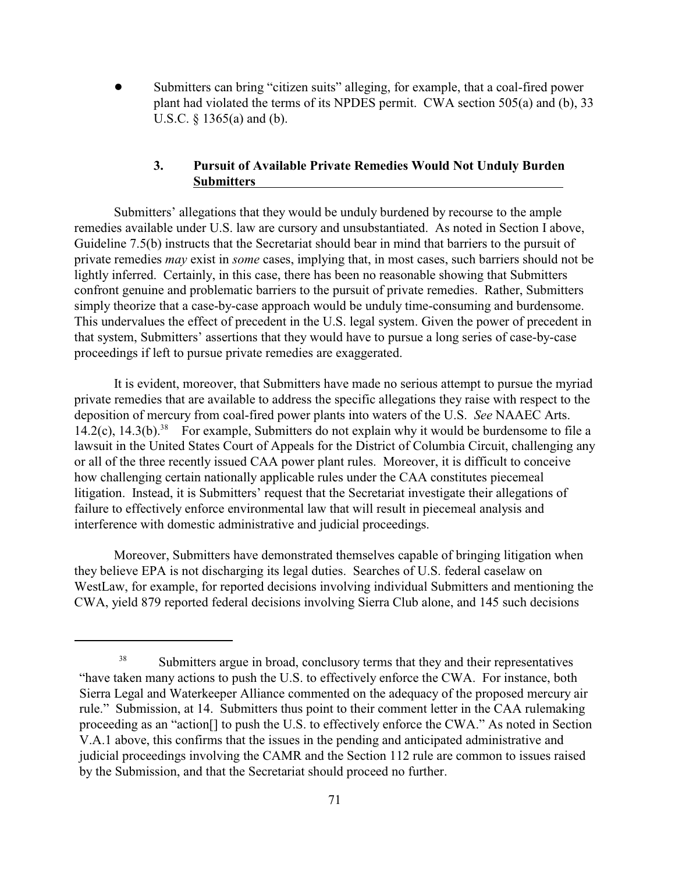Submitters can bring "citizen suits" alleging, for example, that a coal-fired power plant had violated the terms of its NPDES permit. CWA section 505(a) and (b), 33 U.S.C. § 1365(a) and (b).

# **3. Pursuit of Available Private Remedies Would Not Unduly Burden Submitters**

Submitters' allegations that they would be unduly burdened by recourse to the ample remedies available under U.S. law are cursory and unsubstantiated. As noted in Section I above, Guideline 7.5(b) instructs that the Secretariat should bear in mind that barriers to the pursuit of private remedies *may* exist in *some* cases, implying that, in most cases, such barriers should not be lightly inferred. Certainly, in this case, there has been no reasonable showing that Submitters confront genuine and problematic barriers to the pursuit of private remedies. Rather, Submitters simply theorize that a case-by-case approach would be unduly time-consuming and burdensome. This undervalues the effect of precedent in the U.S. legal system. Given the power of precedent in that system, Submitters' assertions that they would have to pursue a long series of case-by-case proceedings if left to pursue private remedies are exaggerated.

It is evident, moreover, that Submitters have made no serious attempt to pursue the myriad private remedies that are available to address the specific allegations they raise with respect to the deposition of mercury from coal-fired power plants into waters of the U.S. *See* NAAEC Arts. 14.2(c), 14.3(b).<sup>38</sup> For example, Submitters do not explain why it would be burdensome to file a lawsuit in the United States Court of Appeals for the District of Columbia Circuit, challenging any or all of the three recently issued CAA power plant rules. Moreover, it is difficult to conceive how challenging certain nationally applicable rules under the CAA constitutes piecemeal litigation. Instead, it is Submitters' request that the Secretariat investigate their allegations of failure to effectively enforce environmental law that will result in piecemeal analysis and interference with domestic administrative and judicial proceedings.

Moreover, Submitters have demonstrated themselves capable of bringing litigation when they believe EPA is not discharging its legal duties. Searches of U.S. federal caselaw on WestLaw, for example, for reported decisions involving individual Submitters and mentioning the CWA, yield 879 reported federal decisions involving Sierra Club alone, and 145 such decisions

<sup>&</sup>lt;sup>38</sup> Submitters argue in broad, conclusory terms that they and their representatives "have taken many actions to push the U.S. to effectively enforce the CWA. For instance, both Sierra Legal and Waterkeeper Alliance commented on the adequacy of the proposed mercury air rule." Submission, at 14. Submitters thus point to their comment letter in the CAA rulemaking proceeding as an "action[] to push the U.S. to effectively enforce the CWA." As noted in Section V.A.1 above, this confirms that the issues in the pending and anticipated administrative and judicial proceedings involving the CAMR and the Section 112 rule are common to issues raised by the Submission, and that the Secretariat should proceed no further.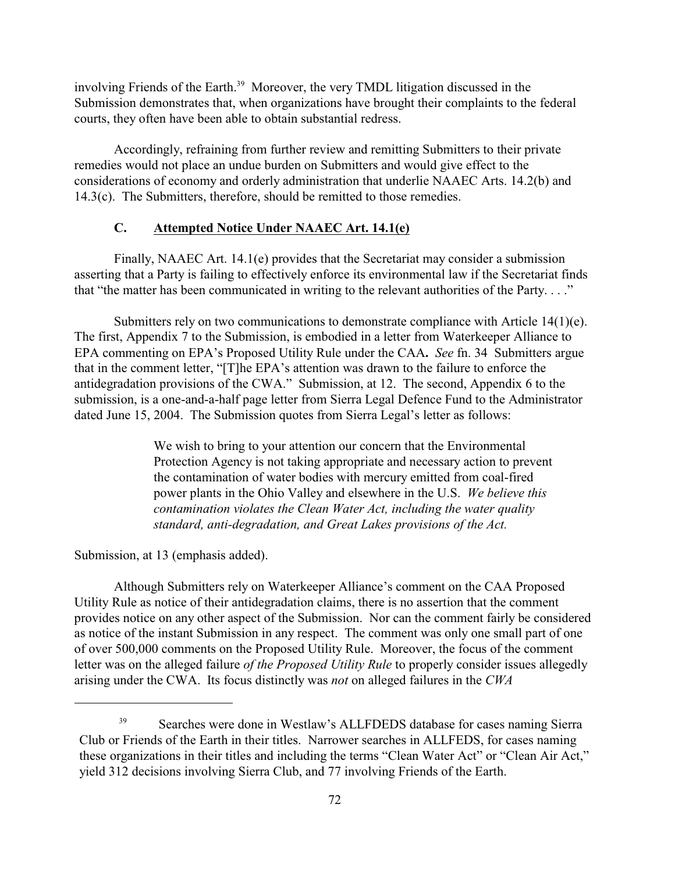involving Friends of the Earth.<sup>39</sup> Moreover, the very TMDL litigation discussed in the Submission demonstrates that, when organizations have brought their complaints to the federal courts, they often have been able to obtain substantial redress.

Accordingly, refraining from further review and remitting Submitters to their private remedies would not place an undue burden on Submitters and would give effect to the considerations of economy and orderly administration that underlie NAAEC Arts. 14.2(b) and 14.3(c). The Submitters, therefore, should be remitted to those remedies.

## **C. Attempted Notice Under NAAEC Art. 14.1(e)**

Finally, NAAEC Art. 14.1(e) provides that the Secretariat may consider a submission asserting that a Party is failing to effectively enforce its environmental law if the Secretariat finds that "the matter has been communicated in writing to the relevant authorities of the Party. . . ."

Submitters rely on two communications to demonstrate compliance with Article 14(1)(e). The first, Appendix 7 to the Submission, is embodied in a letter from Waterkeeper Alliance to EPA commenting on EPA's Proposed Utility Rule under the CAA**.** *See* fn. 34 Submitters argue that in the comment letter, "[T]he EPA's attention was drawn to the failure to enforce the antidegradation provisions of the CWA." Submission, at 12. The second, Appendix 6 to the submission, is a one-and-a-half page letter from Sierra Legal Defence Fund to the Administrator dated June 15, 2004. The Submission quotes from Sierra Legal's letter as follows:

> We wish to bring to your attention our concern that the Environmental Protection Agency is not taking appropriate and necessary action to prevent the contamination of water bodies with mercury emitted from coal-fired power plants in the Ohio Valley and elsewhere in the U.S. *We believe this contamination violates the Clean Water Act, including the water quality standard, anti-degradation, and Great Lakes provisions of the Act.*

Submission, at 13 (emphasis added).

Although Submitters rely on Waterkeeper Alliance's comment on the CAA Proposed Utility Rule as notice of their antidegradation claims, there is no assertion that the comment provides notice on any other aspect of the Submission. Nor can the comment fairly be considered as notice of the instant Submission in any respect. The comment was only one small part of one of over 500,000 comments on the Proposed Utility Rule. Moreover, the focus of the comment letter was on the alleged failure *of the Proposed Utility Rule* to properly consider issues allegedly arising under the CWA. Its focus distinctly was *not* on alleged failures in the *CWA*

Searches were done in Westlaw's ALLFDEDS database for cases naming Sierra 39 Club or Friends of the Earth in their titles. Narrower searches in ALLFEDS, for cases naming these organizations in their titles and including the terms "Clean Water Act" or "Clean Air Act," yield 312 decisions involving Sierra Club, and 77 involving Friends of the Earth.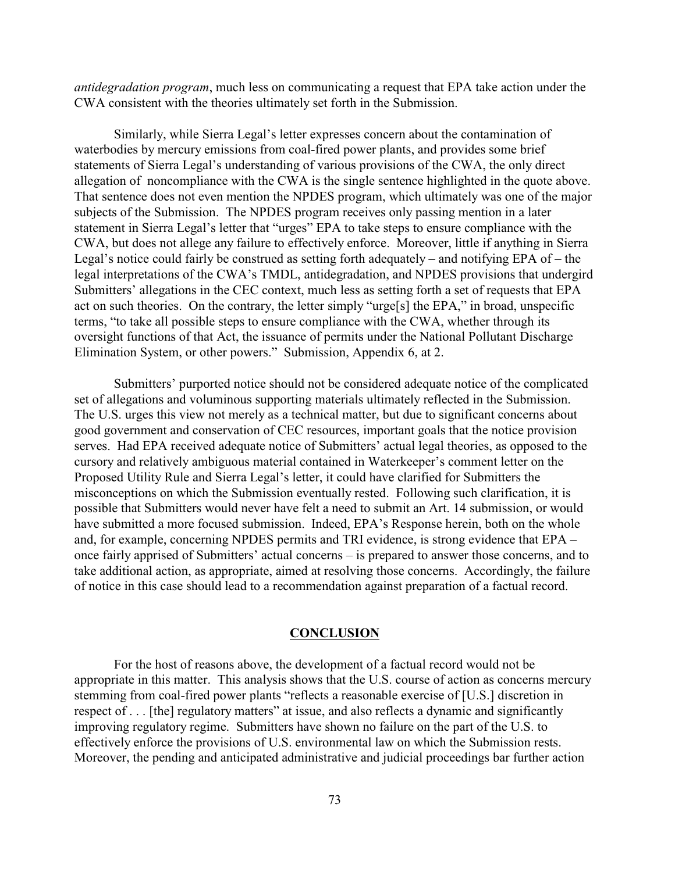*antidegradation program*, much less on communicating a request that EPA take action under the CWA consistent with the theories ultimately set forth in the Submission.

Similarly, while Sierra Legal's letter expresses concern about the contamination of waterbodies by mercury emissions from coal-fired power plants, and provides some brief statements of Sierra Legal's understanding of various provisions of the CWA, the only direct allegation of noncompliance with the CWA is the single sentence highlighted in the quote above. That sentence does not even mention the NPDES program, which ultimately was one of the major subjects of the Submission. The NPDES program receives only passing mention in a later statement in Sierra Legal's letter that "urges" EPA to take steps to ensure compliance with the CWA, but does not allege any failure to effectively enforce. Moreover, little if anything in Sierra Legal's notice could fairly be construed as setting forth adequately – and notifying EPA of – the legal interpretations of the CWA's TMDL, antidegradation, and NPDES provisions that undergird Submitters' allegations in the CEC context, much less as setting forth a set of requests that EPA act on such theories. On the contrary, the letter simply "urge[s] the EPA," in broad, unspecific terms, "to take all possible steps to ensure compliance with the CWA, whether through its oversight functions of that Act, the issuance of permits under the National Pollutant Discharge Elimination System, or other powers." Submission, Appendix 6, at 2.

Submitters' purported notice should not be considered adequate notice of the complicated set of allegations and voluminous supporting materials ultimately reflected in the Submission. The U.S. urges this view not merely as a technical matter, but due to significant concerns about good government and conservation of CEC resources, important goals that the notice provision serves. Had EPA received adequate notice of Submitters' actual legal theories, as opposed to the cursory and relatively ambiguous material contained in Waterkeeper's comment letter on the Proposed Utility Rule and Sierra Legal's letter, it could have clarified for Submitters the misconceptions on which the Submission eventually rested. Following such clarification, it is possible that Submitters would never have felt a need to submit an Art. 14 submission, or would have submitted a more focused submission. Indeed, EPA's Response herein, both on the whole and, for example, concerning NPDES permits and TRI evidence, is strong evidence that EPA – once fairly apprised of Submitters' actual concerns – is prepared to answer those concerns, and to take additional action, as appropriate, aimed at resolving those concerns. Accordingly, the failure of notice in this case should lead to a recommendation against preparation of a factual record.

#### **CONCLUSION**

For the host of reasons above, the development of a factual record would not be appropriate in this matter. This analysis shows that the U.S. course of action as concerns mercury stemming from coal-fired power plants "reflects a reasonable exercise of [U.S.] discretion in respect of . . . [the] regulatory matters" at issue, and also reflects a dynamic and significantly improving regulatory regime. Submitters have shown no failure on the part of the U.S. to effectively enforce the provisions of U.S. environmental law on which the Submission rests. Moreover, the pending and anticipated administrative and judicial proceedings bar further action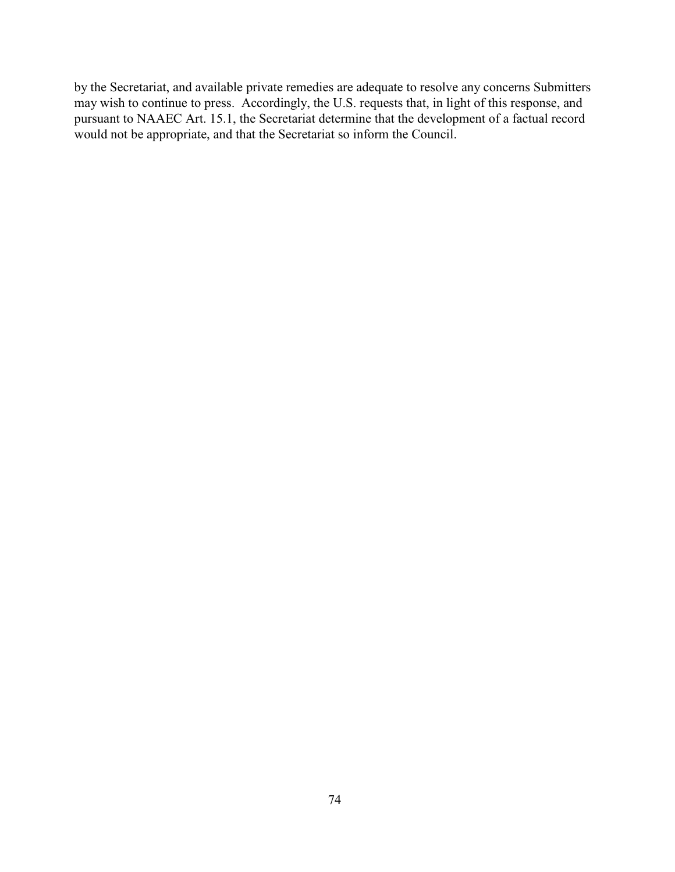by the Secretariat, and available private remedies are adequate to resolve any concerns Submitters may wish to continue to press. Accordingly, the U.S. requests that, in light of this response, and pursuant to NAAEC Art. 15.1, the Secretariat determine that the development of a factual record would not be appropriate, and that the Secretariat so inform the Council.